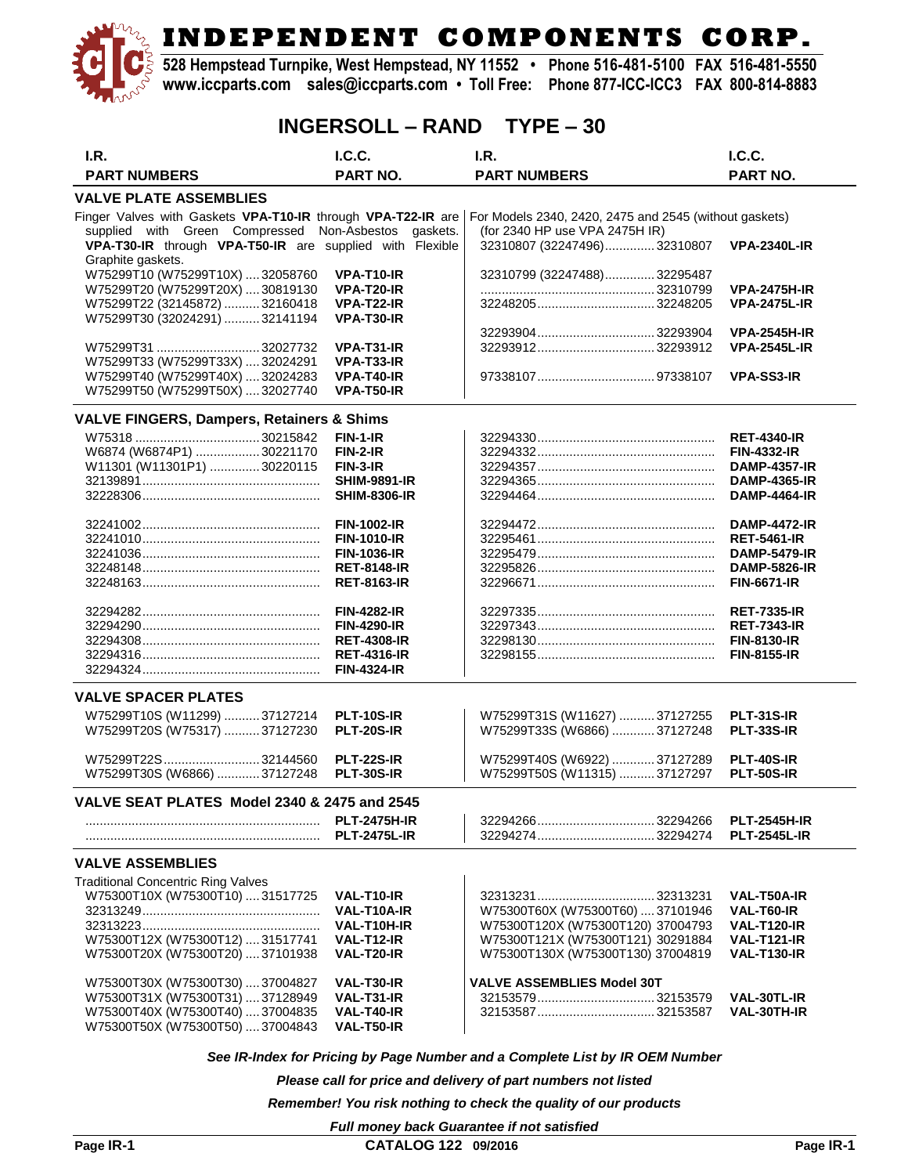**528 Hempstead Turnpike, West Hempstead, NY 11552 • Phone 516-481-5100 FAX 516-481-5550 www.iccparts.com sales@iccparts.com • Toll Free: Phone 877-ICC-ICC3 FAX 800-814-8883**

### **INGERSOLL – RAND TYPE – 30**

| I.R.                                                                 | I.C.C.                                     | I.R.                                                   | I.C.C.                                     |
|----------------------------------------------------------------------|--------------------------------------------|--------------------------------------------------------|--------------------------------------------|
| <b>PART NUMBERS</b>                                                  | PART NO.                                   | <b>PART NUMBERS</b>                                    | <b>PART NO.</b>                            |
| <b>VALVE PLATE ASSEMBLIES</b>                                        |                                            |                                                        |                                            |
| Finger Valves with Gaskets VPA-T10-IR through VPA-T22-IR are         |                                            | For Models 2340, 2420, 2475 and 2545 (without gaskets) |                                            |
| supplied with Green Compressed Non-Asbestos gaskets.                 |                                            | (for 2340 HP use VPA 2475H IR)                         |                                            |
| VPA-T30-IR through VPA-T50-IR are supplied with Flexible             |                                            | 32310807 (32247496)32310807                            | <b>VPA-2340L-IR</b>                        |
| Graphite gaskets.<br>W75299T10 (W75299T10X)  32058760                | VPA-T10-IR                                 | 32310799 (32247488)32295487                            |                                            |
| W75299T20 (W75299T20X)  30819130                                     | VPA-T20-IR                                 |                                                        | <b>VPA-2475H-IR</b>                        |
| W75299T22 (32145872)  32160418                                       | VPA-T22-IR                                 |                                                        | <b>VPA-2475L-IR</b>                        |
| W75299T30 (32024291)  32141194                                       | VPA-T30-IR                                 |                                                        |                                            |
|                                                                      |                                            |                                                        | <b>VPA-2545H-IR</b>                        |
| W75299T31 32027732<br>W75299T33 (W75299T33X)  32024291               | VPA-T31-IR<br>VPA-T33-IR                   |                                                        | <b>VPA-2545L-IR</b>                        |
| W75299T40 (W75299T40X)  32024283                                     | VPA-T40-IR                                 |                                                        | <b>VPA-SS3-IR</b>                          |
| W75299T50 (W75299T50X)  32027740                                     | <b>VPA-T50-IR</b>                          |                                                        |                                            |
| <b>VALVE FINGERS, Dampers, Retainers &amp; Shims</b>                 |                                            |                                                        |                                            |
|                                                                      | $FIN-1-IR$                                 |                                                        | <b>RET-4340-IR</b>                         |
| W6874 (W6874P1) 30221170                                             | <b>FIN-2-IR</b>                            |                                                        | <b>FIN-4332-IR</b>                         |
| W11301 (W11301P1) 30220115                                           | FIN-3-IR                                   |                                                        | <b>DAMP-4357-IR</b>                        |
|                                                                      | <b>SHIM-9891-IR</b>                        |                                                        | <b>DAMP-4365-IR</b>                        |
|                                                                      | <b>SHIM-8306-IR</b>                        |                                                        | <b>DAMP-4464-IR</b>                        |
|                                                                      | <b>FIN-1002-IR</b>                         |                                                        | <b>DAMP-4472-IR</b>                        |
|                                                                      | <b>FIN-1010-IR</b>                         |                                                        | <b>RET-5461-IR</b>                         |
|                                                                      | <b>FIN-1036-IR</b>                         |                                                        | <b>DAMP-5479-IR</b>                        |
|                                                                      | <b>RET-8148-IR</b>                         |                                                        | <b>DAMP-5826-IR</b>                        |
|                                                                      | <b>RET-8163-IR</b>                         |                                                        | <b>FIN-6671-IR</b>                         |
|                                                                      | <b>FIN-4282-IR</b>                         |                                                        | <b>RET-7335-IR</b>                         |
|                                                                      | <b>FIN-4290-IR</b>                         |                                                        | <b>RET-7343-IR</b>                         |
|                                                                      | <b>RET-4308-IR</b>                         |                                                        | <b>FIN-8130-IR</b>                         |
|                                                                      | <b>RET-4316-IR</b>                         |                                                        | <b>FIN-8155-IR</b>                         |
|                                                                      | <b>FIN-4324-IR</b>                         |                                                        |                                            |
| <b>VALVE SPACER PLATES</b>                                           |                                            |                                                        |                                            |
| W75299T10S (W11299)  37127214                                        | PLT-10S-IR                                 | W75299T31S (W11627) 37127255                           | <b>PLT-31S-IR</b>                          |
| W75299T20S (W75317)  37127230                                        | <b>PLT-20S-IR</b>                          | W75299T33S (W6866)  37127248                           | <b>PLT-33S-IR</b>                          |
| W75299T22S32144560                                                   | <b>PLT-22S-IR</b>                          | W75299T40S (W6922) 37127289                            | <b>PLT-40S-IR</b>                          |
| W75299T30S (W6866)  37127248                                         | <b>PLT-30S-IR</b>                          | W75299T50S (W11315) 37127297                           | <b>PLT-50S-IR</b>                          |
|                                                                      |                                            |                                                        |                                            |
| VALVE SEAT PLATES Model 2340 & 2475 and 2545                         |                                            |                                                        |                                            |
|                                                                      | <b>PLT-2475H-IR</b><br><b>PLT-2475L-IR</b> |                                                        | <b>PLT-2545H-IR</b><br><b>PLT-2545L-IR</b> |
|                                                                      |                                            |                                                        |                                            |
| <b>VALVE ASSEMBLIES</b>                                              |                                            |                                                        |                                            |
| <b>Traditional Concentric Ring Valves</b>                            |                                            |                                                        |                                            |
| W75300T10X (W75300T10)  31517725                                     | VAL-T10-IR<br>VAL-T10A-IR                  | W75300T60X (W75300T60) 37101946                        | VAL-T50A-IR<br>VAL-T60-IR                  |
|                                                                      | VAL-T10H-IR                                | W75300T120X (W75300T120) 37004793                      | VAL-T120-IR                                |
| W75300T12X (W75300T12)  31517741                                     | VAL-T12-IR                                 | W75300T121X (W75300T121) 30291884                      | <b>VAL-T121-IR</b>                         |
| W75300T20X (W75300T20) 37101938                                      | VAL-T20-IR                                 | W75300T130X (W75300T130) 37004819                      | <b>VAL-T130-IR</b>                         |
|                                                                      |                                            |                                                        |                                            |
| W75300T30X (W75300T30)  37004827                                     | VAL-T30-IR<br>VAL-T31-IR                   | <b>VALVE ASSEMBLIES Model 30T</b>                      | VAL-30TL-IR                                |
| W75300T31X (W75300T31)  37128949<br>W75300T40X (W75300T40)  37004835 | VAL-T40-IR                                 |                                                        | <b>VAL-30TH-IR</b>                         |
| W75300T50X (W75300T50)  37004843                                     | VAL-T50-IR                                 |                                                        |                                            |

*See IR-Index for Pricing by Page Number and a Complete List by IR OEM Number*

*Please call for price and delivery of part numbers not listed*

*Remember! You risk nothing to check the quality of our products*

*Full money back Guarantee if not satisfied*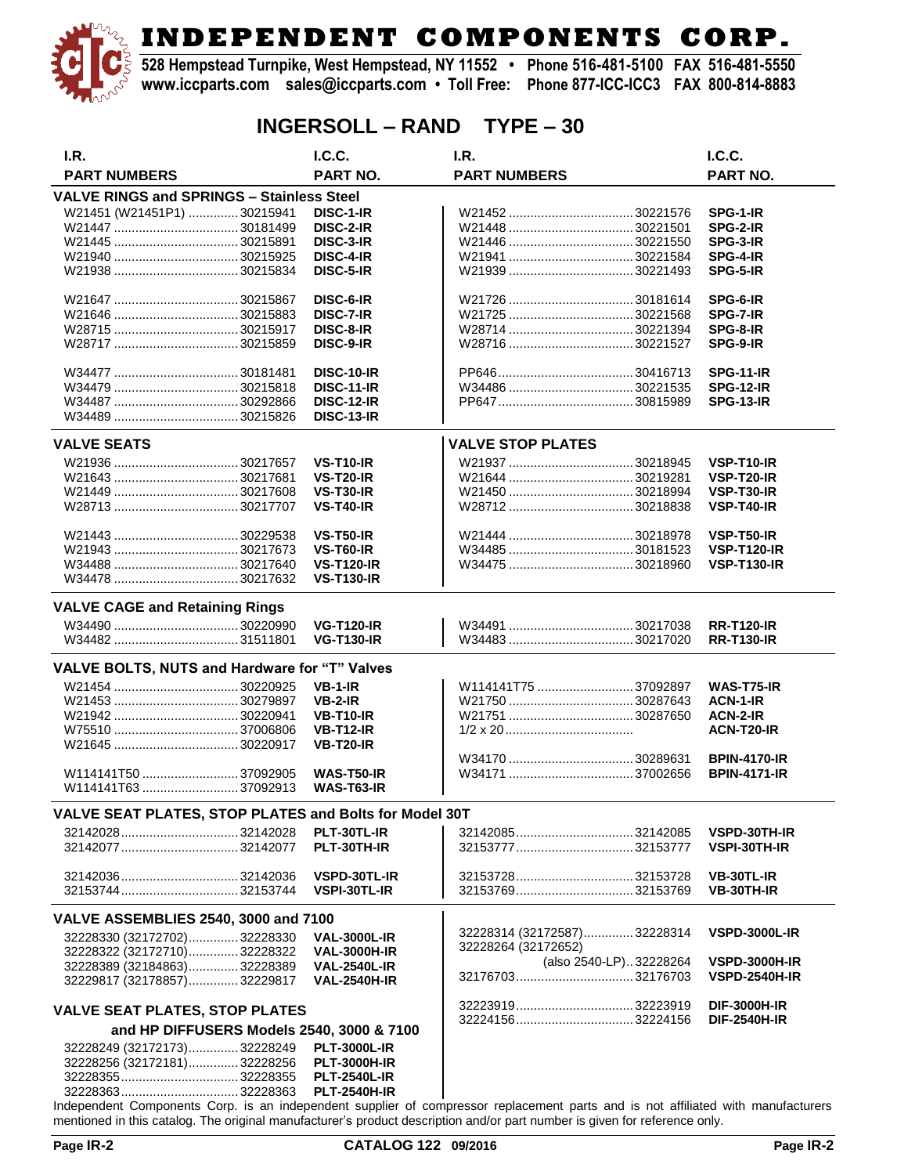**528 Hempstead Turnpike, West Hempstead, NY 11552 • Phone 516-481-5100 FAX 516-481-5550 www.iccparts.com sales@iccparts.com • Toll Free: Phone 877-ICC-ICC3 FAX 800-814-8883**

## **INGERSOLL – RAND TYPE – 30**

| I.R.                                                   | I.C.C.              | I.R.                        | I.C.C.               |
|--------------------------------------------------------|---------------------|-----------------------------|----------------------|
| <b>PART NUMBERS</b>                                    | <b>PART NO.</b>     | <b>PART NUMBERS</b>         | <b>PART NO.</b>      |
| <b>VALVE RINGS and SPRINGS - Stainless Steel</b>       |                     |                             |                      |
| W21451 (W21451P1)  30215941                            | DISC-1-IR           |                             | SPG-1-IR             |
|                                                        | DISC-2-IR           |                             | SPG-2-IR             |
|                                                        |                     |                             |                      |
|                                                        | DISC-3-IR           |                             | SPG-3-IR             |
|                                                        | <b>DISC-4-IR</b>    |                             | SPG-4-IR             |
|                                                        | DISC-5-IR           |                             | SPG-5-IR             |
|                                                        |                     |                             |                      |
|                                                        | DISC-6-IR           |                             | SPG-6-IR             |
|                                                        | DISC-7-IR           |                             | SPG-7-IR             |
|                                                        | DISC-8-IR           |                             | SPG-8-IR             |
|                                                        | DISC-9-IR           |                             | SPG-9-IR             |
|                                                        |                     |                             |                      |
|                                                        | <b>DISC-10-IR</b>   |                             | <b>SPG-11-IR</b>     |
|                                                        | <b>DISC-11-IR</b>   |                             | <b>SPG-12-IR</b>     |
|                                                        | <b>DISC-12-IR</b>   |                             | SPG-13-IR            |
|                                                        | <b>DISC-13-IR</b>   |                             |                      |
| <b>VALVE SEATS</b>                                     |                     | <b>VALVE STOP PLATES</b>    |                      |
|                                                        |                     |                             |                      |
|                                                        | <b>VS-T10-IR</b>    |                             | <b>VSP-T10-IR</b>    |
|                                                        | <b>VS-T20-IR</b>    |                             | VSP-T20-IR           |
|                                                        | <b>VS-T30-IR</b>    |                             | VSP-T30-IR           |
|                                                        | <b>VS-T40-IR</b>    |                             | VSP-T40-IR           |
|                                                        |                     |                             |                      |
|                                                        | <b>VS-T50-IR</b>    |                             | <b>VSP-T50-IR</b>    |
|                                                        | <b>VS-T60-IR</b>    |                             | <b>VSP-T120-IR</b>   |
|                                                        | <b>VS-T120-IR</b>   |                             | <b>VSP-T130-IR</b>   |
|                                                        | <b>VS-T130-IR</b>   |                             |                      |
|                                                        |                     |                             |                      |
| <b>VALVE CAGE and Retaining Rings</b>                  |                     |                             |                      |
|                                                        | <b>VG-T120-IR</b>   |                             | <b>RR-T120-IR</b>    |
|                                                        | <b>VG-T130-IR</b>   |                             | <b>RR-T130-IR</b>    |
|                                                        |                     |                             |                      |
| VALVE BOLTS, NUTS and Hardware for "T" Valves          |                     |                             |                      |
|                                                        | $VB-1-IR$           | W114141T75 37092897         | WAS-T75-IR           |
|                                                        | $VB-2-IR$           |                             | ACN-1-IR             |
|                                                        | <b>VB-T10-IR</b>    |                             | <b>ACN-2-IR</b>      |
|                                                        | <b>VB-T12-IR</b>    |                             | ACN-T20-IR           |
|                                                        | <b>VB-T20-IR</b>    |                             |                      |
|                                                        |                     |                             | <b>BPIN-4170-IR</b>  |
| W114141T50 37092905                                    | WAS-T50-IR          |                             | <b>BPIN-4171-IR</b>  |
| W114141T63 37092913                                    | WAS-T63-IR          |                             |                      |
|                                                        |                     |                             |                      |
| VALVE SEAT PLATES, STOP PLATES and Bolts for Model 30T |                     |                             |                      |
| 3214202832142028                                       | PLT-30TL-IR         | 3214208532142085            | VSPD-30TH-IR         |
|                                                        | PLT-30TH-IR         |                             | VSPI-30TH-IR         |
|                                                        |                     |                             |                      |
| 3214203632142036                                       | VSPD-30TL-IR        | 32153728 32153728           | VB-30TL-IR           |
|                                                        | VSPI-30TL-IR        |                             | VB-30TH-IR           |
| <b>VALVE ASSEMBLIES 2540, 3000 and 7100</b>            |                     |                             |                      |
|                                                        |                     | 32228314 (32172587)32228314 | <b>VSPD-3000L-IR</b> |
| 32228330 (32172702)32228330                            | <b>VAL-3000L-IR</b> | 32228264 (32172652)         |                      |
| 32228322 (32172710) 32228322                           | <b>VAL-3000H-IR</b> | (also 2540-LP)32228264      | <b>VSPD-3000H-IR</b> |
| 32228389 (32184863)32228389                            | <b>VAL-2540L-IR</b> |                             | <b>VSPD-2540H-IR</b> |
| 32229817 (32178857) 32229817                           | <b>VAL-2540H-IR</b> |                             |                      |
|                                                        |                     |                             | <b>DIF-3000H-IR</b>  |
| <b>VALVE SEAT PLATES, STOP PLATES</b>                  |                     |                             | <b>DIF-2540H-IR</b>  |
| and HP DIFFUSERS Models 2540, 3000 & 7100              |                     |                             |                      |
| 32228249 (32172173) 32228249                           | <b>PLT-3000L-IR</b> |                             |                      |
| 32228256 (32172181)32228256                            | <b>PLT-3000H-IR</b> |                             |                      |
|                                                        | <b>PLT-2540L-IR</b> |                             |                      |

Independent Components Corp. is an independent supplier of compressor replacement parts and is not affiliated with manufacturers mentioned in this catalog. The original manufacturer's product description and/or part number is given for reference only.

32228363................................. 32228363 **PLT-2540H-IR**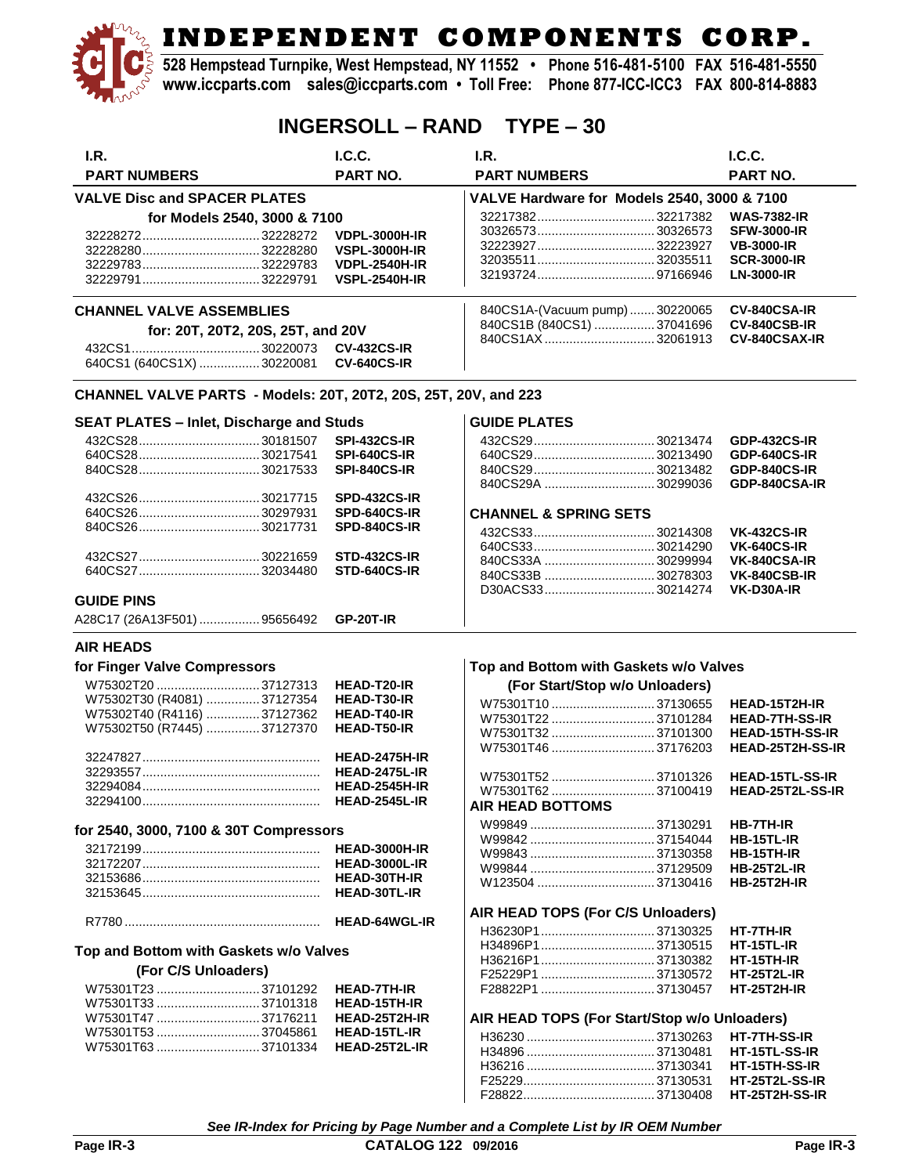**528 Hempstead Turnpike, West Hempstead, NY 11552 • Phone 516-481-5100 FAX 516-481-5550 www.iccparts.com sales@iccparts.com • Toll Free: Phone 877-ICC-ICC3 FAX 800-814-8883**

### **INGERSOLL – RAND TYPE – 30**

| I.R.                                                            | I.C.C.               | I.R.                                         | I.C.C.                                  |
|-----------------------------------------------------------------|----------------------|----------------------------------------------|-----------------------------------------|
| <b>PART NUMBERS</b>                                             | PART NO.             | <b>PART NUMBERS</b>                          | PART NO.                                |
| <b>VALVE Disc and SPACER PLATES</b>                             |                      | VALVE Hardware for Models 2540, 3000 & 7100  |                                         |
|                                                                 |                      | 3221738232217382                             | <b>WAS-7382-IR</b>                      |
| for Models 2540, 3000 & 7100                                    |                      | 3032657330326573                             | <b>SFW-3000-IR</b>                      |
|                                                                 | <b>VDPL-3000H-IR</b> | 32223927 32223927                            | <b>VB-3000-IR</b>                       |
|                                                                 | <b>VSPL-3000H-IR</b> | 3203551132035511                             |                                         |
| 3222978332229783                                                | <b>VDPL-2540H-IR</b> |                                              | <b>SCR-3000-IR</b><br><b>LN-3000-IR</b> |
|                                                                 | <b>VSPL-2540H-IR</b> |                                              |                                         |
| <b>CHANNEL VALVE ASSEMBLIES</b>                                 |                      | 840CS1A-(Vacuum pump)30220065                | CV-840CSA-IR                            |
| for: 20T, 20T2, 20S, 25T, and 20V                               |                      | 840CS1B (840CS1) 37041696                    | CV-840CSB-IR                            |
|                                                                 | <b>CV-432CS-IR</b>   | 840CS1AX32061913                             | <b>CV-840CSAX-IR</b>                    |
| 640CS1 (640CS1X)  30220081                                      | <b>CV-640CS-IR</b>   |                                              |                                         |
|                                                                 |                      |                                              |                                         |
| CHANNEL VALVE PARTS - Models: 20T, 20T2, 20S, 25T, 20V, and 223 |                      |                                              |                                         |
| <b>SEAT PLATES - Inlet, Discharge and Studs</b>                 |                      | <b>GUIDE PLATES</b>                          |                                         |
|                                                                 | <b>SPI-432CS-IR</b>  |                                              | <b>GDP-432CS-IR</b>                     |
|                                                                 | <b>SPI-640CS-IR</b>  |                                              | <b>GDP-640CS-IR</b>                     |
|                                                                 | <b>SPI-840CS-IR</b>  |                                              | <b>GDP-840CS-IR</b>                     |
|                                                                 |                      | 840CS29A 30299036                            | GDP-840CSA-IR                           |
|                                                                 | SPD-432CS-IR         |                                              |                                         |
|                                                                 | SPD-640CS-IR         | <b>CHANNEL &amp; SPRING SETS</b>             |                                         |
|                                                                 | SPD-840CS-IR         |                                              | <b>VK-432CS-IR</b>                      |
|                                                                 |                      |                                              | <b>VK-640CS-IR</b>                      |
|                                                                 | <b>STD-432CS-IR</b>  | 840CS33A 30299994                            | VK-840CSA-IR                            |
|                                                                 | STD-640CS-IR         | 840CS33B 30278303                            | VK-840CSB-IR                            |
|                                                                 |                      | D30ACS3330214274                             | VK-D30A-IR                              |
| <b>GUIDE PINS</b>                                               |                      |                                              |                                         |
| A28C17 (26A13F501)  95656492                                    | <b>GP-20T-IR</b>     |                                              |                                         |
| <b>AIR HEADS</b>                                                |                      |                                              |                                         |
| for Finger Valve Compressors                                    |                      | Top and Bottom with Gaskets w/o Valves       |                                         |
| W75302T20  37127313                                             | <b>HEAD-T20-IR</b>   | (For Start/Stop w/o Unloaders)               |                                         |
| W75302T30 (R4081) 37127354                                      | <b>HEAD-T30-IR</b>   | W75301T10  37130655                          | HEAD-15T2H-IR                           |
| W75302T40 (R4116) 37127362                                      | <b>HEAD-T40-IR</b>   | W75301T22 37101284                           | <b>HEAD-7TH-SS-IR</b>                   |
| W75302T50 (R7445)  37127370                                     | HEAD-T50-IR          | W75301T3237101300                            | <b>HEAD-15TH-SS-IR</b>                  |
|                                                                 |                      | W75301T46 37176203                           | HEAD-25T2H-SS-IR                        |
|                                                                 | <b>HEAD-2475H-IR</b> |                                              |                                         |
|                                                                 | <b>HEAD-2475L-IR</b> | W75301T5237101326                            | <b>HEAD-15TL-SS-IR</b>                  |
|                                                                 | <b>HEAD-2545H-IR</b> | W75301T6237100419                            | HEAD-25T2L-SS-IR                        |
| 32294100                                                        | <b>HFAD-2545L-IR</b> | AIR HEAD BOTTOMS                             |                                         |
|                                                                 |                      |                                              | <b>HB-7TH-IR</b>                        |
| for 2540, 3000, 7100 & 30T Compressors                          |                      |                                              | HB-15TL-IR                              |
|                                                                 | <b>HEAD-3000H-IR</b> |                                              | HB-15TH-IR                              |
|                                                                 | <b>HEAD-3000L-IR</b> |                                              | <b>HB-25T2L-IR</b>                      |
|                                                                 | HEAD-30TH-IR         |                                              | <b>HB-25T2H-IR</b>                      |
|                                                                 | <b>HEAD-30TL-IR</b>  |                                              |                                         |
|                                                                 |                      | AIR HEAD TOPS (For C/S Unloaders)            |                                         |
|                                                                 |                      | H36230P137130325                             | HT-7TH-IR                               |
| Top and Bottom with Gaskets w/o Valves                          |                      | H34896P137130515                             | HT-15TL-IR                              |
|                                                                 |                      |                                              | $HT-15TH-IR$                            |
| (For C/S Unloaders)                                             |                      |                                              | <b>HT-25T2L-IR</b>                      |
|                                                                 | <b>HEAD-7TH-IR</b>   | F28822P1  37130457                           | <b>HT-25T2H-IR</b>                      |
| W75301T3337101318                                               | <b>HEAD-15TH-IR</b>  |                                              |                                         |
| W75301T47 37176211                                              | HEAD-25T2H-IR        | AIR HEAD TOPS (For Start/Stop w/o Unloaders) |                                         |
| W75301T5337045861                                               | <b>HEAD-15TL-IR</b>  |                                              | HT-7TH-SS-IR                            |
| W75301T6337101334                                               | HEAD-25T2L-IR        |                                              | HT-15TL-SS-IR                           |

*See IR-Index for Pricing by Page Number and a Complete List by IR OEM Number*

H36216 .................................... 37130341 **HT-15TH-SS-IR** F25229..................................... 37130531 **HT-25T2L-SS-IR** F28822..................................... 37130408 **HT-25T2H-SS-IR**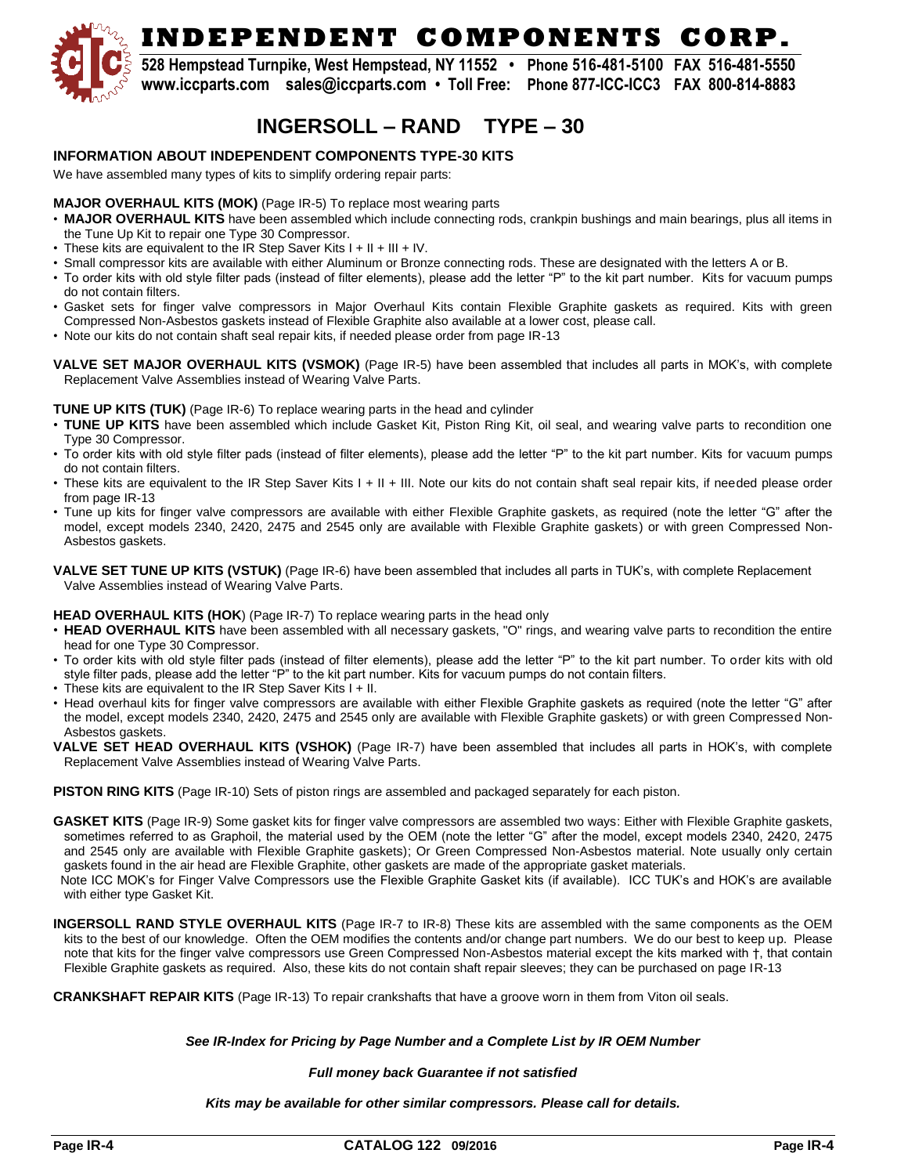

**528 Hempstead Turnpike, West Hempstead, NY 11552 • Phone 516-481-5100 FAX 516-481-5550 www.iccparts.com sales@iccparts.com • Toll Free: Phone 877-ICC-ICC3 FAX 800-814-8883**

## **INGERSOLL – RAND TYPE – 30**

#### **INFORMATION ABOUT INDEPENDENT COMPONENTS TYPE-30 KITS**

We have assembled many types of kits to simplify ordering repair parts:

#### **MAJOR OVERHAUL KITS (MOK)** (Page IR-5) To replace most wearing parts

- **MAJOR OVERHAUL KITS** have been assembled which include connecting rods, crankpin bushings and main bearings, plus all items in the Tune Up Kit to repair one Type 30 Compressor.
- These kits are equivalent to the IR Step Saver Kits I + II + III + IV.
- Small compressor kits are available with either Aluminum or Bronze connecting rods. These are designated with the letters A or B.
- To order kits with old style filter pads (instead of filter elements), please add the letter "P" to the kit part number. Kits for vacuum pumps do not contain filters.
- Gasket sets for finger valve compressors in Major Overhaul Kits contain Flexible Graphite gaskets as required. Kits with green Compressed Non-Asbestos gaskets instead of Flexible Graphite also available at a lower cost, please call.
- Note our kits do not contain shaft seal repair kits, if needed please order from page IR-13
- **VALVE SET MAJOR OVERHAUL KITS (VSMOK)** (Page IR-5) have been assembled that includes all parts in MOK's, with complete Replacement Valve Assemblies instead of Wearing Valve Parts.

#### **TUNE UP KITS (TUK)** (Page IR-6) To replace wearing parts in the head and cylinder

- **TUNE UP KITS** have been assembled which include Gasket Kit, Piston Ring Kit, oil seal, and wearing valve parts to recondition one Type 30 Compressor.
- To order kits with old style filter pads (instead of filter elements), please add the letter "P" to the kit part number. Kits for vacuum pumps do not contain filters.
- These kits are equivalent to the IR Step Saver Kits I + II + III. Note our kits do not contain shaft seal repair kits, if needed please order from page IR-13
- Tune up kits for finger valve compressors are available with either Flexible Graphite gaskets, as required (note the letter "G" after the model, except models 2340, 2420, 2475 and 2545 only are available with Flexible Graphite gaskets) or with green Compressed Non-Asbestos gaskets.

**VALVE SET TUNE UP KITS (VSTUK)** (Page IR-6) have been assembled that includes all parts in TUK's, with complete Replacement Valve Assemblies instead of Wearing Valve Parts.

#### **HEAD OVERHAUL KITS (HOK**) (Page IR-7) To replace wearing parts in the head only

- **HEAD OVERHAUL KITS** have been assembled with all necessary gaskets, "O" rings, and wearing valve parts to recondition the entire head for one Type 30 Compressor.
- To order kits with old style filter pads (instead of filter elements), please add the letter "P" to the kit part number. To order kits with old style filter pads, please add the letter "P" to the kit part number. Kits for vacuum pumps do not contain filters.
- These kits are equivalent to the IR Step Saver Kits I + II.
- Head overhaul kits for finger valve compressors are available with either Flexible Graphite gaskets as required (note the letter "G" after the model, except models 2340, 2420, 2475 and 2545 only are available with Flexible Graphite gaskets) or with green Compressed Non-Asbestos gaskets.
- **VALVE SET HEAD OVERHAUL KITS (VSHOK)** (Page IR-7) have been assembled that includes all parts in HOK's, with complete Replacement Valve Assemblies instead of Wearing Valve Parts.

**PISTON RING KITS** (Page IR-10) Sets of piston rings are assembled and packaged separately for each piston.

**GASKET KITS** (Page IR-9) Some gasket kits for finger valve compressors are assembled two ways: Either with Flexible Graphite gaskets, sometimes referred to as Graphoil, the material used by the OEM (note the letter "G" after the model, except models 2340, 2420, 2475 and 2545 only are available with Flexible Graphite gaskets); Or Green Compressed Non-Asbestos material. Note usually only certain gaskets found in the air head are Flexible Graphite, other gaskets are made of the appropriate gasket materials.

 Note ICC MOK's for Finger Valve Compressors use the Flexible Graphite Gasket kits (if available). ICC TUK's and HOK's are available with either type Gasket Kit.

**INGERSOLL RAND STYLE OVERHAUL KITS** (Page IR-7 to IR-8) These kits are assembled with the same components as the OEM kits to the best of our knowledge. Often the OEM modifies the contents and/or change part numbers. We do our best to keep up. Please note that kits for the finger valve compressors use Green Compressed Non-Asbestos material except the kits marked with †, that contain Flexible Graphite gaskets as required. Also, these kits do not contain shaft repair sleeves; they can be purchased on page IR-13

**CRANKSHAFT REPAIR KITS** (Page IR-13) To repair crankshafts that have a groove worn in them from Viton oil seals.

#### *See IR-Index for Pricing by Page Number and a Complete List by IR OEM Number*

#### *Full money back Guarantee if not satisfied*

#### *Kits may be available for other similar compressors. Please call for details.*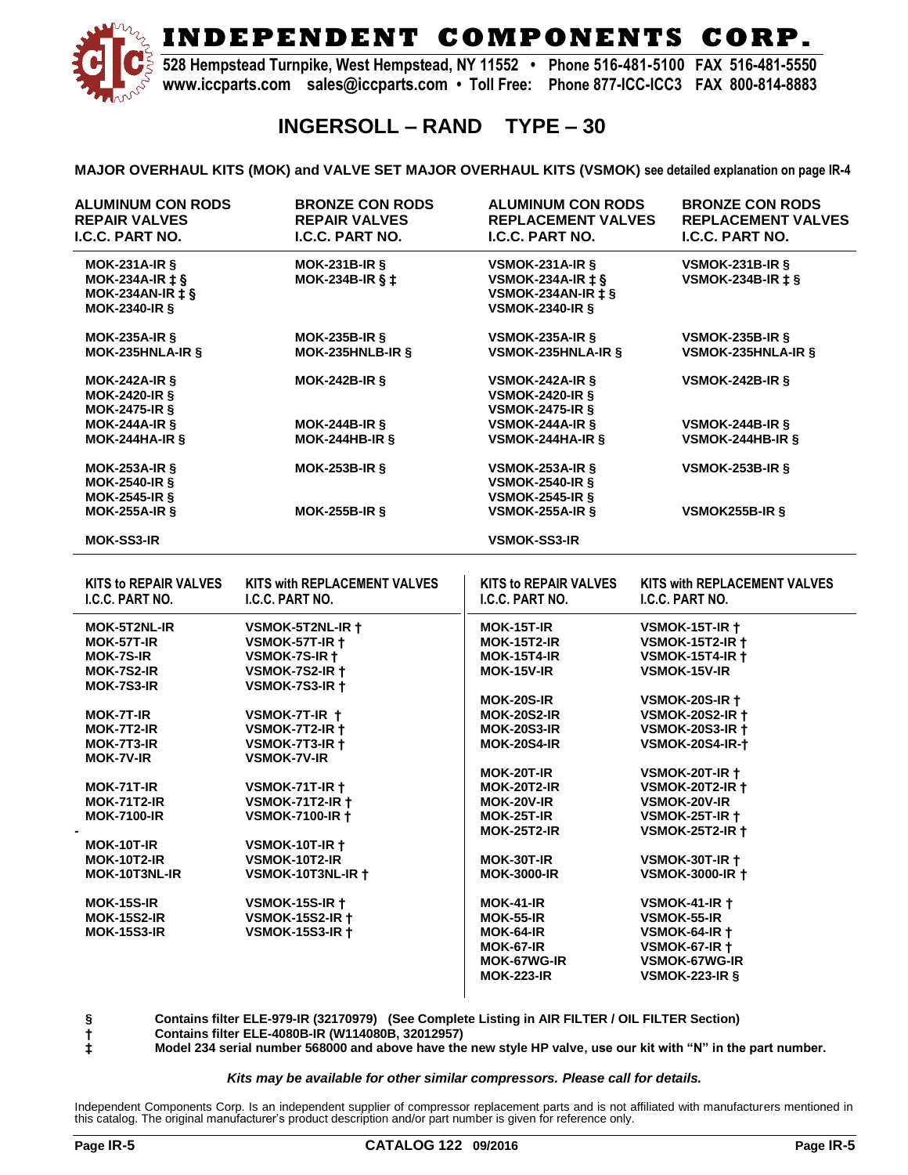

**528 Hempstead Turnpike, West Hempstead, NY 11552 • Phone 516-481-5100 FAX 516-481-5550 www.iccparts.com sales@iccparts.com • Toll Free: Phone 877-ICC-ICC3 FAX 800-814-8883**

### **INGERSOLL – RAND TYPE – 30**

**MAJOR OVERHAUL KITS (MOK) and VALVE SET MAJOR OVERHAUL KITS (VSMOK) see detailed explanation on page IR-4**

| <b>ALUMINUM CON RODS</b><br><b>REPAIR VALVES</b><br>I.C.C. PART NO.                         | <b>BRONZE CON RODS</b><br><b>REPAIR VALVES</b><br>I.C.C. PART NO.                              | <b>ALUMINUM CON RODS</b><br><b>REPLACEMENT VALVES</b><br><b>I.C.C. PART NO.</b>                                                        | <b>BRONZE CON RODS</b><br><b>REPLACEMENT VALVES</b><br>I.C.C. PART NO.                                                                                     |
|---------------------------------------------------------------------------------------------|------------------------------------------------------------------------------------------------|----------------------------------------------------------------------------------------------------------------------------------------|------------------------------------------------------------------------------------------------------------------------------------------------------------|
| $MOK-231A-IR$ §<br>MOK-234A-IR $\pm$ §<br>MOK-234AN-IR $\ddagger$ §<br><b>MOK-2340-IR §</b> | $MOK-231B-IR$ §<br>MOK-234B-IR $\S$ ‡                                                          | VSMOK-231A-IR $\S$<br>VSMOK-234A-IR $\ddagger$ §<br>VSMOK-234AN-IR $\pm$ §<br><b>VSMOK-2340-IR §</b>                                   | VSMOK-231B-IR $\S$<br>VSMOK-234B-IR $\ddagger$ §                                                                                                           |
| <b>MOK-235A-IR §</b><br>MOK-235HNLA-IR §                                                    | <b>MOK-235B-IR §</b><br>MOK-235HNLB-IR §                                                       | <b>VSMOK-235A-IR §</b><br><b>VSMOK-235HNLA-IR §</b>                                                                                    | VSMOK-235B-IR $\S$<br><b>VSMOK-235HNLA-IR §</b>                                                                                                            |
| $MOK-242A-IR$ §<br><b>MOK-2420-IR &amp;</b><br>MOK-2475-IR $\S$                             | $MOK-242B-IR$ §                                                                                | <b>VSMOK-242A-IR §</b><br><b>VSMOK-2420-IR §</b><br><b>VSMOK-2475-IR §</b>                                                             | VSMOK-242B-IR $\S$                                                                                                                                         |
| $MOK-244A-IR$<br>$MOK-244HA-IR$ §                                                           | $MOK-244B-IR$ §<br>$MOK-244HB-IR$ §                                                            | VSMOK-244A-IR $\S$<br>VSMOK-244HA-IR $\S$                                                                                              | VSMOK-244B-IR $\S$<br>VSMOK-244HB-IR $\S$                                                                                                                  |
| <b>MOK-253A-IR §</b><br><b>MOK-2540-IR §</b><br>MOK-2545-IR $\S$                            | <b>MOK-253B-IR §</b>                                                                           | <b>VSMOK-253A-IR §</b><br><b>VSMOK-2540-IR §</b><br><b>VSMOK-2545-IR §</b>                                                             | VSMOK-253B-IR $\S$                                                                                                                                         |
| <b>MOK-255A-IR §</b>                                                                        | <b>MOK-255B-IR §</b>                                                                           | <b>VSMOK-255A-IR §</b>                                                                                                                 | VSMOK255B-IR §                                                                                                                                             |
| <b>MOK-SS3-IR</b>                                                                           |                                                                                                | <b>VSMOK-SS3-IR</b>                                                                                                                    |                                                                                                                                                            |
| <b>KITS to REPAIR VALVES</b>                                                                | KITS with REPLACEMENT VALVES                                                                   | <b>KITS to REPAIR VALVES</b>                                                                                                           | KITS with REPLACEMENT VALVES                                                                                                                               |
| I.C.C. PART NO.                                                                             | I.C.C. PART NO.                                                                                | I.C.C. PART NO.                                                                                                                        | I.C.C. PART NO.                                                                                                                                            |
| <b>MOK-5T2NL-IR</b><br>MOK-57T-IR<br><b>MOK-7S-IR</b><br><b>MOK-7S2-IR</b>                  | VSMOK-5T2NL-IR +<br><b>VSMOK-57T-IR +</b><br>VSMOK-7S-IR +<br><b>VSMOK-7S2-IR +</b>            | <b>MOK-15T-IR</b><br><b>MOK-15T2-IR</b><br><b>MOK-15T4-IR</b><br>MOK-15V-IR                                                            | <b>VSMOK-15T-IR +</b><br><b>VSMOK-15T2-IR +</b><br><b>VSMOK-15T4-IR +</b><br><b>VSMOK-15V-IR</b>                                                           |
| MOK-7S3-IR<br><b>MOK-7T-IR</b>                                                              | <b>VSMOK-7S3-IR +</b><br>VSMOK-7T-IR +                                                         | <b>MOK-20S-IR</b><br><b>MOK-20S2-IR</b>                                                                                                | <b>VSMOK-20S-IR +</b><br><b>VSMOK-20S2-IR +</b>                                                                                                            |
| MOK-7T2-IR<br>MOK-7T3-IR<br><b>MOK-7V-IR</b>                                                | <b>VSMOK-7T2-IR +</b><br>VSMOK-7T3-IR $\dagger$<br><b>VSMOK-7V-IR</b>                          | <b>MOK-20S3-IR</b><br><b>MOK-20S4-IR</b>                                                                                               | <b>VSMOK-20S3-IR +</b><br><b>VSMOK-20S4-IR-†</b>                                                                                                           |
| MOK-71T-IR<br><b>MOK-71T2-IR</b><br><b>MOK-7100-IR</b>                                      | VSMOK-71T-IR $\dagger$<br><b>VSMOK-71T2-IR +</b><br><b>VSMOK-7100-IR +</b>                     | MOK-20T-IR<br><b>MOK-20T2-IR</b><br><b>MOK-20V-IR</b><br>MOK-25T-IR                                                                    | <b>VSMOK-20T-IR +</b><br><b>VSMOK-20T2-IR +</b><br><b>VSMOK-20V-IR</b><br><b>VSMOK-25T-IR +</b>                                                            |
| <b>MOK-10T-IR</b><br><b>MOK-10T2-IR</b>                                                     | <b>VSMOK-10T-IR +</b><br>VSMOK-10T2-IR                                                         | <b>MOK-25T2-IR</b><br><b>MOK-30T-IR</b>                                                                                                | <b>VSMOK-25T2-IR +</b><br><b>VSMOK-30T-IR +</b>                                                                                                            |
| MOK-10T3NL-IR<br><b>MOK-15S-IR</b><br><b>MOK-15S2-IR</b><br><b>MOK-15S3-IR</b>              | VSMOK-10T3NL-IR +<br><b>VSMOK-15S-IR +</b><br><b>VSMOK-15S2-IR +</b><br><b>VSMOK-15S3-IR +</b> | <b>MOK-3000-IR</b><br><b>MOK-41-IR</b><br><b>MOK-55-IR</b><br><b>MOK-64-IR</b><br><b>MOK-67-IR</b><br>MOK-67WG-IR<br><b>MOK-223-IR</b> | <b>VSMOK-3000-IR +</b><br><b>VSMOK-41-IR +</b><br><b>VSMOK-55-IR</b><br><b>VSMOK-64-IR +</b><br><b>VSMOK-67-IR +</b><br>VSMOK-67WG-IR<br>VSMOK-223-IR $\S$ |

**§ Contains filter ELE-979-IR (32170979) (See Complete Listing in AIR FILTER / OIL FILTER Section)**

**† Contains filter ELE-4080B-IR (W114080B, 32012957)**

**‡ Model 234 serial number 568000 and above have the new style HP valve, use our kit with "N" in the part number.**

#### *Kits may be available for other similar compressors. Please call for details.*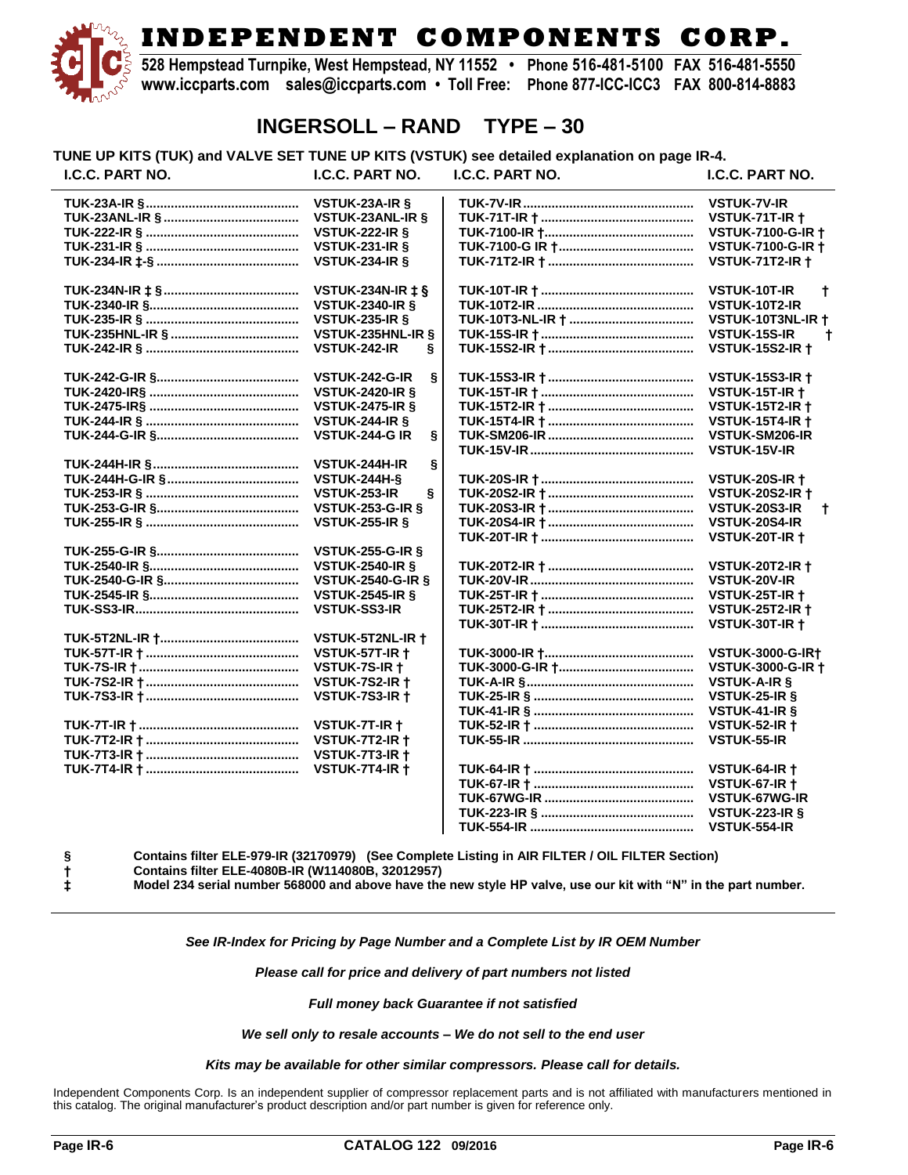**528 Hempstead Turnpike, West Hempstead, NY 11552 • Phone 516-481-5100 FAX 516-481-5550 www.iccparts.com sales@iccparts.com • Toll Free: Phone 877-ICC-ICC3 FAX 800-814-8883**

### **INGERSOLL – RAND TYPE – 30**

**TUNE UP KITS (TUK) and VALVE SET TUNE UP KITS (VSTUK) see detailed explanation on page IR-4.**

| I.C.C. PART NO. | I.C.C. PART NO.            | I.C.C. PART NO. | I.C.C. PART NO.           |
|-----------------|----------------------------|-----------------|---------------------------|
|                 | VSTUK-23A-IR §             |                 | <b>VSTUK-7V-IR</b>        |
|                 | <b>VSTUK-23ANL-IR §</b>    |                 | VSTUK-71T-IR +            |
|                 | <b>VSTUK-222-IR §</b>      |                 | <b>VSTUK-7100-G-IR +</b>  |
|                 | <b>VSTUK-231-IR §</b>      |                 | <b>VSTUK-7100-G-IR +</b>  |
|                 | <b>VSTUK-234-IR §</b>      |                 | <b>VSTUK-71T2-IR +</b>    |
|                 | <b>VSTUK-234N-IR ‡ §</b>   |                 | <b>VSTUK-10T-IR</b><br>t  |
|                 | <b>VSTUK-2340-IR §</b>     |                 | VSTUK-10T2-IR             |
|                 | <b>VSTUK-235-IR §</b>      |                 | VSTUK-10T3NL-IR +         |
|                 | VSTUK-235HNL-IR §          |                 | VSTUK-15S-IR<br>t         |
|                 |                            |                 |                           |
|                 | <b>VSTUK-242-IR</b><br>ş   |                 | <b>VSTUK-15S2-IR +</b>    |
|                 | VSTUK-242-G-IR<br>S        |                 | <b>VSTUK-15S3-IR +</b>    |
|                 | <b>VSTUK-2420-IR §</b>     |                 | <b>VSTUK-15T-IR +</b>     |
|                 | <b>VSTUK-2475-IR §</b>     |                 | <b>VSTUK-15T2-IR +</b>    |
|                 | <b>VSTUK-244-IR &amp;</b>  |                 | <b>VSTUK-15T4-IR +</b>    |
|                 | <b>VSTUK-244-G IR</b><br>ş |                 | VSTUK-SM206-IR            |
|                 |                            |                 | VSTUK-15V-IR              |
|                 | VSTUK-244H-IR<br>ş         |                 |                           |
|                 | <b>VSTUK-244H-&amp;</b>    |                 | <b>VSTUK-20S-IR +</b>     |
|                 | VSTUK-253-IR<br>Ş          |                 | <b>VSTUK-20S2-IR +</b>    |
|                 | <b>VSTUK-253-G-IR §</b>    |                 | VSTUK-20S3-IR<br>t        |
|                 | <b>VSTUK-255-IR &amp;</b>  |                 | VSTUK-20S4-IR             |
|                 |                            |                 | <b>VSTUK-20T-IR +</b>     |
|                 | <b>VSTUK-255-G-IR §</b>    |                 |                           |
|                 | <b>VSTUK-2540-IR §</b>     |                 | <b>VSTUK-20T2-IR +</b>    |
|                 | <b>VSTUK-2540-G-IR §</b>   |                 | VSTUK-20V-IR              |
|                 | <b>VSTUK-2545-IR &amp;</b> |                 | <b>VSTUK-25T-IR +</b>     |
|                 | <b>VSTUK-SS3-IR</b>        |                 | <b>VSTUK-25T2-IR +</b>    |
|                 |                            |                 | VSTUK-30T-IR +            |
|                 | VSTUK-5T2NL-IR +           |                 |                           |
|                 | VSTUK-57T-IR +             |                 | <b>VSTUK-3000-G-IR+</b>   |
|                 | VSTUK-7S-IR +              |                 | <b>VSTUK-3000-G-IR +</b>  |
|                 | <b>VSTUK-7S2-IR +</b>      |                 | <b>VSTUK-A-IR §</b>       |
|                 | VSTUK-7S3-IR +             |                 | VSTUK-25-IR §             |
|                 |                            |                 | VSTUK-41-IR §             |
|                 | VSTUK-7T-IR +              |                 | <b>VSTUK-52-IR +</b>      |
|                 | VSTUK-7T2-IR +             |                 | VSTUK-55-IR               |
|                 | VSTUK-7T3-IR +             |                 |                           |
|                 | VSTUK-7T4-IR +             |                 | <b>VSTUK-64-IR +</b>      |
|                 |                            |                 | <b>VSTUK-67-IR +</b>      |
|                 |                            |                 | VSTUK-67WG-IR             |
|                 |                            |                 | <b>VSTUK-223-IR &amp;</b> |
|                 |                            |                 | VSTUK-554-IR              |

**§ Contains filter ELE-979-IR (32170979) (See Complete Listing in AIR FILTER / OIL FILTER Section) † Contains filter ELE-4080B-IR (W114080B, 32012957)**

**‡ Model 234 serial number 568000 and above have the new style HP valve, use our kit with "N" in the part number.**

#### *See IR-Index for Pricing by Page Number and a Complete List by IR OEM Number*

#### *Please call for price and delivery of part numbers not listed*

*Full money back Guarantee if not satisfied*

*We sell only to resale accounts – We do not sell to the end user*

#### *Kits may be available for other similar compressors. Please call for details.*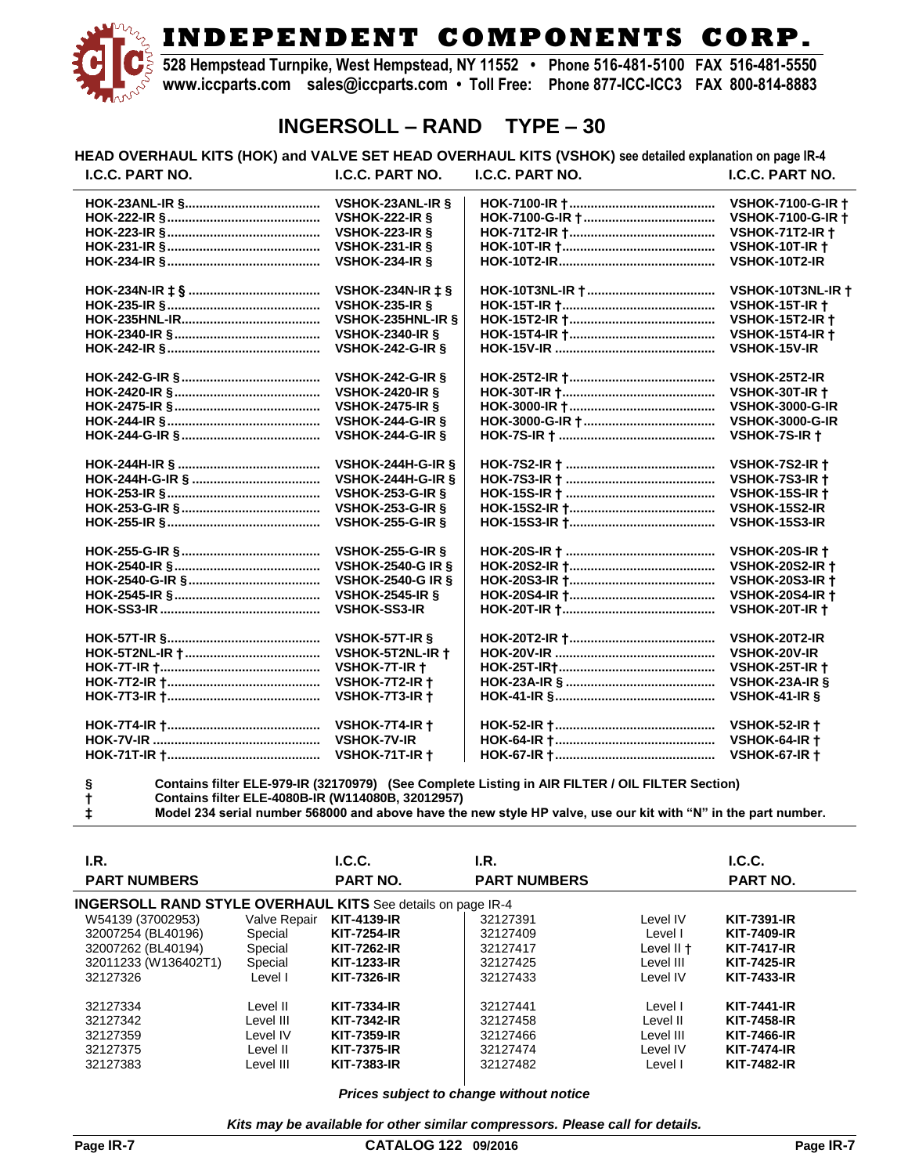**528 Hempstead Turnpike, West Hempstead, NY 11552 • Phone 516-481-5100 FAX 516-481-5550 www.iccparts.com sales@iccparts.com • Toll Free: Phone 877-ICC-ICC3 FAX 800-814-8883**

### **INGERSOLL – RAND TYPE – 30**

**HEAD OVERHAUL KITS (HOK) and VALVE SET HEAD OVERHAUL KITS (VSHOK) see detailed explanation on page IR-4 I.C.C. PART NO. I.C.C. PART NO. I.C.C. PART NO. I.C.C. PART NO.**

| <b>VSHOK-23ANL-IR &amp;</b>  | <b>VSHOK-7100-G-IR +</b> |
|------------------------------|--------------------------|
| <b>VSHOK-222-IR §</b>        | <b>VSHOK-7100-G-IR +</b> |
| <b>VSHOK-223-IR &amp;</b>    | <b>VSHOK-71T2-IR +</b>   |
| <b>VSHOK-231-IR §</b>        | <b>VSHOK-10T-IR +</b>    |
| <b>VSHOK-234-IR &amp;</b>    | VSHOK-10T2-IR            |
| VSHOK-234N-IR $\pm$ §        | VSHOK-10T3NL-IR +        |
| <b>VSHOK-235-IR &amp;</b>    | <b>VSHOK-15T-IR +</b>    |
| VSHOK-235HNL-IR &            | <b>VSHOK-15T2-IR +</b>   |
| <b>VSHOK-2340-IR §</b>       | <b>VSHOK-15T4-IR +</b>   |
| <b>VSHOK-242-G-IR §</b>      | <b>VSHOK-15V-IR</b>      |
| <b>VSHOK-242-G-IR &amp;</b>  | VSHOK-25T2-IR            |
| <b>VSHOK-2420-IR §</b>       | <b>VSHOK-30T-IR +</b>    |
| <b>VSHOK-2475-IR §</b>       | <b>VSHOK-3000-G-IR</b>   |
| <b>VSHOK-244-G-IR §</b>      | <b>VSHOK-3000-G-IR</b>   |
| <b>VSHOK-244-G-IR §</b>      | VSHOK-7S-IR +            |
| <b>VSHOK-244H-G-IR &amp;</b> | VSHOK-7S2-IR +           |
| <b>VSHOK-244H-G-IR §</b>     | <b>VSHOK-7S3-IR +</b>    |
| <b>VSHOK-253-G-IR §</b>      | <b>VSHOK-15S-IR +</b>    |
| <b>VSHOK-253-G-IR &amp;</b>  | VSHOK-15S2-IR            |
| <b>VSHOK-255-G-IR &amp;</b>  | VSHOK-15S3-IR            |
| <b>VSHOK-255-G-IR &amp;</b>  | <b>VSHOK-20S-IR +</b>    |
| <b>VSHOK-2540-G IR §</b>     | <b>VSHOK-20S2-IR +</b>   |
| <b>VSHOK-2540-G IR §</b>     | <b>VSHOK-20S3-IR +</b>   |
| <b>VSHOK-2545-IR §</b>       | <b>VSHOK-20S4-IR +</b>   |
| <b>VSHOK-SS3-IR</b>          | <b>VSHOK-20T-IR +</b>    |
| VSHOK-57T-IR §               | VSHOK-20T2-IR            |
| VSHOK-5T2NL-IR +             | <b>VSHOK-20V-IR</b>      |
| VSHOK-7T-IR +                | <b>VSHOK-25T-IR +</b>    |
| VSHOK-7T2-IR +               | VSHOK-23A-IR §           |
| VSHOK-7T3-IR +               | VSHOK-41-IR §            |
| VSHOK-7T4-IR +               | <b>VSHOK-52-IR +</b>     |
| <b>VSHOK-7V-IR</b>           | <b>VSHOK-64-IR +</b>     |
| VSHOK-71T-IR +               | <b>VSHOK-67-IR +</b>     |

**§ Contains filter ELE-979-IR (32170979) (See Complete Listing in AIR FILTER / OIL FILTER Section) † Contains filter ELE-4080B-IR (W114080B, 32012957)**

**‡ Model 234 serial number 568000 and above have the new style HP valve, use our kit with "N" in the part number.**

| I.R.<br><b>PART NUMBERS</b>                                 |              | L.C.C.<br><b>PART NO.</b> | I.R.<br><b>PART NUMBERS</b> |            | L.C.C.<br><b>PART NO.</b> |
|-------------------------------------------------------------|--------------|---------------------------|-----------------------------|------------|---------------------------|
| INGERSOLL RAND STYLE OVERHAUL KITS See details on page IR-4 |              |                           |                             |            |                           |
| W54139 (37002953)                                           | Valve Repair | <b>KIT-4139-IR</b>        | 32127391                    | Level IV   | <b>KIT-7391-IR</b>        |
| 32007254 (BL40196)                                          | Special      | <b>KIT-7254-IR</b>        | 32127409                    | Level I    | <b>KIT-7409-IR</b>        |
| 32007262 (BL40194)                                          | Special      | <b>KIT-7262-IR</b>        | 32127417                    | Level II + | <b>KIT-7417-IR</b>        |
| 32011233 (W136402T1)                                        | Special      | <b>KIT-1233-IR</b>        | 32127425                    | Level III  | <b>KIT-7425-IR</b>        |
| 32127326                                                    | Level I      | <b>KIT-7326-IR</b>        | 32127433                    | Level IV   | <b>KIT-7433-IR</b>        |
| 32127334                                                    | Level II     | <b>KIT-7334-IR</b>        | 32127441                    | Level I    | <b>KIT-7441-IR</b>        |
| 32127342                                                    | Level III    | <b>KIT-7342-IR</b>        | 32127458                    | Level II   | <b>KIT-7458-IR</b>        |
| 32127359                                                    | Level IV     | <b>KIT-7359-IR</b>        | 32127466                    | Level III  | <b>KIT-7466-IR</b>        |
| 32127375                                                    | Level II     | <b>KIT-7375-IR</b>        | 32127474                    | Level IV   | <b>KIT-7474-IR</b>        |
| 32127383                                                    | Level III    | <b>KIT-7383-IR</b>        | 32127482                    | Level I    | <b>KIT-7482-IR</b>        |

*Prices subject to change without notice*

*Kits may be available for other similar compressors. Please call for details.*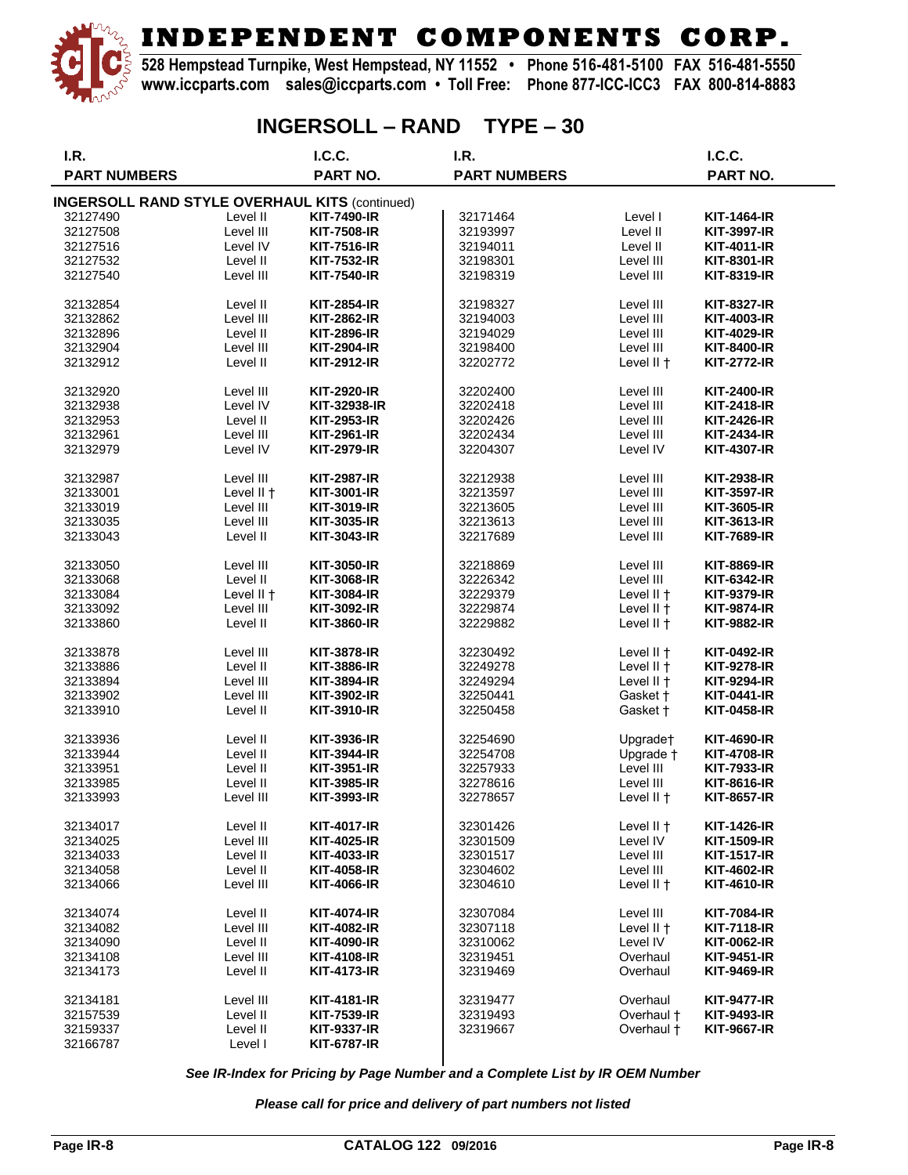

**528 Hempstead Turnpike, West Hempstead, NY 11552 • Phone 516-481-5100 FAX 516-481-5550 www.iccparts.com sales@iccparts.com • Toll Free: Phone 877-ICC-ICC3 FAX 800-814-8883**

## **INGERSOLL – RAND TYPE – 30**

| I.R.                                                  |            | I.C.C.             | I.R.                |            | I.C.C.             |
|-------------------------------------------------------|------------|--------------------|---------------------|------------|--------------------|
| <b>PART NUMBERS</b>                                   |            | PART NO.           | <b>PART NUMBERS</b> |            | PART NO.           |
| <b>INGERSOLL RAND STYLE OVERHAUL KITS (continued)</b> |            |                    |                     |            |                    |
| 32127490                                              | Level II   | <b>KIT-7490-IR</b> | 32171464            | Level I    | <b>KIT-1464-IR</b> |
| 32127508                                              | Level III  | <b>KIT-7508-IR</b> | 32193997            | Level II   | <b>KIT-3997-IR</b> |
|                                                       | Level IV   |                    |                     | Level II   | KIT-4011-IR        |
| 32127516                                              |            | <b>KIT-7516-IR</b> | 32194011            |            |                    |
| 32127532                                              | Level II   | KIT-7532-IR        | 32198301            | Level III  | <b>KIT-8301-IR</b> |
| 32127540                                              | Level III  | <b>KIT-7540-IR</b> | 32198319            | Level III  | <b>KIT-8319-IR</b> |
| 32132854                                              | Level II   | <b>KIT-2854-IR</b> | 32198327            | Level III  | <b>KIT-8327-IR</b> |
| 32132862                                              | Level III  | <b>KIT-2862-IR</b> | 32194003            | Level III  | <b>KIT-4003-IR</b> |
| 32132896                                              | Level II   | <b>KIT-2896-IR</b> | 32194029            | Level III  | <b>KIT-4029-IR</b> |
| 32132904                                              | Level III  | <b>KIT-2904-IR</b> | 32198400            | Level III  | <b>KIT-8400-IR</b> |
| 32132912                                              | Level II   | <b>KIT-2912-IR</b> | 32202772            | Level II + | <b>KIT-2772-IR</b> |
|                                                       | Level III  |                    |                     | Level III  |                    |
| 32132920                                              |            | <b>KIT-2920-IR</b> | 32202400            |            | <b>KIT-2400-IR</b> |
| 32132938                                              | Level IV   | KIT-32938-IR       | 32202418            | Level III  | KIT-2418-IR        |
| 32132953                                              | Level II   | <b>KIT-2953-IR</b> | 32202426            | Level III  | <b>KIT-2426-IR</b> |
| 32132961                                              | Level III  | KIT-2961-IR        | 32202434            | Level III  | <b>KIT-2434-IR</b> |
| 32132979                                              | Level IV   | <b>KIT-2979-IR</b> | 32204307            | Level IV   | <b>KIT-4307-IR</b> |
| 32132987                                              | Level III  | <b>KIT-2987-IR</b> | 32212938            | Level III  | <b>KIT-2938-IR</b> |
| 32133001                                              | Level II + | <b>KIT-3001-IR</b> | 32213597            | Level III  | <b>KIT-3597-IR</b> |
| 32133019                                              | Level III  | <b>KIT-3019-IR</b> | 32213605            | Level III  | <b>KIT-3605-IR</b> |
| 32133035                                              | Level III  | <b>KIT-3035-IR</b> | 32213613            | Level III  | KIT-3613-IR        |
| 32133043                                              | Level II   | <b>KIT-3043-IR</b> | 32217689            | Level III  | <b>KIT-7689-IR</b> |
|                                                       |            |                    |                     |            |                    |
| 32133050                                              | Level III  | <b>KIT-3050-IR</b> | 32218869            | Level III  | <b>KIT-8869-IR</b> |
| 32133068                                              | Level II   | KIT-3068-IR        | 32226342            | Level III  | <b>KIT-6342-IR</b> |
| 32133084                                              | Level II + | <b>KIT-3084-IR</b> | 32229379            | Level II + | <b>KIT-9379-IR</b> |
| 32133092                                              | Level III  | KIT-3092-IR        | 32229874            | Level II + | <b>KIT-9874-IR</b> |
| 32133860                                              | Level II   | <b>KIT-3860-IR</b> | 32229882            | Level II + | <b>KIT-9882-IR</b> |
|                                                       |            |                    |                     |            |                    |
| 32133878                                              | Level III  | <b>KIT-3878-IR</b> | 32230492            | Level II + | <b>KIT-0492-IR</b> |
| 32133886                                              | Level II   | <b>KIT-3886-IR</b> | 32249278            | Level II + | <b>KIT-9278-IR</b> |
| 32133894                                              | Level III  | KIT-3894-IR        | 32249294            | Level II + | <b>KIT-9294-IR</b> |
| 32133902                                              | Level III  | KIT-3902-IR        | 32250441            | Gasket +   | <b>KIT-0441-IR</b> |
| 32133910                                              | Level II   | <b>KIT-3910-IR</b> | 32250458            | Gasket +   | <b>KIT-0458-IR</b> |
| 32133936                                              | Level II   | <b>KIT-3936-IR</b> | 32254690            | Upgrade†   | <b>KIT-4690-IR</b> |
| 32133944                                              | Level II   | <b>KIT-3944-IR</b> | 32254708            | Upgrade +  | <b>KIT-4708-IR</b> |
| 32133951                                              | Level II   | <b>KIT-3951-IR</b> | 32257933            | Level III  | <b>KIT-7933-IR</b> |
| 32133985                                              | Level II   | <b>KIT-3985-IR</b> | 32278616            | Level III  | <b>KIT-8616-IR</b> |
| 32133993                                              | Level III  | <b>KIT-3993-IR</b> | 32278657            | Level II + | KIT-8657-IR        |
| 32134017                                              | Level II   | <b>KIT-4017-IR</b> |                     | Level II + | <b>KIT-1426-IR</b> |
|                                                       |            |                    | 32301426            |            |                    |
| 32134025                                              | Level III  | <b>KIT-4025-IR</b> | 32301509            | Level IV   | <b>KIT-1509-IR</b> |
| 32134033                                              | Level II   | <b>KIT-4033-IR</b> | 32301517            | Level III  | <b>KIT-1517-IR</b> |
| 32134058                                              | Level II   | <b>KIT-4058-IR</b> | 32304602            | Level III  | KIT-4602-IR        |
| 32134066                                              | Level III  | <b>KIT-4066-IR</b> | 32304610            | Level II + | <b>KIT-4610-IR</b> |
| 32134074                                              | Level II   | <b>KIT-4074-IR</b> | 32307084            | Level III  | <b>KIT-7084-IR</b> |
| 32134082                                              | Level III  | <b>KIT-4082-IR</b> | 32307118            | Level II + | <b>KIT-7118-IR</b> |
| 32134090                                              | Level II   | <b>KIT-4090-IR</b> | 32310062            | Level IV   | KIT-0062-IR        |
| 32134108                                              | Level III  | <b>KIT-4108-IR</b> | 32319451            | Overhaul   | <b>KIT-9451-IR</b> |
| 32134173                                              | Level II   | <b>KIT-4173-IR</b> | 32319469            | Overhaul   | <b>KIT-9469-IR</b> |
|                                                       |            |                    |                     |            |                    |
| 32134181                                              | Level III  | <b>KIT-4181-IR</b> | 32319477            | Overhaul   | <b>KIT-9477-IR</b> |
| 32157539                                              | Level II   | <b>KIT-7539-IR</b> | 32319493            | Overhaul + | <b>KIT-9493-IR</b> |
| 32159337                                              | Level II   | <b>KIT-9337-IR</b> | 32319667            | Overhaul + | <b>KIT-9667-IR</b> |
| 32166787                                              | Level I    | <b>KIT-6787-IR</b> |                     |            |                    |

*See IR-Index for Pricing by Page Number and a Complete List by IR OEM Number*

*Please call for price and delivery of part numbers not listed*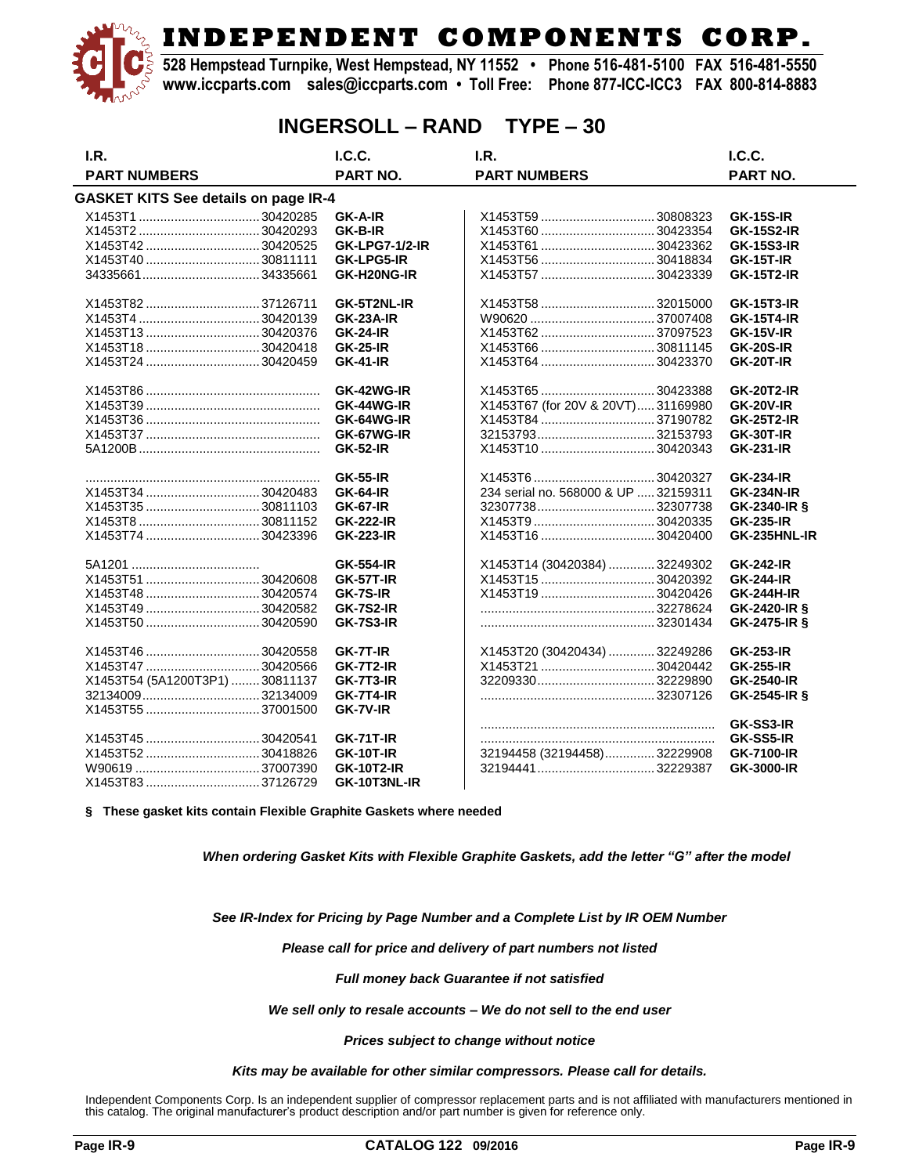**528 Hempstead Turnpike, West Hempstead, NY 11552 • Phone 516-481-5100 FAX 516-481-5550 www.iccparts.com sales@iccparts.com • Toll Free: Phone 877-ICC-ICC3 FAX 800-814-8883**

### **INGERSOLL – RAND TYPE – 30**

| I.R.                                 | I.C.C.                | I.R.                                 | I.C.C.            |
|--------------------------------------|-----------------------|--------------------------------------|-------------------|
| <b>PART NUMBERS</b>                  | PART NO.              | <b>PART NUMBERS</b>                  | <b>PART NO.</b>   |
| GASKET KITS See details on page IR-4 |                       |                                      |                   |
|                                      | <b>GK-A-IR</b>        | X1453T59 30808323                    | <b>GK-15S-IR</b>  |
|                                      | <b>GK-B-IR</b>        | X1453T60 30423354                    | <b>GK-15S2-IR</b> |
| X1453T4230420525                     | <b>GK-LPG7-1/2-IR</b> | X1453T61 30423362                    | <b>GK-15S3-IR</b> |
|                                      | <b>GK-LPG5-IR</b>     | X1453T56 30418834                    | <b>GK-15T-IR</b>  |
|                                      | GK-H20NG-IR           |                                      | <b>GK-15T2-IR</b> |
| X1453T82  37126711                   | GK-5T2NL-IR           | X1453T58 32015000                    | <b>GK-15T3-IR</b> |
|                                      | <b>GK-23A-IR</b>      |                                      | <b>GK-15T4-IR</b> |
| X1453T13  30420376                   | <b>GK-24-IR</b>       | X1453T62 37097523                    | <b>GK-15V-IR</b>  |
| X1453T18  30420418                   | <b>GK-25-IR</b>       | X1453T66 30811145                    | <b>GK-20S-IR</b>  |
|                                      | <b>GK-41-IR</b>       |                                      | <b>GK-20T-IR</b>  |
|                                      | GK-42WG-IR            | X1453T65  30423388                   | <b>GK-20T2-IR</b> |
|                                      | GK-44WG-IR            | X1453T67 (for 20V & 20VT)31169980    | <b>GK-20V-IR</b>  |
|                                      | GK-64WG-IR            |                                      | <b>GK-25T2-IR</b> |
|                                      | GK-67WG-IR            | 3215379332153793                     | <b>GK-30T-IR</b>  |
|                                      | <b>GK-52-IR</b>       | X1453T10 30420343                    | <b>GK-231-IR</b>  |
|                                      | <b>GK-55-IR</b>       | X1453T6 30420327                     | <b>GK-234-IR</b>  |
| X1453T34  30420483                   | <b>GK-64-IR</b>       | 234 serial no. 568000 & UP  32159311 | <b>GK-234N-IR</b> |
| X1453T35  30811103                   | <b>GK-67-IR</b>       | 3230773832307738                     | GK-2340-IR §      |
|                                      | <b>GK-222-IR</b>      |                                      | <b>GK-235-IR</b>  |
|                                      | <b>GK-223-IR</b>      | X1453T16 30420400                    | GK-235HNL-IR      |
|                                      | <b>GK-554-IR</b>      | X1453T14 (30420384) 32249302         | <b>GK-242-IR</b>  |
| X1453T51  30420608                   | <b>GK-57T-IR</b>      |                                      | <b>GK-244-IR</b>  |
|                                      | GK-7S-IR              | X1453T19 30420426                    | <b>GK-244H-IR</b> |
| X1453T49  30420582                   | <b>GK-7S2-IR</b>      |                                      | GK-2420-IR §      |
|                                      | <b>GK-7S3-IR</b>      |                                      | GK-2475-IR &      |
|                                      | GK-7T-IR              | X1453T20 (30420434) 32249286         | <b>GK-253-IR</b>  |
|                                      | <b>GK-7T2-IR</b>      | X1453T21 30420442                    | <b>GK-255-IR</b>  |
| X1453T54 (5A1200T3P1)  30811137      | GK-7T3-IR             |                                      | <b>GK-2540-IR</b> |
|                                      | <b>GK-7T4-IR</b>      |                                      | GK-2545-IR §      |
|                                      | GK-7V-IR              |                                      |                   |
|                                      |                       |                                      | GK-SS3-IR         |
| X1453T45  30420541                   | <b>GK-71T-IR</b>      |                                      | GK-SS5-IR         |
| X1453T52  30418826                   | <b>GK-10T-IR</b>      | 32194458 (32194458)32229908          | <b>GK-7100-IR</b> |
|                                      | <b>GK-10T2-IR</b>     |                                      | GK-3000-IR        |
| X1453T83 37126729                    | GK-10T3NL-IR          |                                      |                   |

**§ These gasket kits contain Flexible Graphite Gaskets where needed**

*When ordering Gasket Kits with Flexible Graphite Gaskets, add the letter "G" after the model*

*See IR-Index for Pricing by Page Number and a Complete List by IR OEM Number*

*Please call for price and delivery of part numbers not listed*

*Full money back Guarantee if not satisfied*

*We sell only to resale accounts – We do not sell to the end user*

*Prices subject to change without notice*

*Kits may be available for other similar compressors. Please call for details.*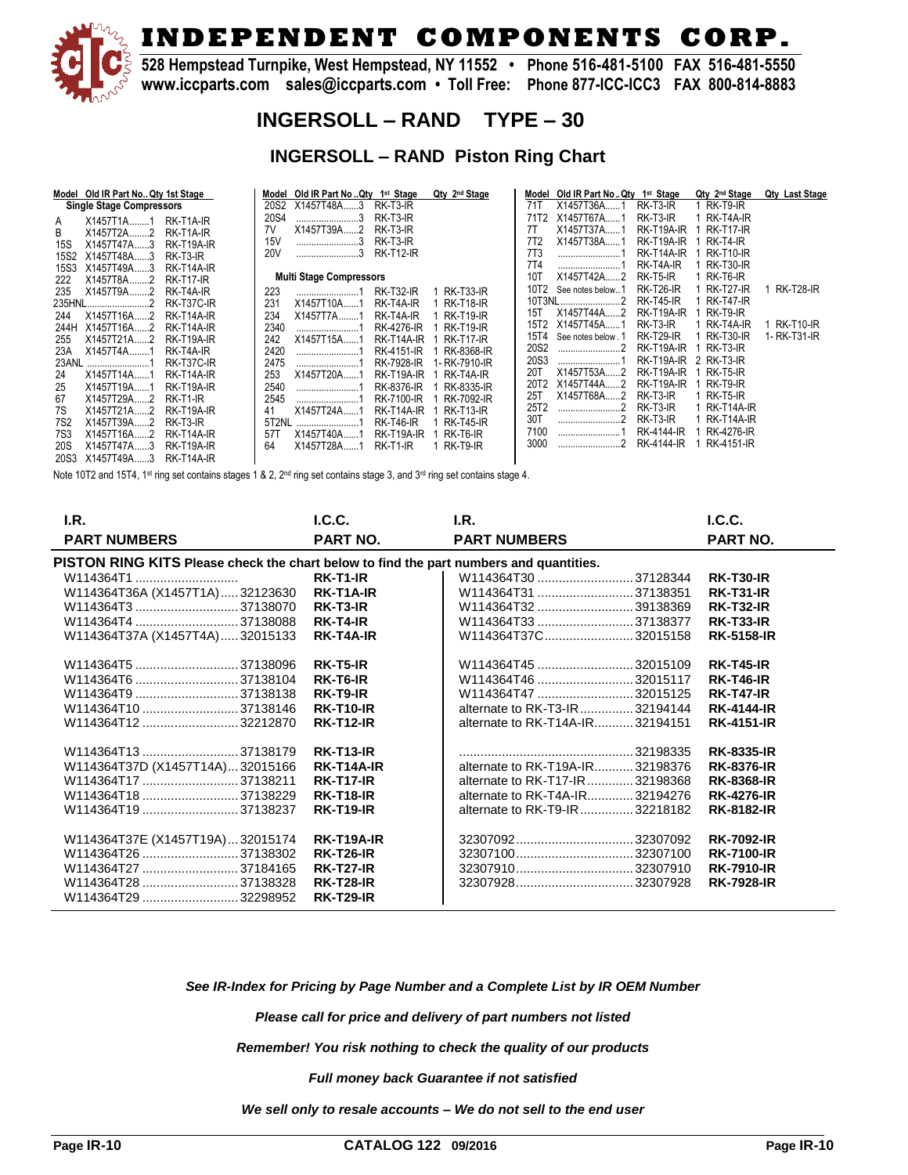

**528 Hempstead Turnpike, West Hempstead, NY 11552 • Phone 516-481-5100 FAX 516-481-5550 www.iccparts.com sales@iccparts.com • Toll Free: Phone 877-ICC-ICC3 FAX 800-814-8883**

### **INGERSOLL – RAND TYPE – 30**

#### **INGERSOLL – RAND Piston Ring Chart**

| Model Old IR Part No. Qty 1st Stage       | Model Old IR Part No Qty 1 <sup>st</sup> Stage | Qty 2 <sup>nd</sup> Stage | Old IR Part No Qty 1 <sup>st</sup> Stage<br>Model |                  | Qty 2 <sup>nd</sup> Stage<br><b>Qty Last Stage</b> |
|-------------------------------------------|------------------------------------------------|---------------------------|---------------------------------------------------|------------------|----------------------------------------------------|
| <b>Single Stage Compressors</b>           | RK-T3-IR<br>20S2 X1457T48A3                    | 71T                       | X1457T36A1                                        | RK-T3-IR         | RK-T9-IR                                           |
| RK-T1A-IR<br>X1457T1A1<br>A               | 20S4<br>RK-T3-IR                               |                           | X1457T67A<br>71T2                                 | RK-T3-IR         | RK-T4A-IR                                          |
| B<br>X1457T2A2<br>RK-T1A-IR               | X1457T39A2<br>RK-T3-IR<br>7V                   | 7T                        | X1457T37A                                         | RK-T19A-IR       | <b>RK-T17-IR</b>                                   |
| $X1457T47A$ 3<br><b>RK-T19A-IR</b><br>15S | 15 <sub>V</sub><br>RK-T3-IR                    | 7T <sub>2</sub>           | X1457T38A1                                        | RK-T19A-IR       | RK-T4-IR                                           |
| RK-T3-IR<br>15S2<br>X1457T48A3            | <b>20V</b><br>3<br><b>RK-T12-IR</b>            | <b>7T3</b>                |                                                   | RK-T14A-IR       | <b>RK-T10-IR</b>                                   |
| X1457T49A3<br><b>15S3</b><br>RK-T14A-IR   |                                                | <b>7T4</b>                |                                                   | RK-T4A-IR        | <b>RK-T30-IR</b>                                   |
| <b>RK-T17-IR</b><br>222<br>X1457T8A2      | <b>Multi Stage Compressors</b>                 | 10T                       | X1457T42A2                                        | RK-T5-IR         | RK-T6-IR                                           |
| X1457T9A2<br>RK-T4A-IR<br>235             | <b>RK-T32-IR</b><br>223                        | <b>RK-T33-IR</b>          | 10T2<br>See notes below1                          | <b>RK-T26-IR</b> | <b>RK-T27-IR</b><br><b>RK-T28-IR</b>               |
| 235HNL2<br>RK-T37C-IR                     | 231<br>X1457T10A1<br>RK-T4A-IR                 | <b>RK-T18-IR</b>          | 10T3NL2                                           | <b>RK-T45-IR</b> | <b>RK-T47-IR</b>                                   |
| X1457T16A2<br>RK-T14A-IR<br>244           | 234<br>X1457T7A1<br>RK-T4A-IR                  | 15T<br><b>RK-T19-IR</b>   | X1457T44A2                                        | RK-T19A-IR       | RK-T9-IR                                           |
| X1457T16A2<br>RK-T14A-IR<br>244H          | 2340<br><b>RK-4276-IR</b>                      | <b>RK-T19-IR</b>          | X1457T45A1<br>15T2                                | RK-T3-IR         | RK-T10-IR<br>RK-T4A-IR                             |
| X1457T21A2<br>RK-T19A-IR<br>255           | 242<br>X1457T15A1<br>RK-T14A-IR                | <b>RK-T17-IR</b>          | 15T4<br>See notes below . 1                       | <b>RK-T29-IR</b> | RK-T30-IR<br>1- RK-T31-IR                          |
| RK-T4A-IR<br>23A<br>X1457T4A1             | 2420<br>RK-4151-IR                             | RK-8368-IR                | 20S2                                              | RK-T19A-IR       | RK-T3-IR                                           |
| 23ANL<br>RK-T37C-IR                       | 2475<br>RK-7928-IR                             | l- RK-7910-IR             | 20S3                                              | RK-T19A-IR       | 2 RK-T3-IR                                         |
| 24<br>X1457T14A1<br>RK-T14A-IR            | 253<br>X1457T20A1<br>RK-T19A-IR                | 20T<br>RK-T4A-IR          | X1457T53A2                                        | RK-T19A-IR       | RK-T5-IR                                           |
|                                           |                                                |                           | 20T2<br>X1457T44A2                                | RK-T19A-IR       | RK-T9-IR                                           |
| X1457T19A1<br><b>RK-T19A-IR</b><br>25     | 2540<br>RK-8376-IR                             | RK-8335-IR<br>25T         | X1457T68A2                                        | RK-T3-IR         | RK-T5-IR                                           |
| RK-T1-IR<br>67<br>X1457T29A2              | 2545<br>RK-7100-IR                             | RK-7092-IR                | 25T2                                              | RK-T3-IR         | RK-T14A-IR                                         |
| <b>RK-T19A-IR</b><br>$X1457T21A$ 2<br>7S  | X1457T24A1<br>RK-T14A-IR<br>41                 | <b>RK-T13-IR</b><br>30T   |                                                   |                  |                                                    |
| X1457T39A2<br>RK-T3-IR<br>7S <sub>2</sub> | 5T2NL<br><b>RK-T46-IR</b>                      | <b>RK-T45-IR</b>          | 2                                                 | RK-T3-IR         | RK-T14A-IR                                         |
| <b>7S3</b><br>X1457T16A2<br>RK-T14A-IR    | X1457T40A1<br>RK-T19A-IR<br>57T                | RK-T6-IR                  | 7100                                              | RK-4144-IR       | RK-4276-IR                                         |
| 20S<br>X1457T47A3<br>RK-T19A-IR           | RK-T1-IR<br>X1457T28A1<br>64                   | RK-T9-IR                  | 3000                                              | RK-4144-IR       | RK-4151-IR                                         |
| RK-T14A-IR<br>20S3<br>X1457T49A3          |                                                |                           |                                                   |                  |                                                    |

Note 10T2 and 15T4, 1st ring set contains stages 1 & 2, 2nd ring set contains stage 3, and 3rd ring set contains stage 4.

| LR.                                                                                    | I.C.C.            | LR.                              | L.C.C.            |
|----------------------------------------------------------------------------------------|-------------------|----------------------------------|-------------------|
| <b>PART NUMBERS</b>                                                                    | PART NO.          | <b>PART NUMBERS</b>              | PART NO.          |
| PISTON RING KITS Please check the chart below to find the part numbers and quantities. |                   |                                  |                   |
| W114364T1                                                                              | RK-T1-IR          | W114364T30 37128344              | <b>RK-T30-IR</b>  |
| W114364T36A (X1457T1A)32123630                                                         | RK-T1A-IR         | W114364T31 37138351              | <b>RK-T31-IR</b>  |
| W114364T3 37138070                                                                     | RK-T3-IR          | W114364T32 39138369              | <b>RK-T32-IR</b>  |
| W114364T4 37138088                                                                     | RK-T4-IR          | W114364T33 37138377              | <b>RK-T33-IR</b>  |
| W114364T37A (X1457T4A)32015133                                                         | RK-T4A-IR         | W114364T37C32015158              | <b>RK-5158-IR</b> |
| W114364T5 37138096                                                                     | RK-T5-IR          | W114364T45 32015109              | <b>RK-T45-IR</b>  |
| W114364T6 37138104                                                                     | RK-T6-IR          | W114364T46 32015117              | <b>RK-T46-IR</b>  |
| W114364T9 37138138                                                                     | RK-T9-IR          | W114364T47 32015125              | <b>RK-T47-IR</b>  |
| W114364T10 37138146                                                                    | <b>RK-T10-IR</b>  | alternate to RK-T3-IR  32194144  | <b>RK-4144-IR</b> |
| W114364T12 32212870                                                                    | <b>RK-T12-IR</b>  | alternate to RK-T14A-IR32194151  | <b>RK-4151-IR</b> |
| W114364T13 37138179                                                                    | <b>RK-T13-IR</b>  |                                  | <b>RK-8335-IR</b> |
| W114364T37D (X1457T14A)32015166                                                        | <b>RK-T14A-IR</b> | alternate to RK-T19A-IR32198376  | <b>RK-8376-IR</b> |
| W114364T17 37138211                                                                    | <b>RK-T17-IR</b>  | alternate to RK-T17-IR  32198368 | <b>RK-8368-IR</b> |
| W114364T18  37138229                                                                   | <b>RK-T18-IR</b>  | alternate to RK-T4A-IR32194276   | <b>RK-4276-IR</b> |
| W114364T19 37138237                                                                    | <b>RK-T19-IR</b>  | alternate to RK-T9-IR  32218182  | <b>RK-8182-IR</b> |
| W114364T37E (X1457T19A)32015174                                                        | <b>RK-T19A-IR</b> |                                  | <b>RK-7092-IR</b> |
| W114364T26 37138302                                                                    | <b>RK-T26-IR</b>  |                                  | <b>RK-7100-IR</b> |
| W114364T27 37184165                                                                    | <b>RK-T27-IR</b>  |                                  | <b>RK-7910-IR</b> |
| W114364T28 37138328                                                                    | <b>RK-T28-IR</b>  |                                  | <b>RK-7928-IR</b> |
| W114364T29 32298952                                                                    | <b>RK-T29-IR</b>  |                                  |                   |
|                                                                                        |                   |                                  |                   |

*See IR-Index for Pricing by Page Number and a Complete List by IR OEM Number*

*Please call for price and delivery of part numbers not listed*

*Remember! You risk nothing to check the quality of our products*

*Full money back Guarantee if not satisfied*

*We sell only to resale accounts – We do not sell to the end user*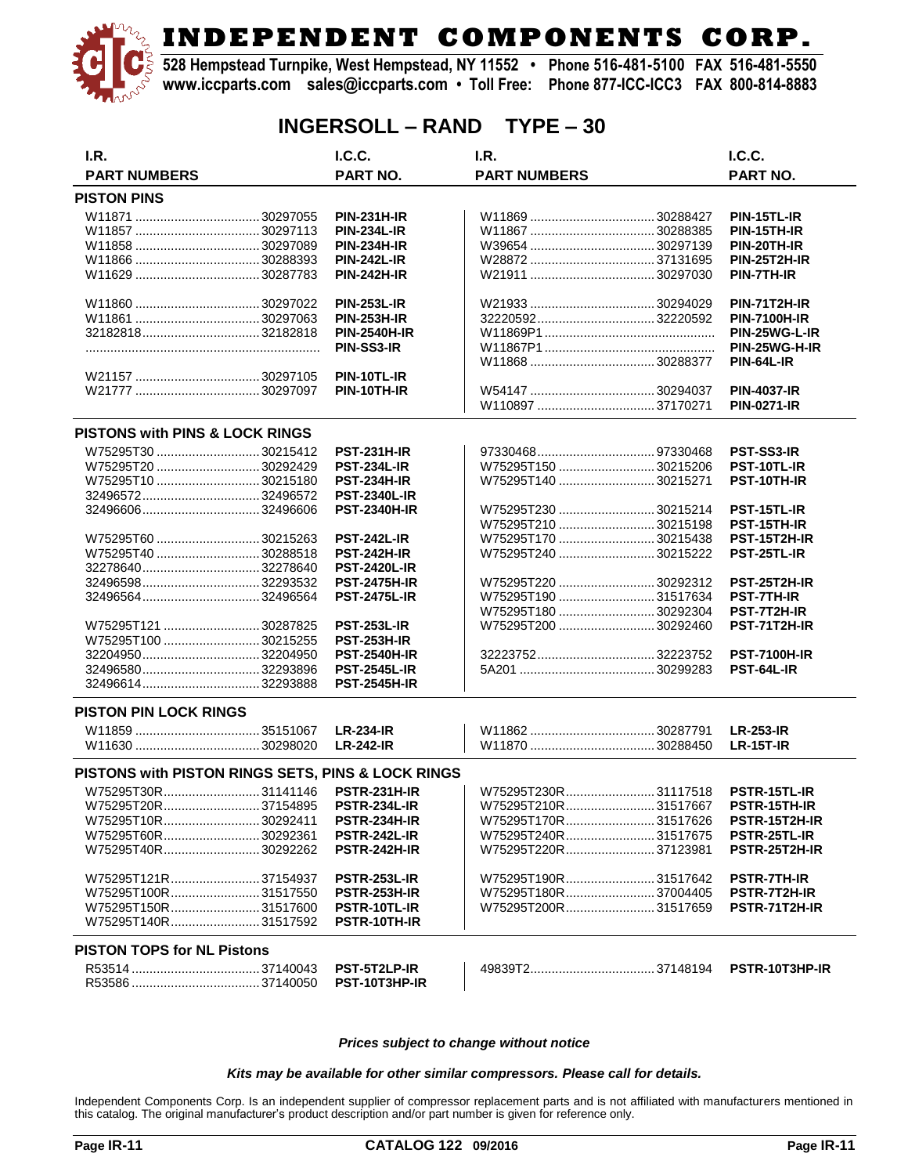**528 Hempstead Turnpike, West Hempstead, NY 11552 • Phone 516-481-5100 FAX 516-481-5550 www.iccparts.com sales@iccparts.com • Toll Free: Phone 877-ICC-ICC3 FAX 800-814-8883**

### **INGERSOLL – RAND TYPE – 30**

| I.R.                                              | I.C.C.              | I.R.                 | I.C.C.              |
|---------------------------------------------------|---------------------|----------------------|---------------------|
| <b>PART NUMBERS</b>                               | <b>PART NO.</b>     | <b>PART NUMBERS</b>  | <b>PART NO.</b>     |
| <b>PISTON PINS</b>                                |                     |                      |                     |
|                                                   | <b>PIN-231H-IR</b>  |                      | PIN-15TL-IR         |
|                                                   | <b>PIN-234L-IR</b>  |                      | PIN-15TH-IR         |
|                                                   | <b>PIN-234H-IR</b>  |                      | PIN-20TH-IR         |
|                                                   | <b>PIN-242L-IR</b>  |                      | <b>PIN-25T2H-IR</b> |
|                                                   | <b>PIN-242H-IR</b>  |                      | PIN-7TH-IR          |
|                                                   |                     |                      |                     |
|                                                   | <b>PIN-253L-IR</b>  |                      | <b>PIN-71T2H-IR</b> |
|                                                   | <b>PIN-253H-IR</b>  |                      | <b>PIN-7100H-IR</b> |
|                                                   | <b>PIN-2540H-IR</b> |                      | PIN-25WG-L-IR       |
|                                                   | PIN-SS3-IR          |                      | PIN-25WG-H-IR       |
|                                                   |                     |                      | PIN-64L-IR          |
|                                                   | PIN-10TL-IR         |                      |                     |
|                                                   | PIN-10TH-IR         |                      | <b>PIN-4037-IR</b>  |
|                                                   |                     |                      | <b>PIN-0271-IR</b>  |
| PISTONS with PINS & LOCK RINGS                    |                     |                      |                     |
| W75295T30 30215412                                | <b>PST-231H-IR</b>  |                      | PST-SS3-IR          |
|                                                   | <b>PST-234L-IR</b>  | W75295T150 30215206  | PST-10TL-IR         |
| W75295T10  30215180                               | <b>PST-234H-IR</b>  | W75295T140 30215271  | PST-10TH-IR         |
| 3249657232496572                                  | <b>PST-2340L-IR</b> |                      |                     |
|                                                   |                     | W75295T230 30215214  |                     |
|                                                   | <b>PST-2340H-IR</b> |                      | PST-15TL-IR         |
|                                                   |                     | W75295T210 30215198  | PST-15TH-IR         |
| W75295T60 30215263                                | <b>PST-242L-IR</b>  | W75295T170 30215438  | <b>PST-15T2H-IR</b> |
| W75295T40 30288518                                | <b>PST-242H-IR</b>  | W75295T240 30215222  | PST-25TL-IR         |
|                                                   | <b>PST-2420L-IR</b> |                      |                     |
|                                                   | <b>PST-2475H-IR</b> | W75295T220  30292312 | <b>PST-25T2H-IR</b> |
|                                                   | <b>PST-2475L-IR</b> | W75295T190 31517634  | <b>PST-7TH-IR</b>   |
|                                                   |                     | W75295T180 30292304  | PST-7T2H-IR         |
| W75295T121  30287825                              | <b>PST-253L-IR</b>  | W75295T200 30292460  | PST-71T2H-IR        |
| W75295T100 30215255                               | <b>PST-253H-IR</b>  |                      |                     |
|                                                   | <b>PST-2540H-IR</b> |                      | <b>PST-7100H-IR</b> |
|                                                   | <b>PST-2545L-IR</b> |                      | PST-64L-IR          |
|                                                   | <b>PST-2545H-IR</b> |                      |                     |
| <b>PISTON PIN LOCK RINGS</b>                      |                     |                      |                     |
|                                                   | <b>LR-234-IR</b>    |                      |                     |
|                                                   |                     |                      | <b>LR-253-IR</b>    |
|                                                   | <b>LR-242-IR</b>    |                      | $LR-15T-IR$         |
| PISTONS with PISTON RINGS SETS, PINS & LOCK RINGS |                     |                      |                     |
| W75295T30R31141146                                | <b>PSTR-231H-IR</b> | W75295T230R31117518  | PSTR-15TL-IR        |
| W75295T20R37154895                                | PSTR-234L-IR        | W75295T210R31517667  | PSTR-15TH-IR        |
| W75295T10R30292411                                | <b>PSTR-234H-IR</b> | W75295T170R31517626  | PSTR-15T2H-IR       |
| W75295T60R30292361                                | <b>PSTR-242L-IR</b> | W75295T240R31517675  | PSTR-25TL-IR        |
| W75295T40R30292262                                | <b>PSTR-242H-IR</b> | W75295T220R37123981  | PSTR-25T2H-IR       |
|                                                   |                     |                      |                     |
| W75295T121R37154937                               | <b>PSTR-253L-IR</b> | W75295T190R31517642  | <b>PSTR-7TH-IR</b>  |
| W75295T100R31517550                               | <b>PSTR-253H-IR</b> | W75295T180R37004405  | <b>PSTR-7T2H-IR</b> |
| W75295T150R31517600                               | PSTR-10TL-IR        | W75295T200R31517659  | PSTR-71T2H-IR       |
| W75295T140R31517592                               | PSTR-10TH-IR        |                      |                     |
|                                                   |                     |                      |                     |
| <b>PISTON TOPS for NL Pistons</b>                 |                     |                      |                     |
|                                                   | PST-5T2LP-IR        |                      | PSTR-10T3HP-IR      |
|                                                   | PST-10T3HP-IR       |                      |                     |
|                                                   |                     |                      |                     |

*Prices subject to change without notice*

#### *Kits may be available for other similar compressors. Please call for details.*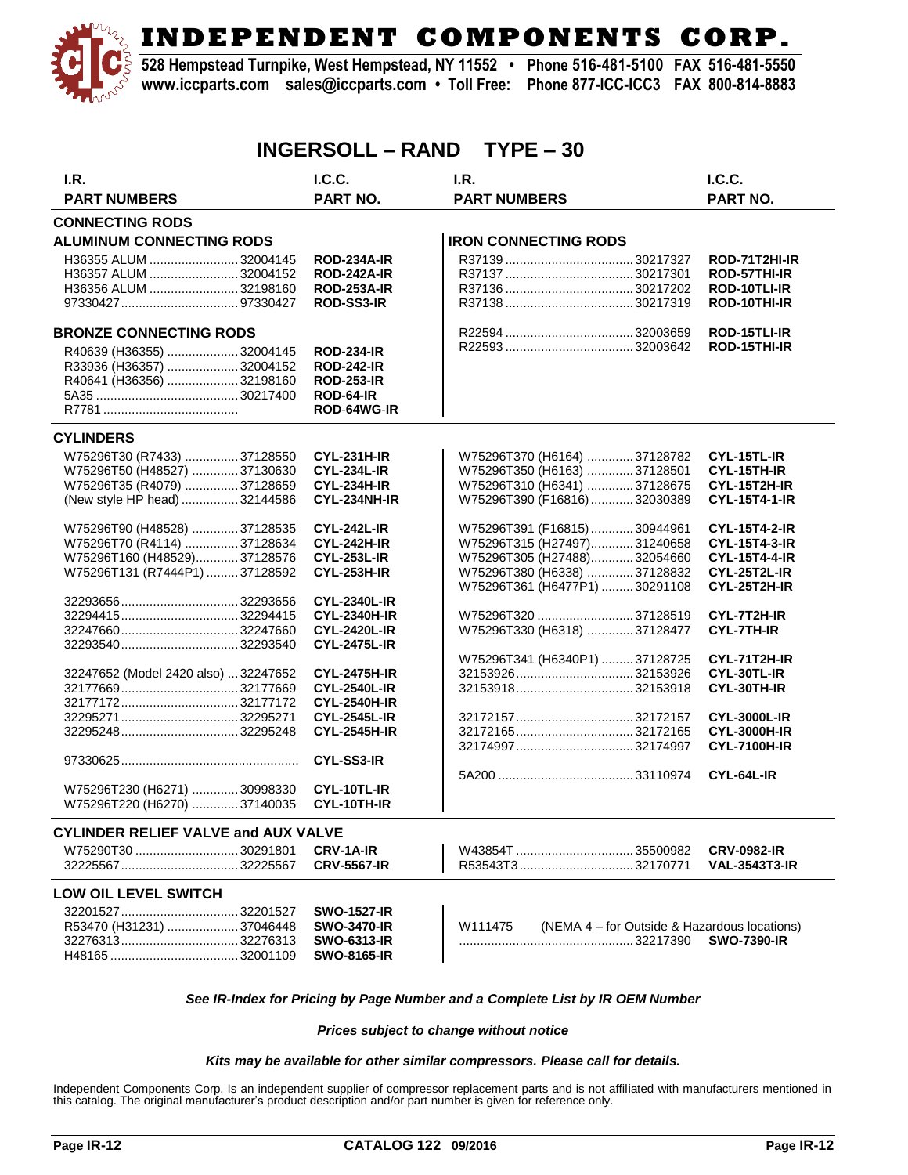

**528 Hempstead Turnpike, West Hempstead, NY 11552 • Phone 516-481-5100 FAX 516-481-5550 www.iccparts.com sales@iccparts.com • Toll Free: Phone 877-ICC-ICC3 FAX 800-814-8883**

### **INGERSOLL – RAND TYPE – 30**

| I.R.                                       | I.C.C.                                     | I.R.                                                    | I.C.C.                                     |
|--------------------------------------------|--------------------------------------------|---------------------------------------------------------|--------------------------------------------|
| <b>PART NUMBERS</b>                        | <b>PART NO.</b>                            | <b>PART NUMBERS</b>                                     | <b>PART NO.</b>                            |
| <b>CONNECTING RODS</b>                     |                                            |                                                         |                                            |
| <b>ALUMINUM CONNECTING RODS</b>            |                                            | <b>IRON CONNECTING RODS</b>                             |                                            |
| H36355 ALUM  32004145                      | <b>ROD-234A-IR</b>                         |                                                         | ROD-71T2HI-IR                              |
| H36357 ALUM  32004152                      | <b>ROD-242A-IR</b>                         |                                                         | ROD-57THI-IR                               |
| H36356 ALUM 32198160                       | <b>ROD-253A-IR</b>                         |                                                         | ROD-10TLI-IR                               |
|                                            | <b>ROD-SS3-IR</b>                          |                                                         | ROD-10THI-IR                               |
| <b>BRONZE CONNECTING RODS</b>              |                                            |                                                         | ROD-15TLI-IR                               |
| R40639 (H36355)  32004145                  | <b>ROD-234-IR</b>                          |                                                         | ROD-15THI-IR                               |
| R33936 (H36357)  32004152                  | <b>ROD-242-IR</b>                          |                                                         |                                            |
| R40641 (H36356) 32198160                   | <b>ROD-253-IR</b>                          |                                                         |                                            |
|                                            | ROD-64-IR                                  |                                                         |                                            |
|                                            | ROD-64WG-IR                                |                                                         |                                            |
| <b>CYLINDERS</b>                           |                                            |                                                         |                                            |
| W75296T30 (R7433)  37128550                | <b>CYL-231H-IR</b>                         | W75296T370 (H6164) 37128782                             | CYL-15TL-IR                                |
| W75296T50 (H48527)  37130630               | <b>CYL-234L-IR</b>                         | W75296T350 (H6163) 37128501                             | CYL-15TH-IR                                |
| W75296T35 (R4079) 37128659                 | <b>CYL-234H-IR</b>                         | W75296T310 (H6341) 37128675                             | CYL-15T2H-IR                               |
| (New style HP head)  32144586              | CYL-234NH-IR                               | W75296T390 (F16816)32030389                             | <b>CYL-15T4-1-IR</b>                       |
|                                            |                                            |                                                         |                                            |
| W75296T90 (H48528) 37128535                | <b>CYL-242L-IR</b>                         | W75296T391 (F16815)30944961                             | <b>CYL-15T4-2-IR</b>                       |
| W75296T70 (R4114) 37128634                 | <b>CYL-242H-IR</b>                         | W75296T315 (H27497)31240658                             | <b>CYL-15T4-3-IR</b>                       |
| W75296T160 (H48529)37128576                | <b>CYL-253L-IR</b>                         | W75296T305 (H27488)32054660                             | <b>CYL-15T4-4-IR</b>                       |
| W75296T131 (R7444P1)  37128592             | <b>CYL-253H-IR</b>                         | W75296T380 (H6338) 37128832                             | CYL-25T2L-IR                               |
|                                            |                                            | W75296T361 (H6477P1) 30291108                           | CYL-25T2H-IR                               |
|                                            | <b>CYL-2340L-IR</b>                        |                                                         |                                            |
|                                            | <b>CYL-2340H-IR</b>                        | W75296T320 37128519                                     | CYL-7T2H-IR                                |
|                                            | <b>CYL-2420L-IR</b>                        | W75296T330 (H6318)  37128477                            | <b>CYL-7TH-IR</b>                          |
|                                            | <b>CYL-2475L-IR</b>                        |                                                         |                                            |
|                                            |                                            | W75296T341 (H6340P1)  37128725                          | CYL-71T2H-IR                               |
| 32247652 (Model 2420 also)  32247652       | <b>CYL-2475H-IR</b>                        | 3215392632153926                                        | CYL-30TL-IR                                |
|                                            | <b>CYL-2540L-IR</b>                        |                                                         | CYL-30TH-IR                                |
|                                            | <b>CYL-2540H-IR</b>                        |                                                         |                                            |
|                                            | <b>CYL-2545L-IR</b><br><b>CYL-2545H-IR</b> |                                                         | <b>CYL-3000L-IR</b><br><b>CYL-3000H-IR</b> |
|                                            |                                            | 3217216532172165                                        |                                            |
|                                            | <b>CYL-SS3-IR</b>                          |                                                         | <b>CYL-7100H-IR</b>                        |
|                                            |                                            |                                                         | CYL-64L-IR                                 |
| W75296T230 (H6271) 30998330                | CYL-10TL-IR                                |                                                         |                                            |
| W75296T220 (H6270) 37140035                | CYL-10TH-IR                                |                                                         |                                            |
| <b>CYLINDER RELIEF VALVE and AUX VALVE</b> |                                            |                                                         |                                            |
| W75290T30  30291801                        | <b>CRV-1A-IR</b>                           |                                                         | <b>CRV-0982-IR</b>                         |
|                                            | <b>CRV-5567-IR</b>                         |                                                         | <b>VAL-3543T3-IR</b>                       |
| LOW OIL LEVEL SWITCH                       |                                            |                                                         |                                            |
| 3220152732201527                           | <b>SWO-1527-IR</b>                         |                                                         |                                            |
| R53470 (H31231)  37046448                  | <b>SWO-3470-IR</b>                         | W111475<br>(NEMA 4 – for Outside & Hazardous locations) |                                            |
|                                            |                                            |                                                         |                                            |

#### *See IR-Index for Pricing by Page Number and a Complete List by IR OEM Number*

................................................. 32217390 **SWO-7390-IR**

*Prices subject to change without notice*

#### *Kits may be available for other similar compressors. Please call for details.*

Independent Components Corp. Is an independent supplier of compressor replacement parts and is not affiliated with manufacturers mentioned in<br>this catalog. The original manufacturer's product description and/or part number

32276313................................. 32276313 **SWO-6313-IR** H48165 .................................... 32001109 **SWO-8165-IR**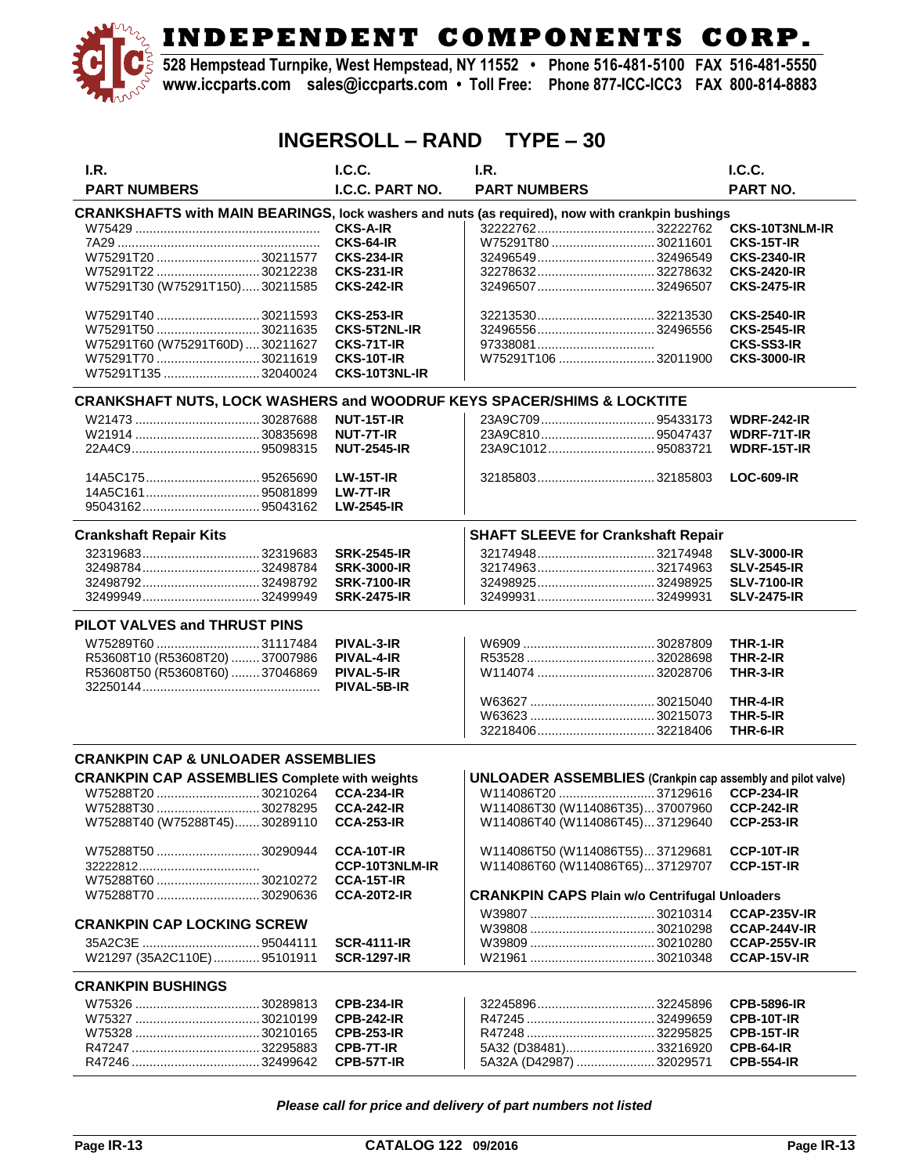**528 Hempstead Turnpike, West Hempstead, NY 11552 • Phone 516-481-5100 FAX 516-481-5550 www.iccparts.com sales@iccparts.com • Toll Free: Phone 877-ICC-ICC3 FAX 800-814-8883**

| <b>INGERSOLL – RAND</b><br>$TYPE - 30$                                                          |                     |                                                                    |  |                       |  |
|-------------------------------------------------------------------------------------------------|---------------------|--------------------------------------------------------------------|--|-----------------------|--|
| I.R.                                                                                            | I.C.C.              | I.R.                                                               |  | I.C.C.                |  |
| <b>PART NUMBERS</b>                                                                             | I.C.C. PART NO.     | <b>PART NUMBERS</b>                                                |  | PART NO.              |  |
| CRANKSHAFTS with MAIN BEARINGS, lock washers and nuts (as required), now with crankpin bushings |                     |                                                                    |  |                       |  |
|                                                                                                 | <b>CKS-A-IR</b>     |                                                                    |  | <b>CKS-10T3NLM-IR</b> |  |
|                                                                                                 | CKS-64-IR           | W75291T8030211601                                                  |  | CKS-15T-IR            |  |
| W75291T2030211577                                                                               | <b>CKS-234-IR</b>   |                                                                    |  | <b>CKS-2340-IR</b>    |  |
| W75291T22  30212238                                                                             | <b>CKS-231-IR</b>   | 3227863232278632                                                   |  | <b>CKS-2420-IR</b>    |  |
| W75291T30 (W75291T150)30211585                                                                  | <b>CKS-242-IR</b>   | 3249650732496507                                                   |  | <b>CKS-2475-IR</b>    |  |
| W75291T40 30211593                                                                              | <b>CKS-253-IR</b>   | 3221353032213530                                                   |  | <b>CKS-2540-IR</b>    |  |
| W75291T50 30211635                                                                              | <b>CKS-5T2NL-IR</b> |                                                                    |  | <b>CKS-2545-IR</b>    |  |
| W75291T60 (W75291T60D)  30211627                                                                | CKS-71T-IR          |                                                                    |  | <b>CKS-SS3-IR</b>     |  |
| W75291T70  30211619                                                                             | <b>CKS-10T-IR</b>   | W75291T106 32011900                                                |  | <b>CKS-3000-IR</b>    |  |
| W75291T135  32040024                                                                            | CKS-10T3NL-IR       |                                                                    |  |                       |  |
| CRANKSHAFT NUTS, LOCK WASHERS and WOODRUF KEYS SPACER/SHIMS & LOCKTITE                          |                     |                                                                    |  |                       |  |
|                                                                                                 | <b>NUT-15T-IR</b>   |                                                                    |  | <b>WDRF-242-IR</b>    |  |
|                                                                                                 | <b>NUT-7T-IR</b>    |                                                                    |  | <b>WDRF-71T-IR</b>    |  |
|                                                                                                 | <b>NUT-2545-IR</b>  | 23A9C101295083721                                                  |  | <b>WDRF-15T-IR</b>    |  |
|                                                                                                 |                     |                                                                    |  |                       |  |
|                                                                                                 | <b>LW-15T-IR</b>    | 3218580332185803                                                   |  | <b>LOC-609-IR</b>     |  |
|                                                                                                 | LW-7T-IR            |                                                                    |  |                       |  |
|                                                                                                 | <b>LW-2545-IR</b>   |                                                                    |  |                       |  |
| <b>Crankshaft Repair Kits</b>                                                                   |                     | <b>SHAFT SLEEVE for Crankshaft Repair</b>                          |  |                       |  |
|                                                                                                 | <b>SRK-2545-IR</b>  |                                                                    |  | <b>SLV-3000-IR</b>    |  |
|                                                                                                 | <b>SRK-3000-IR</b>  | 3217496332174963                                                   |  | <b>SLV-2545-IR</b>    |  |
| 3249879232498792                                                                                | <b>SRK-7100-IR</b>  | 3249892532498925                                                   |  | <b>SLV-7100-IR</b>    |  |
|                                                                                                 | <b>SRK-2475-IR</b>  | 3249993132499931                                                   |  | <b>SLV-2475-IR</b>    |  |
| PILOT VALVES and THRUST PINS                                                                    |                     |                                                                    |  |                       |  |
| W75289T60 31117484                                                                              | PIVAL-3-IR          |                                                                    |  | THR-1-IR              |  |
| R53608T10 (R53608T20)  37007986                                                                 | PIVAL-4-IR          |                                                                    |  | THR-2-IR              |  |
| R53608T50 (R53608T60) 37046869                                                                  | PIVAL-5-IR          | W114074 32028706                                                   |  | THR-3-IR              |  |
|                                                                                                 | PIVAL-5B-IR         |                                                                    |  |                       |  |
|                                                                                                 |                     |                                                                    |  | THR-4-IR              |  |
|                                                                                                 |                     |                                                                    |  | THR-5-IR              |  |
|                                                                                                 |                     | 3221840632218406                                                   |  | THR-6-IR              |  |
| <b>CRANKPIN CAP &amp; UNLOADER ASSEMBLIES</b>                                                   |                     |                                                                    |  |                       |  |
| <b>CRANKPIN CAP ASSEMBLIES Complete with weights</b>                                            |                     | <b>UNLOADER ASSEMBLIES</b> (Crankpin cap assembly and pilot valve) |  |                       |  |
| W75288T20  30210264 CCA-234-IR                                                                  |                     |                                                                    |  |                       |  |
| W75288T30 30278295                                                                              | <b>CCA-242-IR</b>   | W114086T30 (W114086T35)37007960                                    |  | <b>CCP-242-IR</b>     |  |
| W75288T40 (W75288T45)30289110                                                                   | <b>CCA-253-IR</b>   | W114086T40 (W114086T45)37129640                                    |  | <b>CCP-253-IR</b>     |  |
| W75288T50  30290944                                                                             | CCA-10T-IR          | W114086T50 (W114086T55)37129681                                    |  | CCP-10T-IR            |  |
|                                                                                                 | CCP-10T3NLM-IR      | W114086T60 (W114086T65)37129707                                    |  | CCP-15T-IR            |  |
| W75288T60  30210272                                                                             | <b>CCA-15T-IR</b>   |                                                                    |  |                       |  |
| W75288T70 30290636                                                                              | <b>CCA-20T2-IR</b>  | <b>CRANKPIN CAPS Plain w/o Centrifugal Unloaders</b>               |  |                       |  |
|                                                                                                 |                     |                                                                    |  | <b>CCAP-235V-IR</b>   |  |
| <b>CRANKPIN CAP LOCKING SCREW</b>                                                               |                     |                                                                    |  | CCAP-244V-IR          |  |
| 35A2C3E  95044111                                                                               | <b>SCR-4111-IR</b>  |                                                                    |  | <b>CCAP-255V-IR</b>   |  |
| W21297 (35A2C110E)95101911                                                                      | <b>SCR-1297-IR</b>  |                                                                    |  | CCAP-15V-IR           |  |
| <b>CRANKPIN BUSHINGS</b>                                                                        |                     |                                                                    |  |                       |  |
|                                                                                                 | <b>CPB-234-IR</b>   | 3224589632245896                                                   |  | <b>CPB-5896-IR</b>    |  |
|                                                                                                 | <b>CPB-242-IR</b>   |                                                                    |  | CPB-10T-IR            |  |
|                                                                                                 | <b>CPB-253-IR</b>   |                                                                    |  | CPB-15T-IR            |  |
|                                                                                                 | CPB-7T-IR           | 5A32 (D38481)33216920                                              |  | CPB-64-IR             |  |
|                                                                                                 | CPB-57T-IR          | 5A32A (D42987) 32029571                                            |  | <b>CPB-554-IR</b>     |  |

*Please call for price and delivery of part numbers not listed*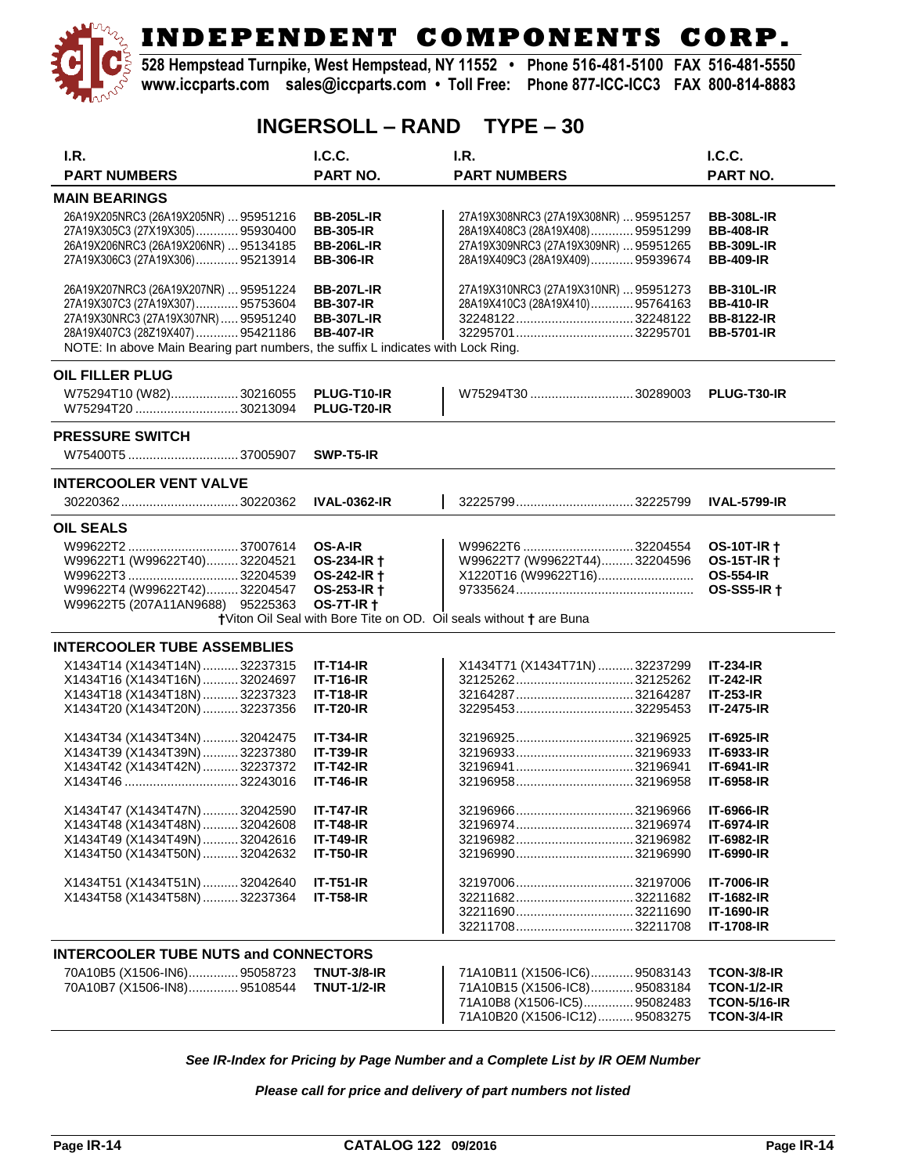

**528 Hempstead Turnpike, West Hempstead, NY 11552 • Phone 516-481-5100 FAX 516-481-5550 www.iccparts.com sales@iccparts.com • Toll Free: Phone 877-ICC-ICC3 FAX 800-814-8883**

### **INGERSOLL – RAND TYPE – 30**

| I.R.                                                                             | <b>I.C.C.</b>                    | I.R.                                                               | <b>I.C.C.</b>                            |
|----------------------------------------------------------------------------------|----------------------------------|--------------------------------------------------------------------|------------------------------------------|
| <b>PART NUMBERS</b>                                                              | <b>PART NO.</b>                  | <b>PART NUMBERS</b>                                                | <b>PART NO.</b>                          |
| <b>MAIN BEARINGS</b>                                                             |                                  |                                                                    |                                          |
| 26A19X205NRC3 (26A19X205NR)  95951216                                            | <b>BB-205L-IR</b>                | 27A19X308NRC3 (27A19X308NR)  95951257                              | <b>BB-308L-IR</b>                        |
| 27A19X305C3 (27X19X305) 95930400                                                 | <b>BB-305-IR</b>                 | 28A19X408C3 (28A19X408) 95951299                                   | <b>BB-408-IR</b>                         |
| 26A19X206NRC3 (26A19X206NR)  95134185                                            | <b>BB-206L-IR</b>                | 27A19X309NRC3 (27A19X309NR)  95951265                              | <b>BB-309L-IR</b>                        |
| 27A19X306C3 (27A19X306)95213914                                                  | <b>BB-306-IR</b>                 | 28A19X409C3 (28A19X409) 95939674                                   | <b>BB-409-IR</b>                         |
| 26A19X207NRC3 (26A19X207NR)  95951224                                            | <b>BB-207L-IR</b>                | 27A19X310NRC3 (27A19X310NR)  95951273                              | <b>BB-310L-IR</b>                        |
| 27A19X307C3 (27A19X307) 95753604                                                 | <b>BB-307-IR</b>                 | 28A19X410C3 (28A19X410)95764163                                    | <b>BB-410-IR</b>                         |
| 27A19X30NRC3 (27A19X307NR)95951240                                               | <b>BB-307L-IR</b>                |                                                                    | <b>BB-8122-IR</b>                        |
| 28A19X407C3 (28Z19X407)  95421186                                                | <b>BB-407-IR</b>                 | 32295701 32295701                                                  | <b>BB-5701-IR</b>                        |
| NOTE: In above Main Bearing part numbers, the suffix L indicates with Lock Ring. |                                  |                                                                    |                                          |
| <b>OIL FILLER PLUG</b>                                                           |                                  |                                                                    |                                          |
| W75294T10 (W82)30216055                                                          | PLUG-T10-IR                      | W75294T30 30289003                                                 | <b>PLUG-T30-IR</b>                       |
| W75294T20 30213094                                                               | PLUG-T20-IR                      |                                                                    |                                          |
| <b>PRESSURE SWITCH</b>                                                           |                                  |                                                                    |                                          |
|                                                                                  | SWP-T5-IR                        |                                                                    |                                          |
| <b>INTERCOOLER VENT VALVE</b>                                                    |                                  |                                                                    |                                          |
|                                                                                  | <b>IVAL-0362-IR</b>              |                                                                    | <b>IVAL-5799-IR</b>                      |
|                                                                                  |                                  |                                                                    |                                          |
| <b>OIL SEALS</b>                                                                 |                                  | W99622T6  32204554                                                 |                                          |
|                                                                                  | <b>OS-A-IR</b><br>OS-234-IR +    | W99622T7 (W99622T44)32204596                                       | <b>OS-10T-IR +</b><br><b>OS-15T-IR +</b> |
| W99622T1 (W99622T40)32204521                                                     |                                  | X1220T16 (W99622T16)                                               | <b>OS-554-IR</b>                         |
|                                                                                  | OS-242-IR +                      |                                                                    | <b>OS-SS5-IR +</b>                       |
| W99622T4 (W99622T42)32204547<br>W99622T5 (207A11AN9688) 95225363                 | OS-253-IR +<br><b>OS-7T-IR +</b> |                                                                    |                                          |
|                                                                                  |                                  | +Viton Oil Seal with Bore Tite on OD. Oil seals without + are Buna |                                          |
| <b>INTERCOOLER TUBE ASSEMBLIES</b>                                               |                                  |                                                                    |                                          |
|                                                                                  | <b>IT-T14-IR</b>                 |                                                                    |                                          |
| X1434T14 (X1434T14N)  32237315<br>X1434T16 (X1434T16N)  32024697                 | <b>IT-T16-IR</b>                 | X1434T71 (X1434T71N)  32237299                                     | <b>IT-234-IR</b><br><b>IT-242-IR</b>     |
| X1434T18 (X1434T18N)  32237323                                                   | <b>IT-T18-IR</b>                 | 32164287 32164287                                                  | $IT-253-IR$                              |
| X1434T20 (X1434T20N)  32237356                                                   | <b>IT-T20-IR</b>                 |                                                                    | IT-2475-IR                               |
|                                                                                  |                                  |                                                                    |                                          |
| X1434T34 (X1434T34N)  32042475                                                   | <b>IT-T34-IR</b>                 | 32196925 32196925                                                  | <b>IT-6925-IR</b>                        |
| X1434T39 (X1434T39N)32237380                                                     | <b>IT-T39-IR</b>                 |                                                                    | IT-6933-IR                               |
| X1434T42 (X1434T42N)  32237372                                                   | <b>IT-T42-IR</b>                 |                                                                    | <b>IT-6941-IR</b>                        |
|                                                                                  | <b>IT-T46-IR</b>                 | 3219695832196958                                                   | IT-6958-IR                               |
| X1434T47 (X1434T47N) 32042590                                                    | <b>IT-T47-IR</b>                 | 32196966<br>.32196966                                              | IT-6966-IR                               |
| X1434T48 (X1434T48N)  32042608                                                   | <b>IT-T48-IR</b>                 |                                                                    | <b>IT-6974-IR</b>                        |
| X1434T49 (X1434T49N)  32042616                                                   | <b>IT-T49-IR</b>                 | 32196982 32196982                                                  | <b>IT-6982-IR</b>                        |
| X1434T50 (X1434T50N)  32042632                                                   | <b>IT-T50-IR</b>                 |                                                                    | <b>IT-6990-IR</b>                        |
| X1434T51 (X1434T51N)32042640                                                     | <b>IT-T51-IR</b>                 |                                                                    | <b>IT-7006-IR</b>                        |
| X1434T58 (X1434T58N)  32237364                                                   | <b>IT-T58-IR</b>                 |                                                                    | <b>IT-1682-IR</b>                        |
|                                                                                  |                                  |                                                                    | <b>IT-1690-IR</b>                        |
|                                                                                  |                                  | 3221170832211708                                                   | IT-1708-IR                               |
| <b>INTERCOOLER TUBE NUTS and CONNECTORS</b>                                      |                                  |                                                                    |                                          |
| 70A10B5 (X1506-IN6) 95058723                                                     | <b>TNUT-3/8-IR</b>               | 71A10B11 (X1506-IC6) 95083143                                      | TCON-3/8-IR                              |
| 70A10B7 (X1506-IN8)95108544                                                      | <b>TNUT-1/2-IR</b>               | 71A10B15 (X1506-IC8)95083184                                       | <b>TCON-1/2-IR</b>                       |
|                                                                                  |                                  | 71A10B8 (X1506-IC5)95082483                                        | <b>TCON-5/16-IR</b>                      |
|                                                                                  |                                  | 71A10B20 (X1506-IC12) 95083275                                     | <b>TCON-3/4-IR</b>                       |
|                                                                                  |                                  |                                                                    |                                          |

*See IR-Index for Pricing by Page Number and a Complete List by IR OEM Number*

*Please call for price and delivery of part numbers not listed*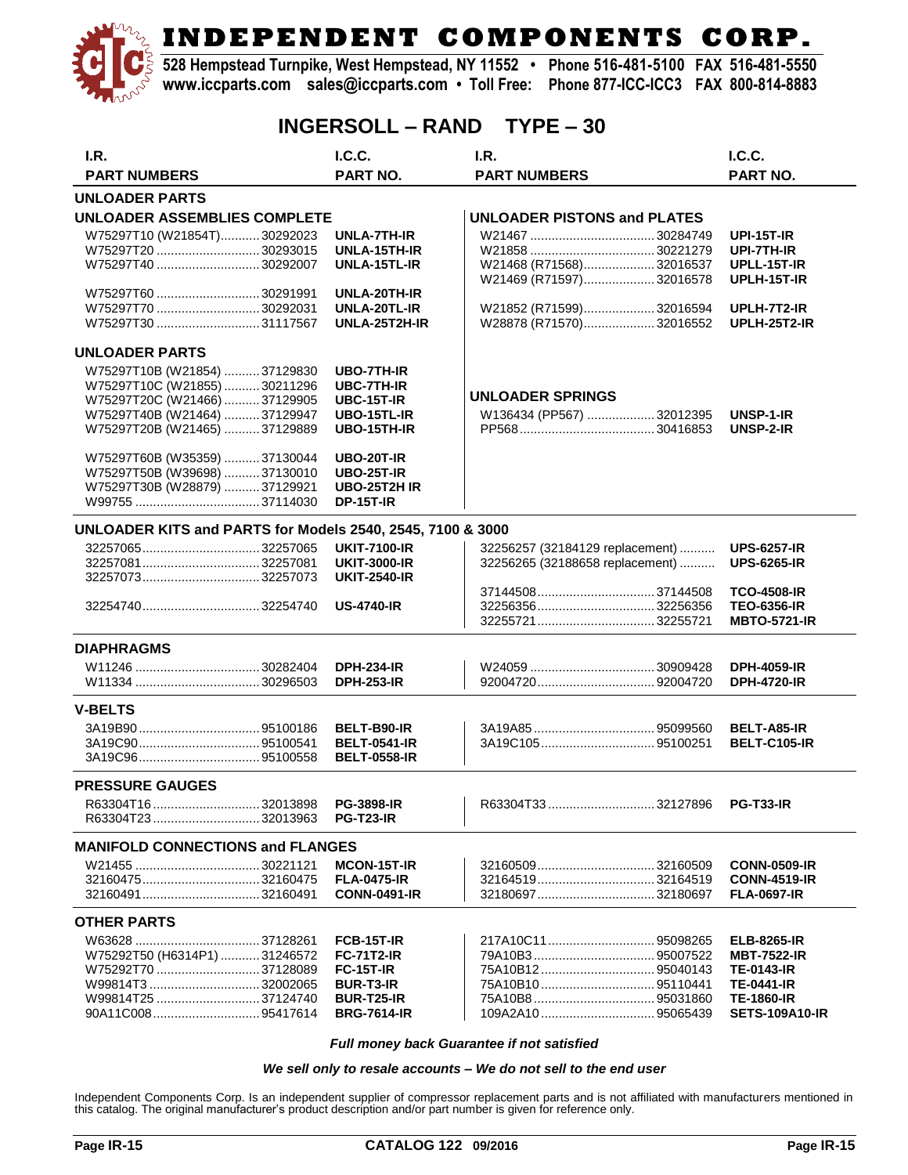**528 Hempstead Turnpike, West Hempstead, NY 11552 • Phone 516-481-5100 FAX 516-481-5550 www.iccparts.com sales@iccparts.com • Toll Free: Phone 877-ICC-ICC3 FAX 800-814-8883**

### **INGERSOLL – RAND TYPE – 30**

| I.R.                                                                                                                                                          | I.C.C.                                                                                                                    | I.R.                                                               | I.C.C.                                                                                                                           |
|---------------------------------------------------------------------------------------------------------------------------------------------------------------|---------------------------------------------------------------------------------------------------------------------------|--------------------------------------------------------------------|----------------------------------------------------------------------------------------------------------------------------------|
| <b>PART NUMBERS</b>                                                                                                                                           | <b>PART NO.</b>                                                                                                           | <b>PART NUMBERS</b>                                                | <b>PART NO.</b>                                                                                                                  |
| <b>UNLOADER PARTS</b>                                                                                                                                         |                                                                                                                           |                                                                    |                                                                                                                                  |
| UNLOADER ASSEMBLIES COMPLETE                                                                                                                                  |                                                                                                                           | <b>UNLOADER PISTONS and PLATES</b>                                 |                                                                                                                                  |
| W75297T10 (W21854T)30292023<br>W75297T20 30293015<br>W75297T40 30292007                                                                                       | UNLA-7TH-IR<br>UNLA-15TH-IR<br>UNLA-15TL-IR                                                                               | W21468 (R71568)32016537<br>W21469 (R71597)32016578                 | <b>UPI-15T-IR</b><br>UPI-7TH-IR<br>UPLL-15T-IR<br>UPLH-15T-IR                                                                    |
| W75297T60 30291991<br>W75297T30 31117567                                                                                                                      | UNLA-20TH-IR<br>UNLA-20TL-IR<br>UNLA-25T2H-IR                                                                             | W21852 (R71599)32016594<br>W28878 (R71570)32016552                 | UPLH-7T2-IR<br><b>UPLH-25T2-IR</b>                                                                                               |
| <b>UNLOADER PARTS</b>                                                                                                                                         |                                                                                                                           |                                                                    |                                                                                                                                  |
| W75297T10B (W21854) 37129830<br>W75297T10C (W21855)  30211296<br>W75297T20C (W21466) 37129905<br>W75297T40B (W21464) 37129947<br>W75297T20B (W21465) 37129889 | <b>UBO-7TH-IR</b><br><b>UBC-7TH-IR</b><br><b>UBC-15T-IR</b><br>UBO-15TL-IR<br><b>UBO-15TH-IR</b>                          | <b>UNLOADER SPRINGS</b><br>W136434 (PP567) 32012395                | UNSP-1-IR<br>UNSP-2-IR                                                                                                           |
| W75297T60B (W35359)  37130044<br>W75297T50B (W39698) 37130010<br>W75297T30B (W28879)  37129921                                                                | <b>UBO-20T-IR</b><br><b>UBO-25T-IR</b><br><b>UBO-25T2H IR</b><br><b>DP-15T-IR</b>                                         |                                                                    |                                                                                                                                  |
| UNLOADER KITS and PARTS for Models 2540, 2545, 7100 & 3000                                                                                                    |                                                                                                                           |                                                                    |                                                                                                                                  |
| 32257081 32257081                                                                                                                                             | <b>UKIT-7100-IR</b><br><b>UKIT-3000-IR</b><br><b>UKIT-2540-IR</b>                                                         | 32256257 (32184129 replacement)<br>32256265 (32188658 replacement) | <b>UPS-6257-IR</b><br><b>UPS-6265-IR</b>                                                                                         |
|                                                                                                                                                               | <b>US-4740-IR</b>                                                                                                         |                                                                    | <b>TCO-4508-IR</b><br><b>TEO-6356-IR</b><br><b>MBTO-5721-IR</b>                                                                  |
| <b>DIAPHRAGMS</b>                                                                                                                                             |                                                                                                                           |                                                                    |                                                                                                                                  |
|                                                                                                                                                               | <b>DPH-234-IR</b><br><b>DPH-253-IR</b>                                                                                    |                                                                    | <b>DPH-4059-IR</b><br><b>DPH-4720-IR</b>                                                                                         |
| <b>V-BELTS</b>                                                                                                                                                |                                                                                                                           |                                                                    |                                                                                                                                  |
|                                                                                                                                                               | BELT-B90-IR<br><b>BELT-0541-IR</b><br><b>BELT-0558-IR</b>                                                                 | 3A19C10595100251                                                   | <b>BELT-A85-IR</b><br><b>BELT-C105-IR</b>                                                                                        |
| <b>PRESSURE GAUGES</b>                                                                                                                                        |                                                                                                                           |                                                                    |                                                                                                                                  |
| R63304T1632013898                                                                                                                                             | <b>PG-3898-IR</b><br><b>PG-T23-IR</b>                                                                                     | R63304T3332127896                                                  | <b>PG-T33-IR</b>                                                                                                                 |
| <b>MANIFOLD CONNECTIONS and FLANGES</b>                                                                                                                       |                                                                                                                           |                                                                    |                                                                                                                                  |
|                                                                                                                                                               | <b>MCON-15T-IR</b><br><b>FLA-0475-IR</b><br><b>CONN-0491-IR</b>                                                           | 3216050932160509<br>3216451932164519                               | <b>CONN-0509-IR</b><br><b>CONN-4519-IR</b><br><b>FLA-0697-IR</b>                                                                 |
| <b>OTHER PARTS</b>                                                                                                                                            |                                                                                                                           |                                                                    |                                                                                                                                  |
| W75292T50 (H6314P1)  31246572<br>W75292T70 37128089                                                                                                           | <b>FCB-15T-IR</b><br><b>FC-71T2-IR</b><br><b>FC-15T-IR</b><br><b>BUR-T3-IR</b><br><b>BUR-T25-IR</b><br><b>BRG-7614-IR</b> |                                                                    | <b>ELB-8265-IR</b><br><b>MBT-7522-IR</b><br><b>TE-0143-IR</b><br><b>TE-0441-IR</b><br><b>TE-1860-IR</b><br><b>SETS-109A10-IR</b> |

*Full money back Guarantee if not satisfied*

#### *We sell only to resale accounts – We do not sell to the end user*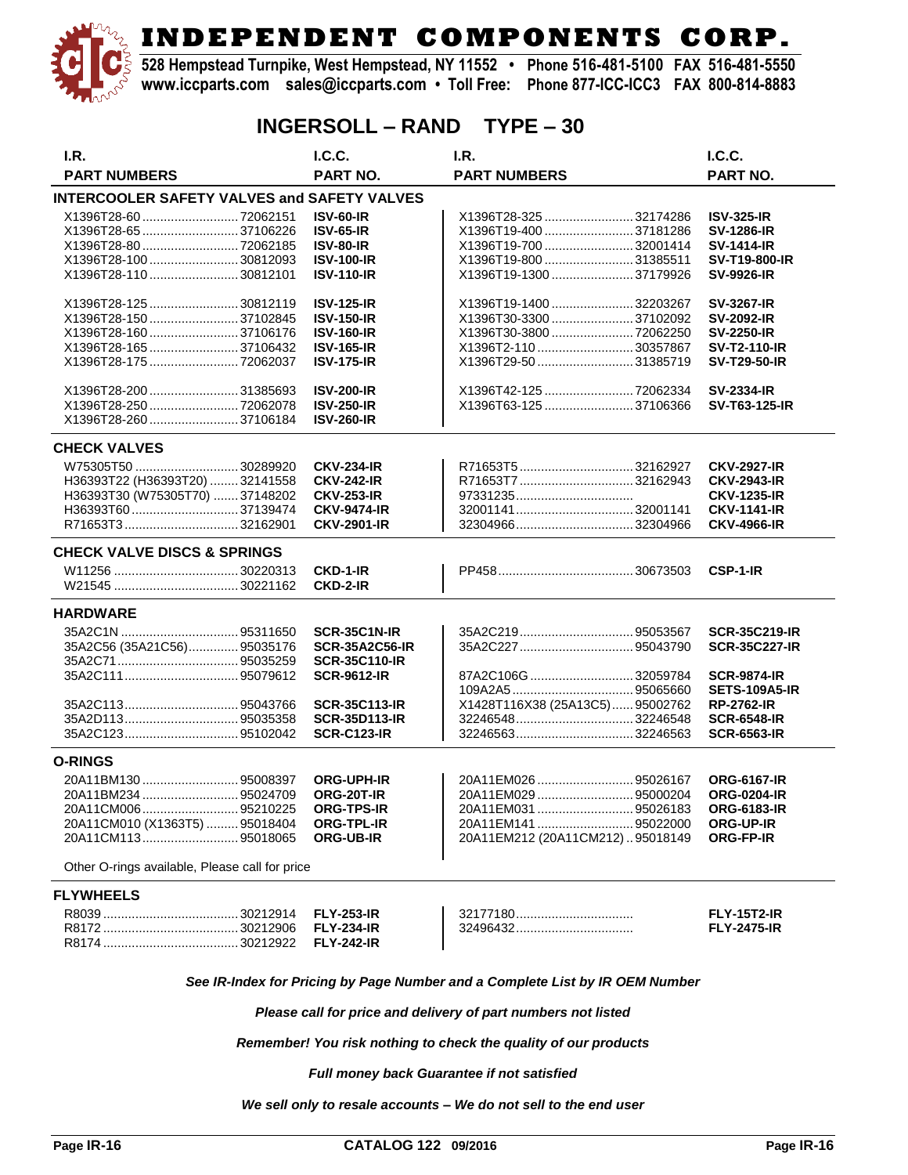**528 Hempstead Turnpike, West Hempstead, NY 11552 • Phone 516-481-5100 FAX 516-481-5550 www.iccparts.com sales@iccparts.com • Toll Free: Phone 877-ICC-ICC3 FAX 800-814-8883**

### **INGERSOLL – RAND TYPE – 30**

| I.R.                                               | IC.C.                 | I.R.                            | IC.C.                |
|----------------------------------------------------|-----------------------|---------------------------------|----------------------|
| <b>PART NUMBERS</b>                                | PART NO.              | <b>PART NUMBERS</b>             | PART NO.             |
| <b>INTERCOOLER SAFETY VALVES and SAFETY VALVES</b> |                       |                                 |                      |
| X1396T28-60 72062151                               | <b>ISV-60-IR</b>      | X1396T28-325  32174286          | <b>ISV-325-IR</b>    |
| X1396T28-65 37106226                               | <b>ISV-65-IR</b>      | X1396T19-400 37181286           | <b>SV-1286-IR</b>    |
| X1396T28-80 72062185                               | <b>ISV-80-IR</b>      | X1396T19-700 32001414           | <b>SV-1414-IR</b>    |
| X1396T28-100 30812093                              | <b>ISV-100-IR</b>     | X1396T19-800 31385511           | <b>SV-T19-800-IR</b> |
| X1396T28-110 30812101                              | <b>ISV-110-IR</b>     | X1396T19-1300 37179926          | <b>SV-9926-IR</b>    |
|                                                    |                       |                                 |                      |
| X1396T28-125 30812119                              | <b>ISV-125-IR</b>     | X1396T19-1400 32203267          | <b>SV-3267-IR</b>    |
| X1396T28-150 37102845                              | <b>ISV-150-IR</b>     | X1396T30-3300 37102092          | <b>SV-2092-IR</b>    |
| X1396T28-160  37106176                             | <b>ISV-160-IR</b>     | X1396T30-3800 72062250          | <b>SV-2250-IR</b>    |
| X1396T28-165  37106432                             | <b>ISV-165-IR</b>     | X1396T2-11030357867             | <b>SV-T2-110-IR</b>  |
| X1396T28-175  72062037                             | <b>ISV-175-IR</b>     | X1396T29-50 31385719            | <b>SV-T29-50-IR</b>  |
|                                                    |                       |                                 |                      |
| X1396T28-200 31385693                              | <b>ISV-200-IR</b>     | X1396T42-125 72062334           | <b>SV-2334-IR</b>    |
| X1396T28-250 72062078                              | <b>ISV-250-IR</b>     | X1396T63-125 37106366           | SV-T63-125-IR        |
| X1396T28-260 37106184                              | <b>ISV-260-IR</b>     |                                 |                      |
| <b>CHECK VALVES</b>                                |                       |                                 |                      |
| W75305T50  30289920                                | <b>CKV-234-IR</b>     |                                 | <b>CKV-2927-IR</b>   |
| H36393T22 (H36393T20)  32141558                    | <b>CKV-242-IR</b>     |                                 | <b>CKV-2943-IR</b>   |
| H36393T30 (W75305T70)  37148202                    | <b>CKV-253-IR</b>     |                                 | <b>CKV-1235-IR</b>   |
|                                                    | <b>CKV-9474-IR</b>    |                                 | <b>CKV-1141-IR</b>   |
|                                                    | <b>CKV-2901-IR</b>    |                                 | <b>CKV-4966-IR</b>   |
|                                                    |                       |                                 |                      |
| <b>CHECK VALVE DISCS &amp; SPRINGS</b>             |                       |                                 |                      |
|                                                    | CKD-1-IR              |                                 | CSP-1-IR             |
|                                                    | CKD-2-IR              |                                 |                      |
| <b>HARDWARE</b>                                    |                       |                                 |                      |
|                                                    | SCR-35C1N-IR          |                                 | <b>SCR-35C219-IR</b> |
| 35A2C56 (35A21C56) 95035176                        | <b>SCR-35A2C56-IR</b> |                                 | <b>SCR-35C227-IR</b> |
|                                                    | <b>SCR-35C110-IR</b>  |                                 |                      |
|                                                    |                       | 87A2C106G  32059784             |                      |
|                                                    | <b>SCR-9612-IR</b>    |                                 | <b>SCR-9874-IR</b>   |
|                                                    |                       |                                 | <b>SETS-109A5-IR</b> |
|                                                    | <b>SCR-35C113-IR</b>  | X1428T116X38 (25A13C5) 95002762 | <b>RP-2762-IR</b>    |
|                                                    | <b>SCR-35D113-IR</b>  | 3224654832246548                | <b>SCR-6548-IR</b>   |
|                                                    | <b>SCR-C123-IR</b>    |                                 | <b>SCR-6563-IR</b>   |
| <b>O-RINGS</b>                                     |                       |                                 |                      |
| 20A11BM13095008397                                 | <b>ORG-UPH-IR</b>     |                                 | <b>ORG-6167-IR</b>   |
|                                                    | ORG-20T-IR            |                                 | <b>ORG-0204-IR</b>   |
|                                                    | <b>ORG-TPS-IR</b>     |                                 | <b>ORG-6183-IR</b>   |
| 20A11CM010 (X1363T5)  95018404                     | <b>ORG-TPL-IR</b>     | 20A11EM141 95022000             | <b>ORG-UP-IR</b>     |
|                                                    | <b>ORG-UB-IR</b>      | 20A11EM212 (20A11CM212)95018149 | <b>ORG-FP-IR</b>     |
|                                                    |                       |                                 |                      |
| Other O-rings available, Please call for price     |                       |                                 |                      |
| <b>FLYWHEELS</b>                                   |                       |                                 |                      |
|                                                    | <b>FLY-253-IR</b>     |                                 | <b>FLY-15T2-IR</b>   |
|                                                    | <b>FLY-234-IR</b>     | 32496432                        | <b>FLY-2475-IR</b>   |
|                                                    | <b>FLY-242-IR</b>     |                                 |                      |
|                                                    |                       |                                 |                      |

*See IR-Index for Pricing by Page Number and a Complete List by IR OEM Number*

*Please call for price and delivery of part numbers not listed*

*Remember! You risk nothing to check the quality of our products*

*Full money back Guarantee if not satisfied*

*We sell only to resale accounts – We do not sell to the end user*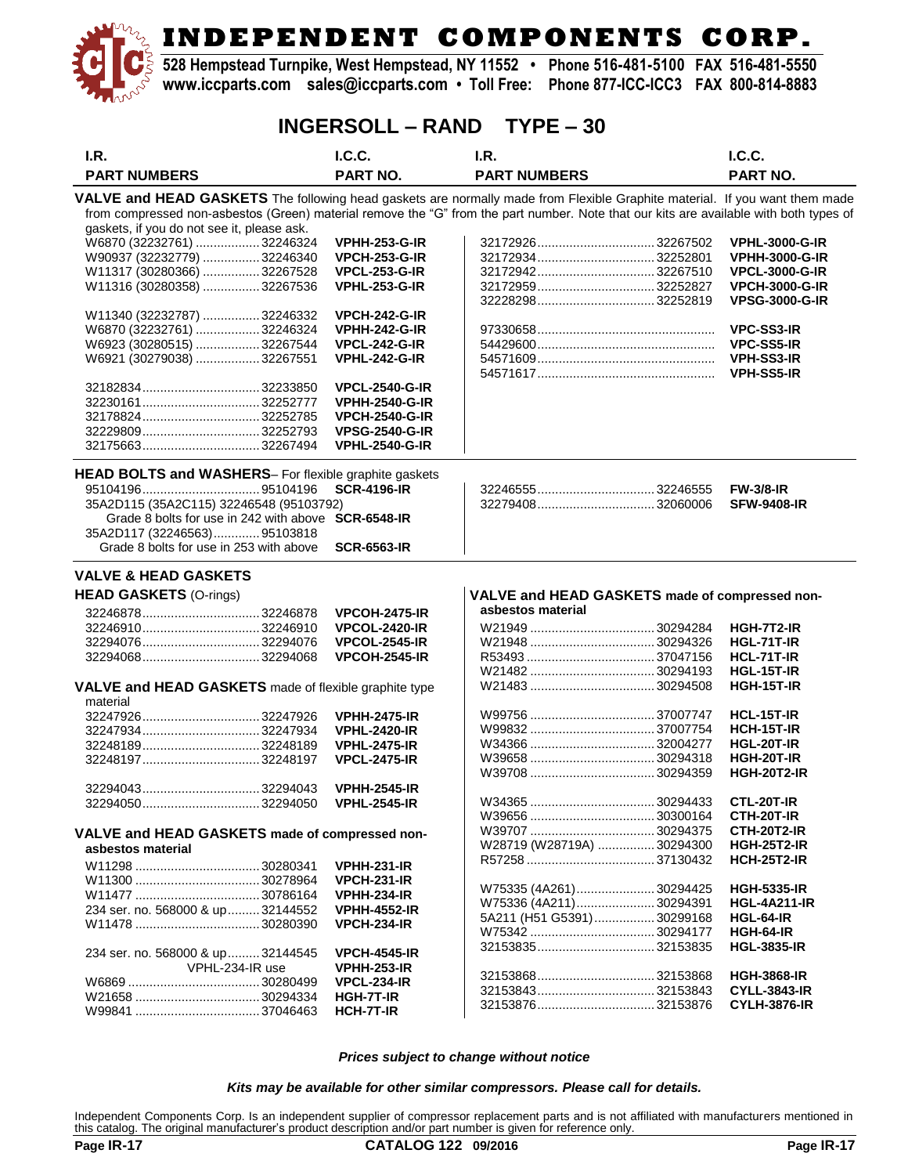**528 Hempstead Turnpike, West Hempstead, NY 11552 • Phone 516-481-5100 FAX 516-481-5550 www.iccparts.com sales@iccparts.com • Toll Free: Phone 877-ICC-ICC3 FAX 800-814-8883**

### **INGERSOLL – RAND TYPE – 30**

| I.R.                                                                                                                       | <b>I.C.C.</b>         | I.R.                                                                                                                                   | I.C.C.                |
|----------------------------------------------------------------------------------------------------------------------------|-----------------------|----------------------------------------------------------------------------------------------------------------------------------------|-----------------------|
| <b>PART NUMBERS</b>                                                                                                        | <b>PART NO.</b>       | <b>PART NUMBERS</b>                                                                                                                    | <b>PART NO.</b>       |
|                                                                                                                            |                       |                                                                                                                                        |                       |
| VALVE and HEAD GASKETS The following head gaskets are normally made from Flexible Graphite material. If you want them made |                       |                                                                                                                                        |                       |
|                                                                                                                            |                       | from compressed non-asbestos (Green) material remove the "G" from the part number. Note that our kits are available with both types of |                       |
| gaskets, if you do not see it, please ask.                                                                                 |                       |                                                                                                                                        |                       |
| W6870 (32232761)  32246324                                                                                                 | <b>VPHH-253-G-IR</b>  | 3217292632267502                                                                                                                       | <b>VPHL-3000-G-IR</b> |
| W90937 (32232779)  32246340                                                                                                | <b>VPCH-253-G-IR</b>  | 3217293432252801                                                                                                                       | <b>VPHH-3000-G-IR</b> |
| W11317 (30280366)  32267528                                                                                                | <b>VPCL-253-G-IR</b>  | 3217294232267510                                                                                                                       | <b>VPCL-3000-G-IR</b> |
| W11316 (30280358) 32267536                                                                                                 | <b>VPHL-253-G-IR</b>  | 3217295932252827                                                                                                                       | <b>VPCH-3000-G-IR</b> |
|                                                                                                                            |                       |                                                                                                                                        | <b>VPSG-3000-G-IR</b> |
| W11340 (32232787)  32246332                                                                                                | <b>VPCH-242-G-IR</b>  |                                                                                                                                        |                       |
| W6870 (32232761)  32246324                                                                                                 | <b>VPHH-242-G-IR</b>  |                                                                                                                                        | <b>VPC-SS3-IR</b>     |
| W6923 (30280515)  32267544                                                                                                 | <b>VPCL-242-G-IR</b>  |                                                                                                                                        | <b>VPC-SS5-IR</b>     |
| W6921 (30279038)  32267551                                                                                                 | <b>VPHL-242-G-IR</b>  |                                                                                                                                        | VPH-SS3-IR            |
|                                                                                                                            |                       |                                                                                                                                        | <b>VPH-SS5-IR</b>     |
|                                                                                                                            | <b>VPCL-2540-G-IR</b> |                                                                                                                                        |                       |
|                                                                                                                            | <b>VPHH-2540-G-IR</b> |                                                                                                                                        |                       |
| 32178824 32252785                                                                                                          | <b>VPCH-2540-G-IR</b> |                                                                                                                                        |                       |
|                                                                                                                            | <b>VPSG-2540-G-IR</b> |                                                                                                                                        |                       |
|                                                                                                                            | <b>VPHL-2540-G-IR</b> |                                                                                                                                        |                       |
|                                                                                                                            |                       |                                                                                                                                        |                       |
| HEAD BOLTS and WASHERS- For flexible graphite gaskets                                                                      |                       |                                                                                                                                        |                       |
|                                                                                                                            | <b>SCR-4196-IR</b>    |                                                                                                                                        | <b>FW-3/8-IR</b>      |
| 35A2D115 (35A2C115) 32246548 (95103792)                                                                                    |                       | 3227940832060006                                                                                                                       | <b>SFW-9408-IR</b>    |
| Grade 8 bolts for use in 242 with above <b>SCR-6548-IR</b>                                                                 |                       |                                                                                                                                        |                       |
| 35A2D117 (32246563) 95103818                                                                                               |                       |                                                                                                                                        |                       |
| Grade 8 bolts for use in 253 with above                                                                                    | <b>SCR-6563-IR</b>    |                                                                                                                                        |                       |
| <b>VALVE &amp; HEAD GASKETS</b>                                                                                            |                       |                                                                                                                                        |                       |
|                                                                                                                            |                       |                                                                                                                                        |                       |
| <b>HEAD GASKETS (O-rings)</b>                                                                                              |                       | VALVE and HEAD GASKETS made of compressed non-                                                                                         |                       |
|                                                                                                                            | <b>VPCOH-2475-IR</b>  | asbestos material                                                                                                                      |                       |
|                                                                                                                            | <b>VPCOL-2420-IR</b>  |                                                                                                                                        | HGH-7T2-IR            |
|                                                                                                                            | <b>VPCOL-2545-IR</b>  |                                                                                                                                        | <b>HGL-71T-IR</b>     |
| 3229406832294068                                                                                                           | <b>VPCOH-2545-IR</b>  |                                                                                                                                        | HCL-71T-IR            |
|                                                                                                                            |                       |                                                                                                                                        | <b>HGL-15T-IR</b>     |
| VALVE and HEAD GASKETS made of flexible graphite type                                                                      |                       |                                                                                                                                        | <b>HGH-15T-IR</b>     |
| material                                                                                                                   |                       |                                                                                                                                        |                       |
| 3224792632247926                                                                                                           | <b>VPHH-2475-IR</b>   |                                                                                                                                        | HCL-15T-IR            |
| 32247934 32247934                                                                                                          | <b>VPHL-2420-IR</b>   |                                                                                                                                        | HCH-15T-IR            |
|                                                                                                                            | <b>VPHL-2475-IR</b>   |                                                                                                                                        | HGL-20T-IR            |
| 32248197 32248197                                                                                                          | <b>VPCL-2475-IR</b>   |                                                                                                                                        | <b>HGH-20T-IR</b>     |
|                                                                                                                            |                       |                                                                                                                                        | <b>HGH-20T2-IR</b>    |
|                                                                                                                            | <b>VPHH-2545-IR</b>   |                                                                                                                                        |                       |
|                                                                                                                            | <b>VPHL-2545-IR</b>   |                                                                                                                                        | <b>CTL-20T-IR</b>     |
|                                                                                                                            |                       |                                                                                                                                        | CTH-20T-IR            |
| VALVE and HEAD GASKETS made of compressed non-                                                                             |                       |                                                                                                                                        | <b>CTH-20T2-IR</b>    |
| asbestos material                                                                                                          |                       | W28719 (W28719A) 30294300                                                                                                              | <b>HGH-25T2-IR</b>    |
|                                                                                                                            |                       |                                                                                                                                        | <b>HCH-25T2-IR</b>    |
|                                                                                                                            | <b>VPHH-231-IR</b>    |                                                                                                                                        |                       |
|                                                                                                                            | <b>VPCH-231-IR</b>    | W75335 (4A261)30294425                                                                                                                 | <b>HGH-5335-IR</b>    |
|                                                                                                                            | <b>VPHH-234-IR</b>    | W75336 (4A211) 30294391                                                                                                                | <b>HGL-4A211-IR</b>   |
| 234 ser. no. 568000 & up 32144552                                                                                          | VPHH-4552-IR          | 5A211 (H51 G5391)30299168                                                                                                              | HGL-64-IR             |
|                                                                                                                            | <b>VPCH-234-IR</b>    |                                                                                                                                        | HGH-64-IR             |
|                                                                                                                            |                       |                                                                                                                                        | <b>HGL-3835-IR</b>    |
| 234 ser. no. 568000 & up 32144545                                                                                          | <b>VPCH-4545-IR</b>   |                                                                                                                                        |                       |
| VPHL-234-IR use                                                                                                            | <b>VPHH-253-IR</b>    | 3215386832153868                                                                                                                       | <b>HGH-3868-IR</b>    |
|                                                                                                                            | <b>VPCL-234-IR</b>    | 3215384332153843                                                                                                                       | <b>CYLL-3843-IR</b>   |
|                                                                                                                            | <b>HGH-7T-IR</b>      | 3215387632153876                                                                                                                       |                       |
|                                                                                                                            | HCH-7T-IR             |                                                                                                                                        | <b>CYLH-3876-IR</b>   |
|                                                                                                                            |                       |                                                                                                                                        |                       |

*Prices subject to change without notice*

*Kits may be available for other similar compressors. Please call for details.*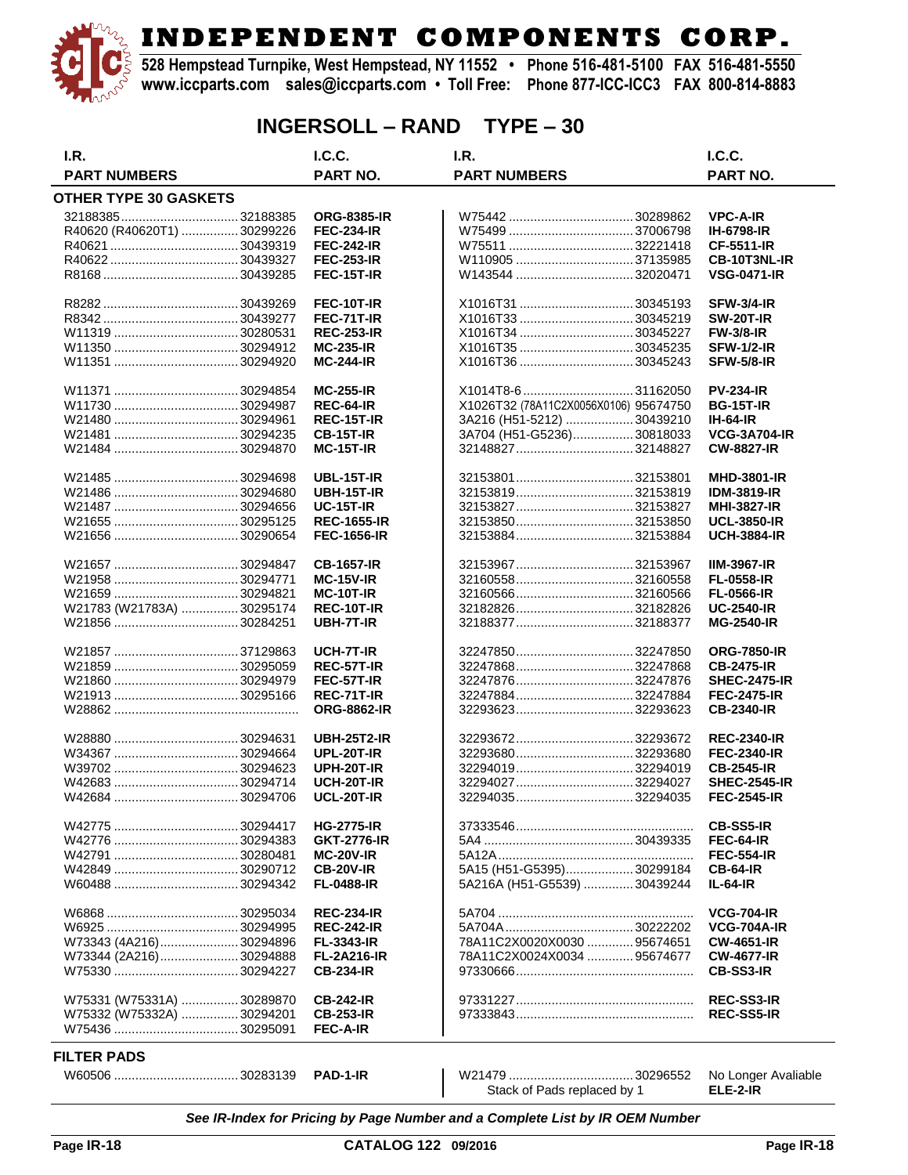

**528 Hempstead Turnpike, West Hempstead, NY 11552 • Phone 516-481-5100 FAX 516-481-5550 www.iccparts.com sales@iccparts.com • Toll Free: Phone 877-ICC-ICC3 FAX 800-814-8883**

## **INGERSOLL – RAND TYPE – 30**

| I.R.                         | I.C.C.             | I.R.                                  | I.C.C.              |
|------------------------------|--------------------|---------------------------------------|---------------------|
| <b>PART NUMBERS</b>          | <b>PART NO.</b>    | <b>PART NUMBERS</b>                   | PART NO.            |
| <b>OTHER TYPE 30 GASKETS</b> |                    |                                       |                     |
|                              | <b>ORG-8385-IR</b> |                                       | <b>VPC-A-IR</b>     |
| R40620 (R40620T1)  30299226  | <b>FEC-234-IR</b>  |                                       | <b>IH-6798-IR</b>   |
|                              | <b>FEC-242-IR</b>  |                                       | <b>CF-5511-IR</b>   |
|                              | <b>FEC-253-IR</b>  |                                       | CB-10T3NL-IR        |
|                              |                    |                                       |                     |
|                              | <b>FEC-15T-IR</b>  |                                       | <b>VSG-0471-IR</b>  |
|                              | <b>FEC-10T-IR</b>  | X1016T31 30345193                     | <b>SFW-3/4-IR</b>   |
|                              | FEC-71T-IR         | X1016T33 30345219                     | <b>SW-20T-IR</b>    |
|                              | <b>REC-253-IR</b>  | X1016T34  30345227                    | <b>FW-3/8-IR</b>    |
|                              | <b>MC-235-IR</b>   |                                       | <b>SFW-1/2-IR</b>   |
|                              | <b>MC-244-IR</b>   | X1016T36 30345243                     | <b>SFW-5/8-IR</b>   |
|                              | <b>MC-255-IR</b>   | X1014T8-6  31162050                   | <b>PV-234-IR</b>    |
|                              | <b>REC-64-IR</b>   | X1026T32 (78A11C2X0056X0106) 95674750 | <b>BG-15T-IR</b>    |
|                              | <b>REC-15T-IR</b>  | 3A216 (H51-5212)  30439210            | <b>IH-64-IR</b>     |
|                              | <b>CB-15T-IR</b>   | 3A704 (H51-G5236) 30818033            | <b>VCG-3A704-IR</b> |
|                              | <b>MC-15T-IR</b>   |                                       | <b>CW-8827-IR</b>   |
|                              |                    |                                       |                     |
|                              | <b>UBL-15T-IR</b>  | 32153801  32153801                    | <b>MHD-3801-IR</b>  |
|                              | <b>UBH-15T-IR</b>  |                                       | <b>IDM-3819-IR</b>  |
|                              | <b>UC-15T-IR</b>   |                                       | <b>MHI-3827-IR</b>  |
|                              | <b>REC-1655-IR</b> |                                       | <b>UCL-3850-IR</b>  |
|                              | <b>FEC-1656-IR</b> | 3215388432153884                      | <b>UCH-3884-IR</b>  |
|                              | <b>CB-1657-IR</b>  | 32153967  32153967                    | <b>IIM-3967-IR</b>  |
|                              | <b>MC-15V-IR</b>   |                                       | <b>FL-0558-IR</b>   |
|                              | <b>MC-10T-IR</b>   |                                       | <b>FL-0566-IR</b>   |
| W21783 (W21783A)  30295174   | REC-10T-IR         |                                       | <b>UC-2540-IR</b>   |
|                              | UBH-7T-IR          |                                       | <b>MG-2540-IR</b>   |
|                              | UCH-7T-IR          |                                       | <b>ORG-7850-IR</b>  |
|                              | <b>REC-57T-IR</b>  | 3224786832247868                      | <b>CB-2475-IR</b>   |
|                              | FEC-57T-IR         |                                       | <b>SHEC-2475-IR</b> |
|                              | REC-71T-IR         |                                       |                     |
|                              |                    |                                       | <b>FEC-2475-IR</b>  |
|                              | <b>ORG-8862-IR</b> |                                       | <b>CB-2340-IR</b>   |
|                              | <b>UBH-25T2-IR</b> |                                       | <b>REC-2340-IR</b>  |
|                              | <b>UPL-20T-IR</b>  |                                       | <b>FEC-2340-IR</b>  |
|                              | UPH-20T-IR         | 3229401932294019                      | <b>CB-2545-IR</b>   |
|                              | <b>UCH-20T-IR</b>  |                                       | <b>SHEC-2545-IR</b> |
|                              | <b>UCL-20T-IR</b>  |                                       | <b>FEC-2545-IR</b>  |
|                              | <b>HG-2775-IR</b>  |                                       | <b>CB-SS5-IR</b>    |
|                              | <b>GKT-2776-IR</b> |                                       | <b>FEC-64-IR</b>    |
|                              | <b>MC-20V-IR</b>   |                                       | <b>FEC-554-IR</b>   |
|                              | <b>CB-20V-IR</b>   | 5A15 (H51-G5395) 30299184             | <b>CB-64-IR</b>     |
|                              | <b>FL-0488-IR</b>  | 5A216A (H51-G5539)  30439244          | $IL-64-IR$          |
|                              | <b>REC-234-IR</b>  |                                       | <b>VCG-704-IR</b>   |
|                              | <b>REC-242-IR</b>  |                                       | <b>VCG-704A-IR</b>  |
| W73343 (4A216) 30294896      | <b>FL-3343-IR</b>  | 78A11C2X0020X0030  95674651           | <b>CW-4651-IR</b>   |
| W73344 (2A216)30294888       | <b>FL-2A216-IR</b> | 78A11C2X0024X0034  95674677           | <b>CW-4677-IR</b>   |
|                              |                    |                                       |                     |
|                              | <b>CB-234-IR</b>   |                                       | <b>CB-SS3-IR</b>    |
| W75331 (W75331A) 30289870    | <b>CB-242-IR</b>   |                                       | <b>REC-SS3-IR</b>   |
| W75332 (W75332A)  30294201   | <b>CB-253-IR</b>   |                                       | <b>REC-SS5-IR</b>   |
|                              | <b>FEC-A-IR</b>    |                                       |                     |
| <b>FILTER PADS</b>           |                    |                                       |                     |
|                              | PAD-1-IR           |                                       | No Longer Avaliable |
|                              |                    |                                       |                     |

Stack of Pads replaced by 1 **ELE-2-IR**

*See IR-Index for Pricing by Page Number and a Complete List by IR OEM Number*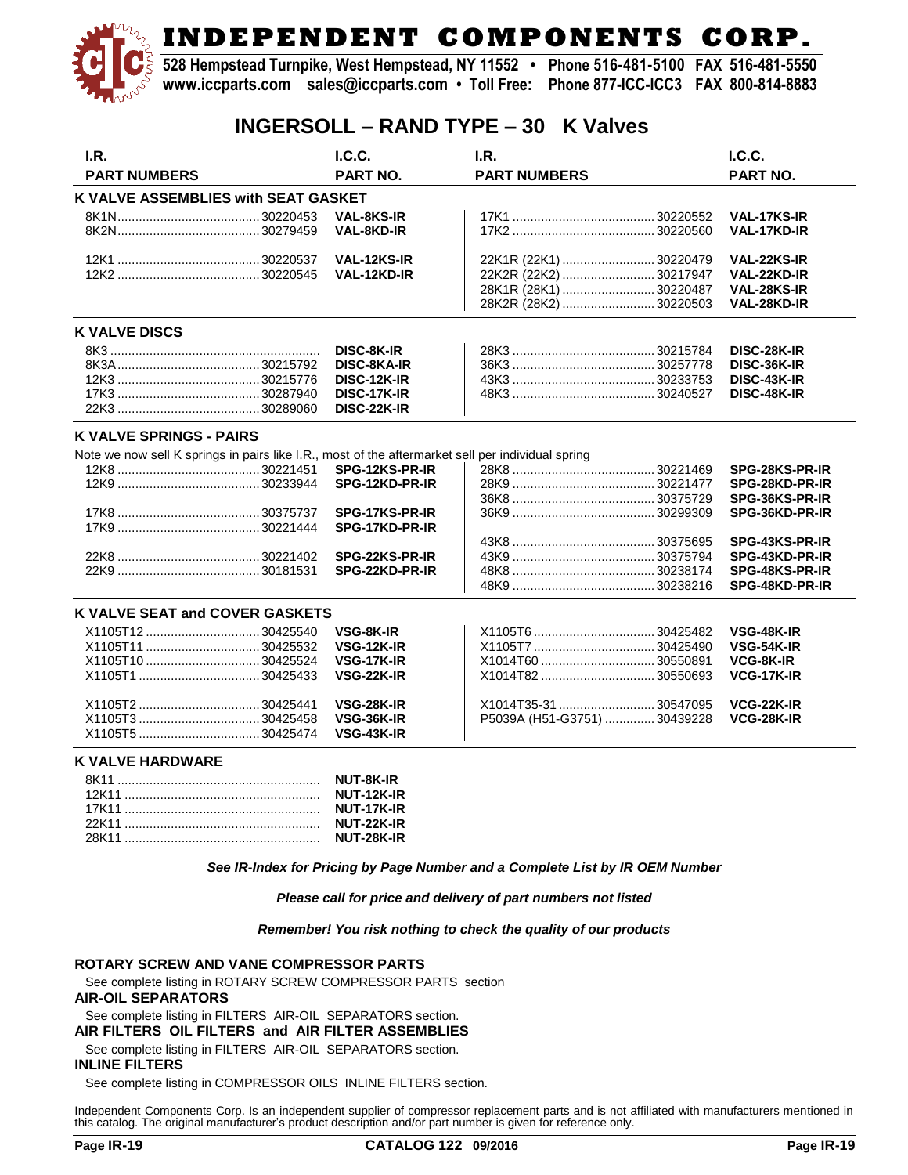**528 Hempstead Turnpike, West Hempstead, NY 11552 • Phone 516-481-5100 FAX 516-481-5550 www.iccparts.com sales@iccparts.com • Toll Free: Phone 877-ICC-ICC3 FAX 800-814-8883**

### **INGERSOLL – RAND TYPE – 30 K Valves**

| I.R.                                                                                              | I.C.C.             | LR.                         | I.C.C.             |
|---------------------------------------------------------------------------------------------------|--------------------|-----------------------------|--------------------|
| <b>PART NUMBERS</b>                                                                               | <b>PART NO.</b>    | <b>PART NUMBERS</b>         | <b>PART NO.</b>    |
| <b>K VALVE ASSEMBLIES with SEAT GASKET</b>                                                        |                    |                             |                    |
|                                                                                                   | <b>VAL-8KS-IR</b>  |                             | <b>VAL-17KS-IR</b> |
|                                                                                                   | <b>VAL-8KD-IR</b>  |                             | VAL-17KD-IR        |
|                                                                                                   | VAL-12KS-IR        | 22K1R (22K1)  30220479      | VAL-22KS-IR        |
|                                                                                                   | VAL-12KD-IR        | 22K2R (22K2)  30217947      | VAL-22KD-IR        |
|                                                                                                   |                    | 28K1R (28K1) 30220487       | VAL-28KS-IR        |
|                                                                                                   |                    | 28K2R (28K2) 30220503       | VAL-28KD-IR        |
| <b>K VALVE DISCS</b>                                                                              |                    |                             |                    |
|                                                                                                   | DISC-8K-IR         |                             | DISC-28K-IR        |
|                                                                                                   | <b>DISC-8KA-IR</b> |                             | DISC-36K-IR        |
|                                                                                                   | DISC-12K-IR        |                             | DISC-43K-IR        |
|                                                                                                   | DISC-17K-IR        |                             | DISC-48K-IR        |
|                                                                                                   | DISC-22K-IR        |                             |                    |
| <b>K VALVE SPRINGS - PAIRS</b>                                                                    |                    |                             |                    |
| Note we now sell K springs in pairs like I.R., most of the aftermarket sell per individual spring |                    |                             |                    |
|                                                                                                   | SPG-12KS-PR-IR     |                             | SPG-28KS-PR-IR     |
|                                                                                                   | SPG-12KD-PR-IR     |                             | SPG-28KD-PR-IR     |
|                                                                                                   |                    |                             | SPG-36KS-PR-IR     |
|                                                                                                   | SPG-17KS-PR-IR     |                             | SPG-36KD-PR-IR     |
|                                                                                                   | SPG-17KD-PR-IR     |                             |                    |
|                                                                                                   |                    |                             | SPG-43KS-PR-IR     |
|                                                                                                   | SPG-22KS-PR-IR     |                             | SPG-43KD-PR-IR     |
|                                                                                                   | SPG-22KD-PR-IR     |                             | SPG-48KS-PR-IR     |
|                                                                                                   |                    |                             | SPG-48KD-PR-IR     |
| K VALVE SEAT and COVER GASKETS                                                                    |                    |                             |                    |
|                                                                                                   | VSG-8K-IR          |                             | <b>VSG-48K-IR</b>  |
| X1105T11  30425532                                                                                | <b>VSG-12K-IR</b>  |                             | <b>VSG-54K-IR</b>  |
|                                                                                                   | VSG-17K-IR         | X1014T60 30550891           | VCG-8K-IR          |
|                                                                                                   | VSG-22K-IR         | X1014T8230550693            | VCG-17K-IR         |
|                                                                                                   | VSG-28K-IR         | X1014T35-31  30547095       | VCG-22K-IR         |
|                                                                                                   | <b>VSG-36K-IR</b>  | P5039A (H51-G3751) 30439228 | <b>VCG-28K-IR</b>  |
|                                                                                                   | VSG-43K-IR         |                             |                    |

#### **K VALVE HARDWARE**

| <b>NUT-8K-IR</b> |
|------------------|
| NUT-12K-IR       |
| NUT-17K-IR       |
| NUT-22K-IR       |
|                  |

*See IR-Index for Pricing by Page Number and a Complete List by IR OEM Number*

*Please call for price and delivery of part numbers not listed*

*Remember! You risk nothing to check the quality of our products*

#### **ROTARY SCREW AND VANE COMPRESSOR PARTS**

See complete listing in ROTARY SCREW COMPRESSOR PARTS section

#### **AIR-OIL SEPARATORS**

See complete listing in FILTERS AIR-OIL SEPARATORS section. **AIR FILTERS OIL FILTERS and AIR FILTER ASSEMBLIES**

See complete listing in FILTERS AIR-OIL SEPARATORS section.

#### **INLINE FILTERS**

See complete listing in COMPRESSOR OILS INLINE FILTERS section.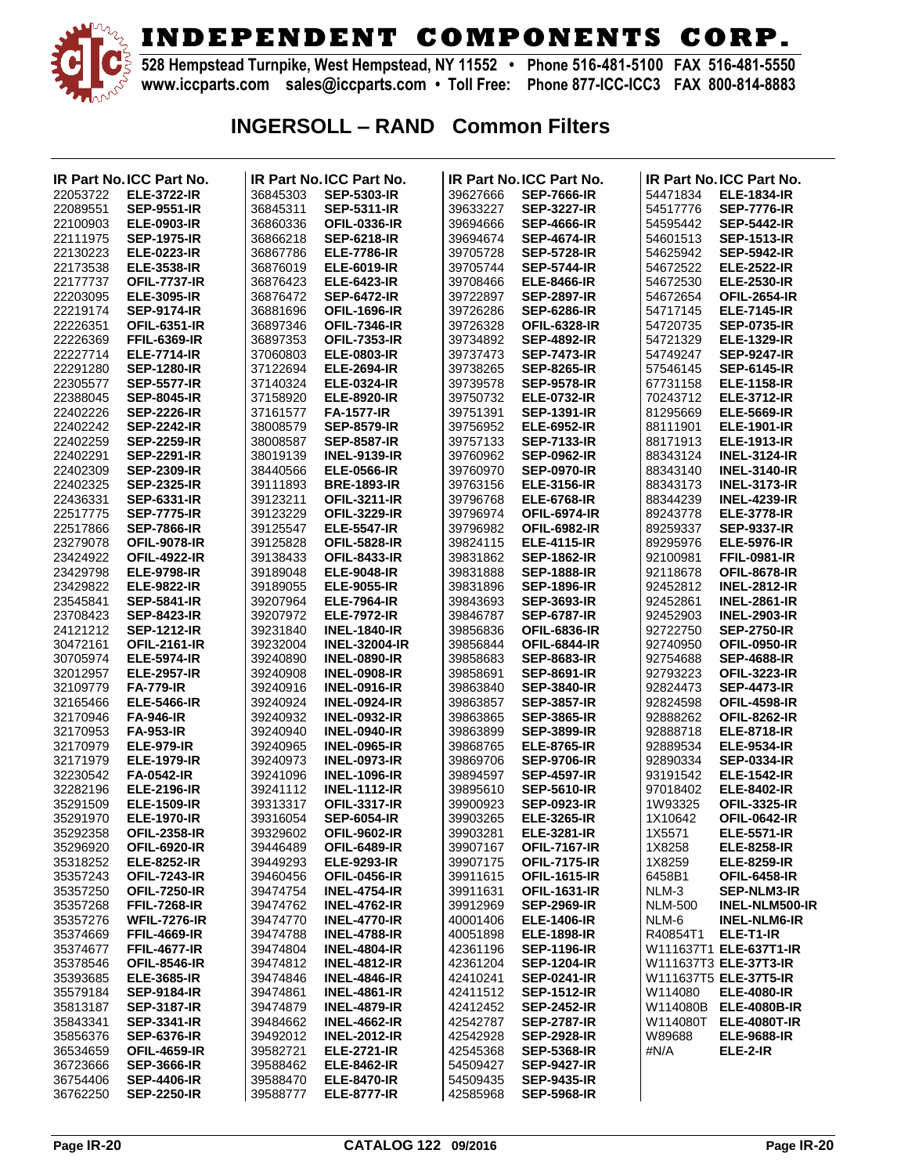

**528 Hempstead Turnpike, West Hempstead, NY 11552 • Phone 516-481-5100 FAX 516-481-5550 www.iccparts.com sales@iccparts.com • Toll Free: Phone 877-ICC-ICC3 FAX 800-814-8883**

## **INGERSOLL – RAND Common Filters**

|          | IR Part No.ICC Part No. |          | IR Part No. ICC Part No. |          | <b>IR Part No.ICC Part No.</b> |                | <b>IR Part No. ICC Part No.</b> |
|----------|-------------------------|----------|--------------------------|----------|--------------------------------|----------------|---------------------------------|
| 22053722 | <b>ELE-3722-IR</b>      | 36845303 | <b>SEP-5303-IR</b>       | 39627666 | <b>SEP-7666-IR</b>             | 54471834       | <b>ELE-1834-IR</b>              |
| 22089551 | <b>SEP-9551-IR</b>      | 36845311 | <b>SEP-5311-IR</b>       | 39633227 | <b>SEP-3227-IR</b>             | 54517776       | <b>SEP-7776-IR</b>              |
|          |                         |          |                          |          |                                |                |                                 |
| 22100903 | <b>ELE-0903-IR</b>      | 36860336 | <b>OFIL-0336-IR</b>      | 39694666 | <b>SEP-4666-IR</b>             | 54595442       | <b>SEP-5442-IR</b>              |
| 22111975 | <b>SEP-1975-IR</b>      | 36866218 | <b>SEP-6218-IR</b>       | 39694674 | <b>SEP-4674-IR</b>             | 54601513       | <b>SEP-1513-IR</b>              |
| 22130223 | <b>ELE-0223-IR</b>      | 36867786 | <b>ELE-7786-IR</b>       | 39705728 | <b>SEP-5728-IR</b>             | 54625942       | <b>SEP-5942-IR</b>              |
| 22173538 | <b>ELE-3538-IR</b>      | 36876019 | <b>ELE-6019-IR</b>       | 39705744 | <b>SEP-5744-IR</b>             | 54672522       | <b>ELE-2522-IR</b>              |
| 22177737 | <b>OFIL-7737-IR</b>     | 36876423 | <b>ELE-6423-IR</b>       | 39708466 | <b>ELE-8466-IR</b>             | 54672530       | <b>ELE-2530-IR</b>              |
|          |                         |          |                          |          |                                |                |                                 |
| 22203095 | <b>ELE-3095-IR</b>      | 36876472 | <b>SEP-6472-IR</b>       | 39722897 | <b>SEP-2897-IR</b>             | 54672654       | <b>OFIL-2654-IR</b>             |
| 22219174 | <b>SEP-9174-IR</b>      | 36881696 | <b>OFIL-1696-IR</b>      | 39726286 | <b>SEP-6286-IR</b>             | 54717145       | <b>ELE-7145-IR</b>              |
| 22226351 | <b>OFIL-6351-IR</b>     | 36897346 | <b>OFIL-7346-IR</b>      | 39726328 | <b>OFIL-6328-IR</b>            | 54720735       | <b>SEP-0735-IR</b>              |
| 22226369 | <b>FFIL-6369-IR</b>     | 36897353 | <b>OFIL-7353-IR</b>      | 39734892 | <b>SEP-4892-IR</b>             | 54721329       | <b>ELE-1329-IR</b>              |
|          |                         |          |                          |          |                                |                |                                 |
| 22227714 | <b>ELE-7714-IR</b>      | 37060803 | <b>ELE-0803-IR</b>       | 39737473 | <b>SEP-7473-IR</b>             | 54749247       | <b>SEP-9247-IR</b>              |
| 22291280 | <b>SEP-1280-IR</b>      | 37122694 | <b>ELE-2694-IR</b>       | 39738265 | <b>SEP-8265-IR</b>             | 57546145       | <b>SEP-6145-IR</b>              |
| 22305577 | <b>SEP-5577-IR</b>      | 37140324 | <b>ELE-0324-IR</b>       | 39739578 | <b>SEP-9578-IR</b>             | 67731158       | <b>ELE-1158-IR</b>              |
| 22388045 | <b>SEP-8045-IR</b>      | 37158920 | <b>ELE-8920-IR</b>       | 39750732 | <b>ELE-0732-IR</b>             | 70243712       | <b>ELE-3712-IR</b>              |
|          |                         |          |                          |          |                                |                |                                 |
| 22402226 | <b>SEP-2226-IR</b>      | 37161577 | <b>FA-1577-IR</b>        | 39751391 | <b>SEP-1391-IR</b>             | 81295669       | <b>ELE-5669-IR</b>              |
| 22402242 | <b>SEP-2242-IR</b>      | 38008579 | <b>SEP-8579-IR</b>       | 39756952 | <b>ELE-6952-IR</b>             | 88111901       | <b>ELE-1901-IR</b>              |
| 22402259 | <b>SEP-2259-IR</b>      | 38008587 | <b>SEP-8587-IR</b>       | 39757133 | <b>SEP-7133-IR</b>             | 88171913       | <b>ELE-1913-IR</b>              |
| 22402291 | <b>SEP-2291-IR</b>      | 38019139 | <b>INEL-9139-IR</b>      | 39760962 | <b>SEP-0962-IR</b>             | 88343124       | <b>INEL-3124-IR</b>             |
| 22402309 | <b>SEP-2309-IR</b>      | 38440566 |                          | 39760970 | <b>SEP-0970-IR</b>             | 88343140       | <b>INEL-3140-IR</b>             |
|          |                         |          | <b>ELE-0566-IR</b>       |          |                                |                |                                 |
| 22402325 | <b>SEP-2325-IR</b>      | 39111893 | <b>BRE-1893-IR</b>       | 39763156 | <b>ELE-3156-IR</b>             | 88343173       | <b>INEL-3173-IR</b>             |
| 22436331 | <b>SEP-6331-IR</b>      | 39123211 | <b>OFIL-3211-IR</b>      | 39796768 | <b>ELE-6768-IR</b>             | 88344239       | <b>INEL-4239-IR</b>             |
| 22517775 | <b>SEP-7775-IR</b>      | 39123229 | <b>OFIL-3229-IR</b>      | 39796974 | <b>OFIL-6974-IR</b>            | 89243778       | <b>ELE-3778-IR</b>              |
| 22517866 | <b>SEP-7866-IR</b>      | 39125547 | <b>ELE-5547-IR</b>       | 39796982 | <b>OFIL-6982-IR</b>            | 89259337       | <b>SEP-9337-IR</b>              |
|          |                         |          |                          |          |                                |                |                                 |
| 23279078 | <b>OFIL-9078-IR</b>     | 39125828 | <b>OFIL-5828-IR</b>      | 39824115 | <b>ELE-4115-IR</b>             | 89295976       | <b>ELE-5976-IR</b>              |
| 23424922 | <b>OFIL-4922-IR</b>     | 39138433 | <b>OFIL-8433-IR</b>      | 39831862 | <b>SEP-1862-IR</b>             | 92100981       | <b>FFIL-0981-IR</b>             |
| 23429798 | <b>ELE-9798-IR</b>      | 39189048 | <b>ELE-9048-IR</b>       | 39831888 | <b>SEP-1888-IR</b>             | 92118678       | <b>OFIL-8678-IR</b>             |
| 23429822 | <b>ELE-9822-IR</b>      | 39189055 | <b>ELE-9055-IR</b>       | 39831896 | <b>SEP-1896-IR</b>             | 92452812       | <b>INEL-2812-IR</b>             |
| 23545841 | <b>SEP-5841-IR</b>      | 39207964 | <b>ELE-7964-IR</b>       | 39843693 | <b>SEP-3693-IR</b>             | 92452861       | <b>INEL-2861-IR</b>             |
|          |                         |          |                          |          |                                |                |                                 |
| 23708423 | <b>SEP-8423-IR</b>      | 39207972 | <b>ELE-7972-IR</b>       | 39846787 | <b>SEP-6787-IR</b>             | 92452903       | <b>INEL-2903-IR</b>             |
| 24121212 | <b>SEP-1212-IR</b>      | 39231840 | <b>INEL-1840-IR</b>      | 39856836 | <b>OFIL-6836-IR</b>            | 92722750       | <b>SEP-2750-IR</b>              |
| 30472161 | <b>OFIL-2161-IR</b>     | 39232004 | <b>INEL-32004-IR</b>     | 39856844 | <b>OFIL-6844-IR</b>            | 92740950       | <b>OFIL-0950-IR</b>             |
| 30705974 | <b>ELE-5974-IR</b>      | 39240890 | <b>INEL-0890-IR</b>      | 39858683 | <b>SEP-8683-IR</b>             | 92754688       | <b>SEP-4688-IR</b>              |
| 32012957 | <b>ELE-2957-IR</b>      | 39240908 | <b>INEL-0908-IR</b>      | 39858691 | <b>SEP-8691-IR</b>             | 92793223       | <b>OFIL-3223-IR</b>             |
|          |                         |          |                          |          |                                | 92824473       |                                 |
| 32109779 | <b>FA-779-IR</b>        | 39240916 | <b>INEL-0916-IR</b>      | 39863840 | <b>SEP-3840-IR</b>             |                | <b>SEP-4473-IR</b>              |
| 32165466 | <b>ELE-5466-IR</b>      | 39240924 | <b>INEL-0924-IR</b>      | 39863857 | <b>SEP-3857-IR</b>             | 92824598       | <b>OFIL-4598-IR</b>             |
| 32170946 | <b>FA-946-IR</b>        | 39240932 | <b>INEL-0932-IR</b>      | 39863865 | <b>SEP-3865-IR</b>             | 92888262       | <b>OFIL-8262-IR</b>             |
| 32170953 | <b>FA-953-IR</b>        | 39240940 | <b>INEL-0940-IR</b>      | 39863899 | <b>SEP-3899-IR</b>             | 92888718       | <b>ELE-8718-IR</b>              |
| 32170979 | <b>ELE-979-IR</b>       | 39240965 | <b>INEL-0965-IR</b>      | 39868765 | <b>ELE-8765-IR</b>             | 92889534       | <b>ELE-9534-IR</b>              |
| 32171979 | <b>ELE-1979-IR</b>      | 39240973 | <b>INEL-0973-IR</b>      | 39869706 | <b>SEP-9706-IR</b>             | 92890334       | <b>SEP-0334-IR</b>              |
|          |                         |          |                          |          |                                |                |                                 |
| 32230542 | <b>FA-0542-IR</b>       | 39241096 | <b>INEL-1096-IR</b>      | 39894597 | <b>SEP-4597-IR</b>             | 93191542       | <b>ELE-1542-IR</b>              |
| 32282196 | <b>ELE-2196-IR</b>      | 39241112 | <b>INEL-1112-IR</b>      | 39895610 | <b>SEP-5610-IR</b>             | 97018402       | <b>ELE-8402-IR</b>              |
| 35291509 | <b>ELE-1509-IR</b>      | 39313317 | <b>OFIL-3317-IR</b>      | 39900923 | <b>SEP-0923-IR</b>             | 1W93325        | <b>OFIL-3325-IR</b>             |
| 35291970 | <b>ELE-1970-IR</b>      | 39316054 | <b>SEP-6054-IR</b>       | 39903265 | <b>ELE-3265-IR</b>             | 1X10642        | <b>OFIL-0642-IR</b>             |
| 35292358 | <b>OFIL-2358-IR</b>     | 39329602 | <b>OFIL-9602-IR</b>      | 39903281 | <b>ELE-3281-IR</b>             | 1X5571         | <b>ELE-5571-IR</b>              |
|          |                         |          |                          |          |                                |                |                                 |
| 35296920 | <b>OFIL-6920-IR</b>     | 39446489 | <b>OFIL-6489-IR</b>      | 39907167 | <b>OFIL-7167-IR</b>            | 1X8258         | <b>ELE-8258-IR</b>              |
| 35318252 | <b>ELE-8252-IR</b>      | 39449293 | <b>ELE-9293-IR</b>       | 39907175 | <b>OFIL-7175-IR</b>            | 1X8259         | <b>ELE-8259-IR</b>              |
| 35357243 | <b>OFIL-7243-IR</b>     | 39460456 | <b>OFIL-0456-IR</b>      | 39911615 | <b>OFIL-1615-IR</b>            | 6458B1         | <b>OFIL-6458-IR</b>             |
| 35357250 | <b>OFIL-7250-IR</b>     | 39474754 | <b>INEL-4754-IR</b>      | 39911631 | <b>OFIL-1631-IR</b>            | NLM-3          | <b>SEP-NLM3-IR</b>              |
| 35357268 | <b>FFIL-7268-IR</b>     | 39474762 | <b>INEL-4762-IR</b>      | 39912969 | <b>SEP-2969-IR</b>             | <b>NLM-500</b> | <b>INEL-NLM500-IR</b>           |
|          | <b>WFIL-7276-IR</b>     |          |                          | 40001406 | <b>ELE-1406-IR</b>             |                |                                 |
| 35357276 |                         | 39474770 | <b>INEL-4770-IR</b>      |          |                                | NLM-6          | <b>INEL-NLM6-IR</b>             |
| 35374669 | <b>FFIL-4669-IR</b>     | 39474788 | <b>INEL-4788-IR</b>      | 40051898 | <b>ELE-1898-IR</b>             | R40854T1       | ELE-T1-IR                       |
| 35374677 | <b>FFIL-4677-IR</b>     | 39474804 | <b>INEL-4804-IR</b>      | 42361196 | <b>SEP-1196-IR</b>             |                | W111637T1 ELE-637T1-IR          |
| 35378546 | <b>OFIL-8546-IR</b>     | 39474812 | <b>INEL-4812-IR</b>      | 42361204 | <b>SEP-1204-IR</b>             |                | W111637T3 ELE-37T3-IR           |
| 35393685 | <b>ELE-3685-IR</b>      | 39474846 | <b>INEL-4846-IR</b>      | 42410241 | <b>SEP-0241-IR</b>             |                | W111637T5 ELE-37T5-IR           |
| 35579184 | <b>SEP-9184-IR</b>      | 39474861 | <b>INEL-4861-IR</b>      | 42411512 | <b>SEP-1512-IR</b>             | W114080        | <b>ELE-4080-IR</b>              |
|          |                         |          |                          |          |                                |                |                                 |
| 35813187 | <b>SEP-3187-IR</b>      | 39474879 | <b>INEL-4879-IR</b>      | 42412452 | <b>SEP-2452-IR</b>             |                | W114080B ELE-4080B-IR           |
| 35843341 | <b>SEP-3341-IR</b>      | 39484662 | <b>INEL-4662-IR</b>      | 42542787 | <b>SEP-2787-IR</b>             |                | W114080T ELE-4080T-IR           |
| 35856376 | <b>SEP-6376-IR</b>      | 39492012 | <b>INEL-2012-IR</b>      | 42542928 | <b>SEP-2928-IR</b>             | W89688         | <b>ELE-9688-IR</b>              |
| 36534659 | <b>OFIL-4659-IR</b>     | 39582721 | <b>ELE-2721-IR</b>       | 42545368 | <b>SEP-5368-IR</b>             | #N/A           | ELE-2-IR                        |
| 36723666 | <b>SEP-3666-IR</b>      | 39588462 | <b>ELE-8462-IR</b>       | 54509427 | <b>SEP-9427-IR</b>             |                |                                 |
|          |                         |          |                          |          |                                |                |                                 |
| 36754406 | <b>SEP-4406-IR</b>      | 39588470 | <b>ELE-8470-IR</b>       | 54509435 | <b>SEP-9435-IR</b>             |                |                                 |
| 36762250 | <b>SEP-2250-IR</b>      | 39588777 | <b>ELE-8777-IR</b>       | 42585968 | <b>SEP-5968-IR</b>             |                |                                 |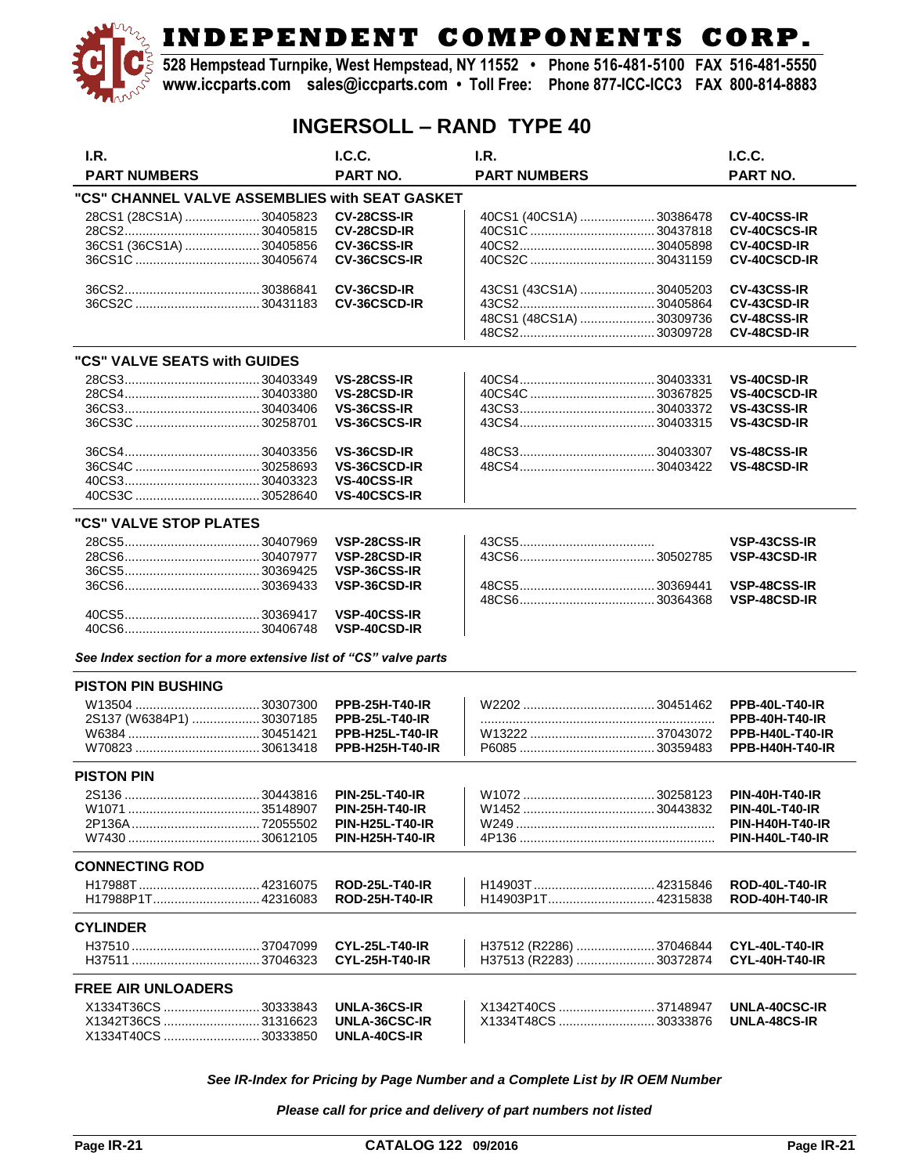**528 Hempstead Turnpike, West Hempstead, NY 11552 • Phone 516-481-5100 FAX 516-481-5550 www.iccparts.com sales@iccparts.com • Toll Free: Phone 877-ICC-ICC3 FAX 800-814-8883**

### **INGERSOLL – RAND TYPE 40**

| I.R.                                                            | I.C.C.                 | I.R.                    | I.C.C.                       |
|-----------------------------------------------------------------|------------------------|-------------------------|------------------------------|
| <b>PART NUMBERS</b>                                             | <b>PART NO.</b>        | <b>PART NUMBERS</b>     | <b>PART NO.</b>              |
| "CS" CHANNEL VALVE ASSEMBLIES with SEAT GASKET                  |                        |                         |                              |
| 28CS1 (28CS1A)  30405823                                        | <b>CV-28CSS-IR</b>     | 40CS1 (40CS1A) 30386478 | <b>CV-40CSS-IR</b>           |
|                                                                 | <b>CV-28CSD-IR</b>     |                         | <b>CV-40CSCS-IR</b>          |
| 36CS1 (36CS1A)  30405856                                        | CV-36CSS-IR            |                         | <b>CV-40CSD-IR</b>           |
|                                                                 | <b>CV-36CSCS-IR</b>    |                         | <b>CV-40CSCD-IR</b>          |
|                                                                 |                        |                         |                              |
|                                                                 | CV-36CSD-IR            | 43CS1 (43CS1A) 30405203 | <b>CV-43CSS-IR</b>           |
|                                                                 | <b>CV-36CSCD-IR</b>    |                         | CV-43CSD-IR                  |
|                                                                 |                        | 48CS1 (48CS1A) 30309736 | <b>CV-48CSS-IR</b>           |
|                                                                 |                        |                         | CV-48CSD-IR                  |
|                                                                 |                        |                         |                              |
| "CS" VALVE SEATS with GUIDES                                    |                        |                         |                              |
|                                                                 | VS-28CSS-IR            |                         | <b>VS-40CSD-IR</b>           |
|                                                                 | <b>VS-28CSD-IR</b>     |                         | <b>VS-40CSCD-IR</b>          |
|                                                                 | VS-36CSS-IR            |                         | <b>VS-43CSS-IR</b>           |
|                                                                 | VS-36CSCS-IR           |                         | VS-43CSD-IR                  |
|                                                                 |                        |                         |                              |
|                                                                 | VS-36CSD-IR            |                         | <b>VS-48CSS-IR</b>           |
|                                                                 | <b>VS-36CSCD-IR</b>    |                         | <b>VS-48CSD-IR</b>           |
|                                                                 | <b>VS-40CSS-IR</b>     |                         |                              |
|                                                                 | <b>VS-40CSCS-IR</b>    |                         |                              |
| "CS" VALVE STOP PLATES                                          |                        |                         |                              |
|                                                                 | VSP-28CSS-IR           |                         | VSP-43CSS-IR                 |
|                                                                 | VSP-28CSD-IR           |                         | VSP-43CSD-IR                 |
|                                                                 | VSP-36CSS-IR           |                         |                              |
|                                                                 |                        |                         |                              |
|                                                                 | VSP-36CSD-IR           |                         | VSP-48CSS-IR<br>VSP-48CSD-IR |
|                                                                 |                        |                         |                              |
|                                                                 | VSP-40CSS-IR           |                         |                              |
|                                                                 | <b>VSP-40CSD-IR</b>    |                         |                              |
| See Index section for a more extensive list of "CS" valve parts |                        |                         |                              |
| <b>PISTON PIN BUSHING</b>                                       |                        |                         |                              |
|                                                                 | <b>PPB-25H-T40-IR</b>  |                         | <b>PPB-40L-T40-IR</b>        |
| 2S137 (W6384P1)  30307185                                       | <b>PPB-25L-T40-IR</b>  |                         | <b>PPB-40H-T40-IR</b>        |
|                                                                 | <b>PPB-H25L-T40-IR</b> |                         | <b>PPB-H40L-T40-IR</b>       |
|                                                                 | <b>PPB-H25H-T40-IR</b> |                         | <b>PPB-H40H-T40-IR</b>       |
|                                                                 |                        |                         |                              |
| <b>PISTON PIN</b>                                               |                        |                         |                              |
|                                                                 | <b>PIN-25L-T40-IR</b>  |                         | <b>PIN-40H-T40-IR</b>        |
|                                                                 | <b>PIN-25H-T40-IR</b>  |                         | <b>PIN-40L-T40-IR</b>        |
|                                                                 | <b>PIN-H25L-T40-IR</b> |                         | <b>PIN-H40H-T40-IR</b>       |
|                                                                 | <b>PIN-H25H-T40-IR</b> |                         | <b>PIN-H40L-T40-IR</b>       |
| <b>CONNECTING ROD</b>                                           |                        |                         |                              |
|                                                                 | <b>ROD-25L-T40-IR</b>  |                         | <b>ROD-40L-T40-IR</b>        |
|                                                                 | <b>ROD-25H-T40-IR</b>  | H14903P1T 42315838      | <b>ROD-40H-T40-IR</b>        |
|                                                                 |                        |                         |                              |
| <b>CYLINDER</b>                                                 |                        |                         |                              |
|                                                                 | <b>CYL-25L-T40-IR</b>  | H37512 (R2286) 37046844 | <b>CYL-40L-T40-IR</b>        |
|                                                                 | <b>CYL-25H-T40-IR</b>  | H37513 (R2283) 30372874 | <b>CYL-40H-T40-IR</b>        |
| <b>FREE AIR UNLOADERS</b>                                       |                        |                         |                              |
| X1334T36CS 30333843                                             | UNLA-36CS-IR           | X1342T40CS 37148947     | UNLA-40CSC-IR                |
| X1342T36CS  31316623                                            | UNLA-36CSC-IR          | X1334T48CS 30333876     | UNLA-48CS-IR                 |
| X1334T40CS 30333850                                             | UNLA-40CS-IR           |                         |                              |

*See IR-Index for Pricing by Page Number and a Complete List by IR OEM Number*

*Please call for price and delivery of part numbers not listed*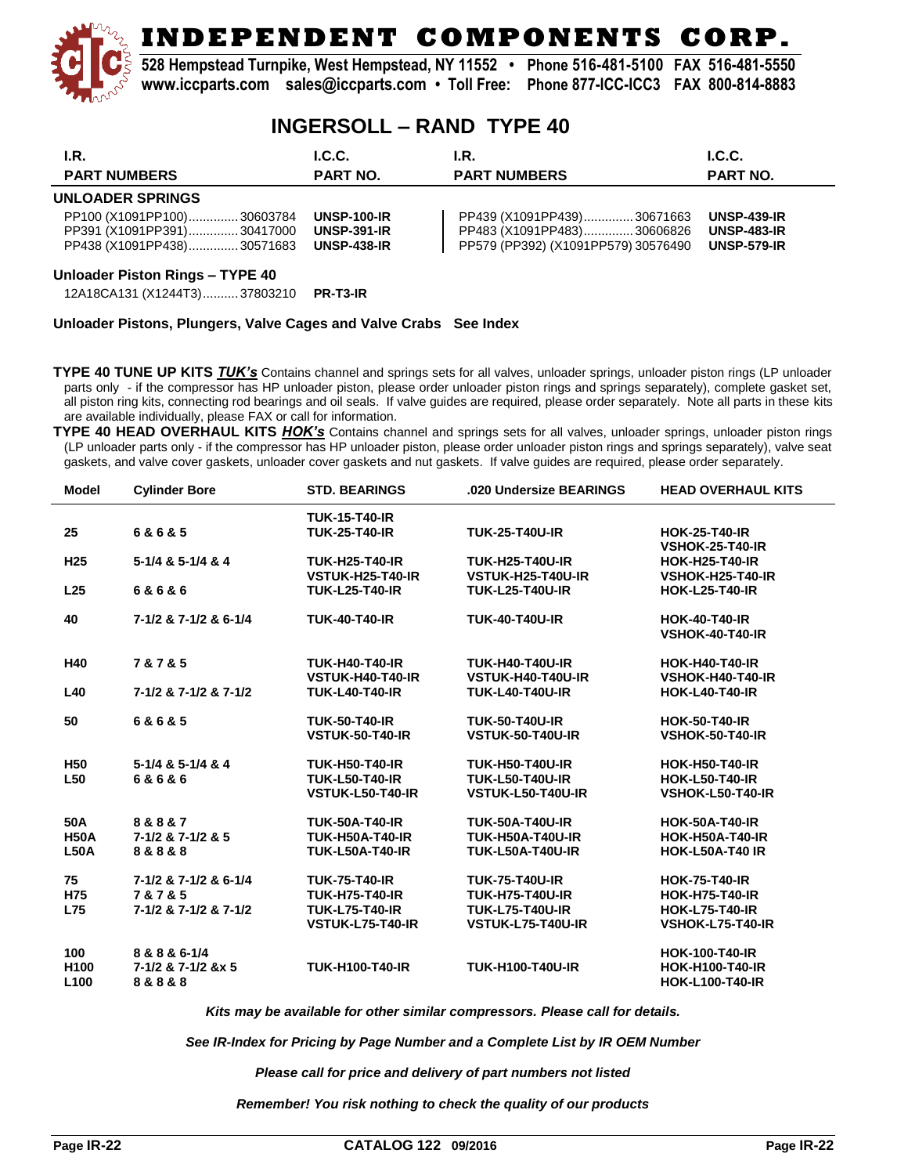**528 Hempstead Turnpike, West Hempstead, NY 11552 • Phone 516-481-5100 FAX 516-481-5550 www.iccparts.com sales@iccparts.com • Toll Free: Phone 877-ICC-ICC3 FAX 800-814-8883**

#### **INGERSOLL – RAND TYPE 40**

| I.R.                                                                                   | L.C.C.                                                         | I.R.                                                                                            | L.C.C.                                                         |
|----------------------------------------------------------------------------------------|----------------------------------------------------------------|-------------------------------------------------------------------------------------------------|----------------------------------------------------------------|
| <b>PART NUMBERS</b>                                                                    | <b>PART NO.</b>                                                | <b>PART NUMBERS</b>                                                                             | <b>PART NO.</b>                                                |
| <b>UNLOADER SPRINGS</b>                                                                |                                                                |                                                                                                 |                                                                |
| PP100 (X1091PP100)30603784<br>PP391 (X1091PP391)30417000<br>PP438 (X1091PP438)30571683 | <b>UNSP-100-IR</b><br><b>UNSP-391-IR</b><br><b>UNSP-438-IR</b> | PP439 (X1091PP439)30671663<br>PP483 (X1091PP483)30606826<br>PP579 (PP392) (X1091PP579) 30576490 | <b>UNSP-439-IR</b><br><b>UNSP-483-IR</b><br><b>UNSP-579-IR</b> |

#### **Unloader Piston Rings – TYPE 40**

12A18CA131 (X1244T3).......... 37803210 **PR-T3-IR**

#### **Unloader Pistons, Plungers, Valve Cages and Valve Crabs See Index**

**TYPE 40 TUNE UP KITS** *TUK's* Contains channel and springs sets for all valves, unloader springs, unloader piston rings (LP unloader parts only - if the compressor has HP unloader piston, please order unloader piston rings and springs separately), complete gasket set, all piston ring kits, connecting rod bearings and oil seals. If valve guides are required, please order separately. Note all parts in these kits are available individually, please FAX or call for information.

**TYPE 40 HEAD OVERHAUL KITS** *HOK's* Contains channel and springs sets for all valves, unloader springs, unloader piston rings (LP unloader parts only - if the compressor has HP unloader piston, please order unloader piston rings and springs separately), valve seat gaskets, and valve cover gaskets, unloader cover gaskets and nut gaskets. If valve guides are required, please order separately.

| Model            | <b>Cylinder Bore</b>  | <b>STD. BEARINGS</b>   | .020 Undersize BEARINGS | <b>HEAD OVERHAUL KITS</b> |
|------------------|-----------------------|------------------------|-------------------------|---------------------------|
|                  |                       | <b>TUK-15-T40-IR</b>   |                         |                           |
| 25               | 6&6&5                 | <b>TUK-25-T40-IR</b>   | <b>TUK-25-T40U-IR</b>   | <b>HOK-25-T40-IR</b>      |
|                  |                       |                        |                         | <b>VSHOK-25-T40-IR</b>    |
| H <sub>25</sub>  | 5-1/4 & 5-1/4 & 4     | <b>TUK-H25-T40-IR</b>  | <b>TUK-H25-T40U-IR</b>  | <b>HOK-H25-T40-IR</b>     |
|                  |                       | VSTUK-H25-T40-IR       | VSTUK-H25-T40U-IR       | <b>VSHOK-H25-T40-IR</b>   |
| L <sub>25</sub>  | 6&6&6                 | <b>TUK-L25-T40-IR</b>  | <b>TUK-L25-T40U-IR</b>  | <b>HOK-L25-T40-IR</b>     |
| 40               | 7-1/2 & 7-1/2 & 6-1/4 | <b>TUK-40-T40-IR</b>   | <b>TUK-40-T40U-IR</b>   | <b>HOK-40-T40-IR</b>      |
|                  |                       |                        |                         | <b>VSHOK-40-T40-IR</b>    |
| H40              | 7 & 7 & 5             | <b>TUK-H40-T40-IR</b>  | <b>TUK-H40-T40U-IR</b>  | <b>HOK-H40-T40-IR</b>     |
|                  |                       | VSTUK-H40-T40-IR       | VSTUK-H40-T40U-IR       | VSHOK-H40-T40-IR          |
| L40              | 7-1/2 & 7-1/2 & 7-1/2 | <b>TUK-L40-T40-IR</b>  | <b>TUK-L40-T40U-IR</b>  | <b>HOK-L40-T40-IR</b>     |
| 50               | 6&6&5                 | <b>TUK-50-T40-IR</b>   | <b>TUK-50-T40U-IR</b>   | <b>HOK-50-T40-IR</b>      |
|                  |                       | <b>VSTUK-50-T40-IR</b> | <b>VSTUK-50-T40U-IR</b> | <b>VSHOK-50-T40-IR</b>    |
| <b>H50</b>       | 5-1/4 & 5-1/4 & 4     | <b>TUK-H50-T40-IR</b>  | <b>TUK-H50-T40U-IR</b>  | <b>HOK-H50-T40-IR</b>     |
| L <sub>50</sub>  | 6&6&6                 | <b>TUK-L50-T40-IR</b>  | <b>TUK-L50-T40U-IR</b>  | <b>HOK-L50-T40-IR</b>     |
|                  |                       | VSTUK-L50-T40-IR       | VSTUK-L50-T40U-IR       | VSHOK-L50-T40-IR          |
| 50A              | 8&8&7                 | <b>TUK-50A-T40-IR</b>  | <b>TUK-50A-T40U-IR</b>  | <b>HOK-50A-T40-IR</b>     |
| <b>H50A</b>      | 7-1/2 & 7-1/2 & 5     | <b>TUK-H50A-T40-IR</b> | <b>TUK-H50A-T40U-IR</b> | <b>HOK-H50A-T40-IR</b>    |
| <b>L50A</b>      | 8 & 8 & 8             | <b>TUK-L50A-T40-IR</b> | <b>TUK-L50A-T40U-IR</b> | <b>HOK-L50A-T40 IR</b>    |
| 75               | 7-1/2 & 7-1/2 & 6-1/4 | <b>TUK-75-T40-IR</b>   | <b>TUK-75-T40U-IR</b>   | <b>HOK-75-T40-IR</b>      |
| H75              | 7 & 7 & 5             | <b>TUK-H75-T40-IR</b>  | <b>TUK-H75-T40U-IR</b>  | <b>HOK-H75-T40-IR</b>     |
| <b>L75</b>       | 7-1/2 & 7-1/2 & 7-1/2 | <b>TUK-L75-T40-IR</b>  | <b>TUK-L75-T40U-IR</b>  | <b>HOK-L75-T40-IR</b>     |
|                  |                       | VSTUK-L75-T40-IR       | VSTUK-L75-T40U-IR       | VSHOK-L75-T40-IR          |
| 100              | 8 & 8 & 6-1/4         |                        |                         | <b>HOK-100-T40-IR</b>     |
| H <sub>100</sub> | 7-1/2 & 7-1/2 &x 5    | <b>TUK-H100-T40-IR</b> | <b>TUK-H100-T40U-IR</b> | <b>HOK-H100-T40-IR</b>    |
| L <sub>100</sub> | 8 & 8 & 8             |                        |                         | <b>HOK-L100-T40-IR</b>    |
|                  |                       |                        |                         |                           |

*Kits may be available for other similar compressors. Please call for details.*

*See IR-Index for Pricing by Page Number and a Complete List by IR OEM Number*

*Please call for price and delivery of part numbers not listed*

#### *Remember! You risk nothing to check the quality of our products*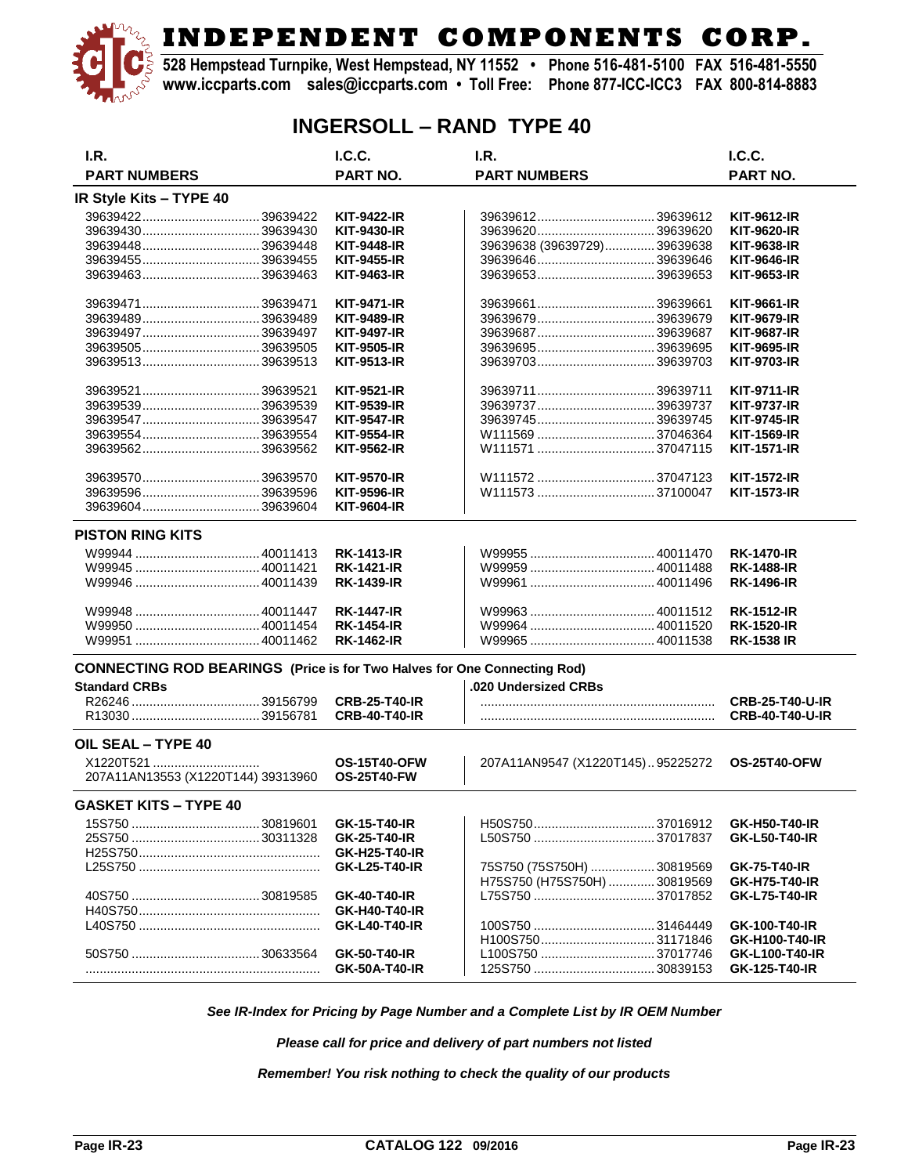**528 Hempstead Turnpike, West Hempstead, NY 11552 • Phone 516-481-5100 FAX 516-481-5550 www.iccparts.com sales@iccparts.com • Toll Free: Phone 877-ICC-ICC3 FAX 800-814-8883**

### **INGERSOLL – RAND TYPE 40**

| I.R.                                                                            |  | I.C.C.               | I.R.                             | I.C.C.                 |  |
|---------------------------------------------------------------------------------|--|----------------------|----------------------------------|------------------------|--|
| <b>PART NUMBERS</b>                                                             |  | <b>PART NO.</b>      | <b>PART NUMBERS</b>              | PART NO.               |  |
| IR Style Kits - TYPE 40                                                         |  |                      |                                  |                        |  |
|                                                                                 |  | KIT-9422-IR          | 3963961239639612                 | <b>KIT-9612-IR</b>     |  |
|                                                                                 |  | <b>KIT-9430-IR</b>   |                                  | <b>KIT-9620-IR</b>     |  |
|                                                                                 |  | KIT-9448-IR          | 39639638 (39639729)39639638      | <b>KIT-9638-IR</b>     |  |
|                                                                                 |  | <b>KIT-9455-IR</b>   |                                  | <b>KIT-9646-IR</b>     |  |
|                                                                                 |  |                      |                                  |                        |  |
|                                                                                 |  | <b>KIT-9463-IR</b>   |                                  | <b>KIT-9653-IR</b>     |  |
| 39639471  39639471                                                              |  | <b>KIT-9471-IR</b>   |                                  | <b>KIT-9661-IR</b>     |  |
|                                                                                 |  | <b>KIT-9489-IR</b>   |                                  | <b>KIT-9679-IR</b>     |  |
|                                                                                 |  | <b>KIT-9497-IR</b>   |                                  | <b>KIT-9687-IR</b>     |  |
|                                                                                 |  | <b>KIT-9505-IR</b>   |                                  | <b>KIT-9695-IR</b>     |  |
| 3963951339639513                                                                |  | KIT-9513-IR          | 3963970339639703                 | <b>KIT-9703-IR</b>     |  |
|                                                                                 |  | <b>KIT-9521-IR</b>   |                                  | <b>KIT-9711-IR</b>     |  |
|                                                                                 |  |                      |                                  |                        |  |
|                                                                                 |  | <b>KIT-9539-IR</b>   |                                  | <b>KIT-9737-IR</b>     |  |
|                                                                                 |  | <b>KIT-9547-IR</b>   |                                  | <b>KIT-9745-IR</b>     |  |
|                                                                                 |  | <b>KIT-9554-IR</b>   |                                  | <b>KIT-1569-IR</b>     |  |
|                                                                                 |  | KIT-9562-IR          |                                  | <b>KIT-1571-IR</b>     |  |
|                                                                                 |  | <b>KIT-9570-IR</b>   | W111572 37047123                 | <b>KIT-1572-IR</b>     |  |
|                                                                                 |  | <b>KIT-9596-IR</b>   |                                  | <b>KIT-1573-IR</b>     |  |
| 39639604 39639604                                                               |  |                      |                                  |                        |  |
|                                                                                 |  | <b>KIT-9604-IR</b>   |                                  |                        |  |
| <b>PISTON RING KITS</b>                                                         |  |                      |                                  |                        |  |
|                                                                                 |  | <b>RK-1413-IR</b>    |                                  | <b>RK-1470-IR</b>      |  |
|                                                                                 |  | <b>RK-1421-IR</b>    |                                  | <b>RK-1488-IR</b>      |  |
|                                                                                 |  | <b>RK-1439-IR</b>    |                                  | <b>RK-1496-IR</b>      |  |
|                                                                                 |  | <b>RK-1447-IR</b>    |                                  | <b>RK-1512-IR</b>      |  |
|                                                                                 |  | <b>RK-1454-IR</b>    |                                  | <b>RK-1520-IR</b>      |  |
|                                                                                 |  | <b>RK-1462-IR</b>    |                                  | <b>RK-1538 IR</b>      |  |
| <b>CONNECTING ROD BEARINGS (Price is for Two Halves for One Connecting Rod)</b> |  |                      |                                  |                        |  |
| <b>Standard CRBs</b>                                                            |  |                      | .020 Undersized CRBs             |                        |  |
|                                                                                 |  | <b>CRB-25-T40-IR</b> |                                  | <b>CRB-25-T40-U-IR</b> |  |
|                                                                                 |  | <b>CRB-40-T40-IR</b> |                                  | <b>CRB-40-T40-U-IR</b> |  |
|                                                                                 |  |                      |                                  |                        |  |
| OIL SEAL - TYPE 40                                                              |  |                      |                                  |                        |  |
| X1220T521                                                                       |  | <b>OS-15T40-OFW</b>  | 207A11AN9547 (X1220T145)95225272 | <b>OS-25T40-OFW</b>    |  |
| 207A11AN13553 (X1220T144) 39313960                                              |  | <b>OS-25T40-FW</b>   |                                  |                        |  |
| <b>GASKET KITS - TYPE 40</b>                                                    |  |                      |                                  |                        |  |
|                                                                                 |  | GK-15-T40-IR         |                                  | GK-H50-T40-IR          |  |
|                                                                                 |  | <b>GK-25-T40-IR</b>  |                                  | <b>GK-L50-T40-IR</b>   |  |
|                                                                                 |  | GK-H25-T40-IR        |                                  |                        |  |
|                                                                                 |  | <b>GK-L25-T40-IR</b> | 75S750 (75S750H)  30819569       | <b>GK-75-T40-IR</b>    |  |
|                                                                                 |  |                      |                                  |                        |  |
|                                                                                 |  |                      | H75S750 (H75S750H)  30819569     | <b>GK-H75-T40-IR</b>   |  |
|                                                                                 |  | GK-40-T40-IR         | L75S750 37017852                 | <b>GK-L75-T40-IR</b>   |  |
|                                                                                 |  | GK-H40-T40-IR        |                                  |                        |  |
|                                                                                 |  | <b>GK-L40-T40-IR</b> |                                  | GK-100-T40-IR          |  |
|                                                                                 |  |                      | H100S75031171846                 | GK-H100-T40-IR         |  |
|                                                                                 |  | GK-50-T40-IR         | L100S750 37017746                | GK-L100-T40-IR         |  |
|                                                                                 |  | GK-50A-T40-IR        |                                  | GK-125-T40-IR          |  |

*See IR-Index for Pricing by Page Number and a Complete List by IR OEM Number*

*Please call for price and delivery of part numbers not listed*

*Remember! You risk nothing to check the quality of our products*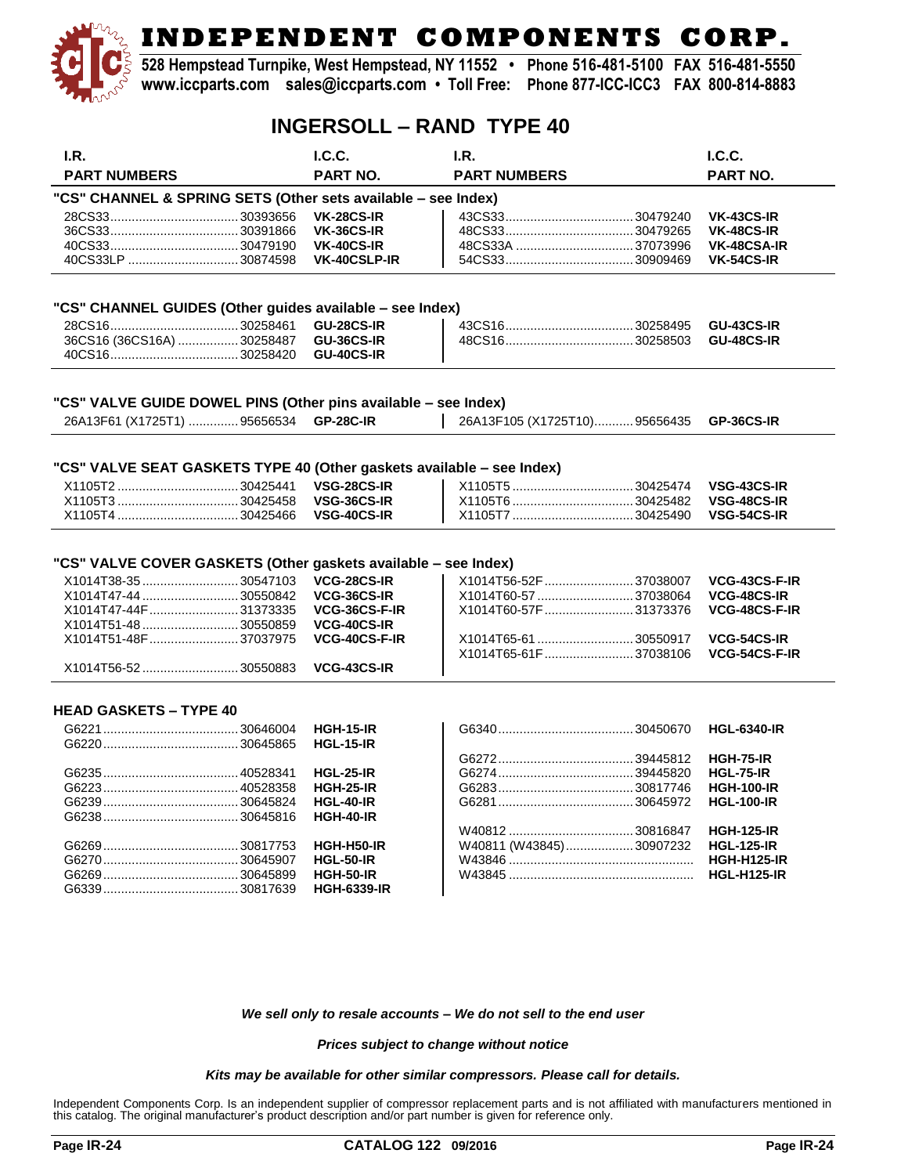**528 Hempstead Turnpike, West Hempstead, NY 11552 • Phone 516-481-5100 FAX 516-481-5550 www.iccparts.com sales@iccparts.com • Toll Free: Phone 877-ICC-ICC3 FAX 800-814-8883**

### **INGERSOLL – RAND TYPE 40**

| I.R.                                                                                                                                                                                      | I.C.C.                                                                                    | I.R.                                                                                            | I.C.C.                                                              |
|-------------------------------------------------------------------------------------------------------------------------------------------------------------------------------------------|-------------------------------------------------------------------------------------------|-------------------------------------------------------------------------------------------------|---------------------------------------------------------------------|
| <b>PART NUMBERS</b>                                                                                                                                                                       | <b>PART NO.</b>                                                                           | <b>PART NUMBERS</b>                                                                             | PART NO.                                                            |
| "CS" CHANNEL & SPRING SETS (Other sets available - see Index)                                                                                                                             |                                                                                           |                                                                                                 |                                                                     |
|                                                                                                                                                                                           | <b>VK-28CS-IR</b>                                                                         |                                                                                                 | <b>VK-43CS-IR</b>                                                   |
|                                                                                                                                                                                           | <b>VK-36CS-IR</b>                                                                         |                                                                                                 | <b>VK-48CS-IR</b>                                                   |
|                                                                                                                                                                                           | <b>VK-40CS-IR</b>                                                                         |                                                                                                 | VK-48CSA-IR                                                         |
|                                                                                                                                                                                           | <b>VK-40CSLP-IR</b>                                                                       |                                                                                                 | <b>VK-54CS-IR</b>                                                   |
|                                                                                                                                                                                           |                                                                                           |                                                                                                 |                                                                     |
| "CS" CHANNEL GUIDES (Other guides available - see Index)                                                                                                                                  |                                                                                           |                                                                                                 |                                                                     |
|                                                                                                                                                                                           | <b>GU-28CS-IR</b>                                                                         |                                                                                                 | <b>GU-43CS-IR</b>                                                   |
| 36CS16 (36CS16A)  30258487                                                                                                                                                                | <b>GU-36CS-IR</b>                                                                         |                                                                                                 | <b>GU-48CS-IR</b>                                                   |
|                                                                                                                                                                                           | <b>GU-40CS-IR</b>                                                                         |                                                                                                 |                                                                     |
| "CS" VALVE GUIDE DOWEL PINS (Other pins available - see Index)<br>26A13F61 (X1725T1)  95656534                                                                                            | <b>GP-28C-IR</b>                                                                          | 26A13F105 (X1725T10)95656435                                                                    | GP-36CS-IR                                                          |
|                                                                                                                                                                                           |                                                                                           |                                                                                                 |                                                                     |
| "CS" VALVE SEAT GASKETS TYPE 40 (Other gaskets available - see Index)                                                                                                                     |                                                                                           |                                                                                                 |                                                                     |
|                                                                                                                                                                                           | <b>VSG-28CS-IR</b>                                                                        |                                                                                                 | VSG-43CS-IR                                                         |
|                                                                                                                                                                                           | VSG-36CS-IR                                                                               |                                                                                                 | VSG-48CS-IR                                                         |
|                                                                                                                                                                                           | VSG-40CS-IR                                                                               |                                                                                                 | VSG-54CS-IR                                                         |
| "CS" VALVE COVER GASKETS (Other gaskets available - see Index)<br>X1014T38-35 30547103<br>X1014T47-44  30550842<br>X1014T47-44F 31373335<br>X1014T51-48  30550859<br>X1014T51-48F37037975 | VCG-28CS-IR<br>VCG-36CS-IR<br>VCG-36CS-F-IR<br><b>VCG-40CS-IR</b><br><b>VCG-40CS-F-IR</b> | X1014T56-52F 37038007<br>X1014T60-57  37038064<br>X1014T60-57F 31373376<br>X1014T65-61 30550917 | VCG-43CS-F-IR<br><b>VCG-48CS-IR</b><br>VCG-48CS-F-IR<br>VCG-54CS-IR |
|                                                                                                                                                                                           |                                                                                           | X1014T65-61F37038106                                                                            | VCG-54CS-F-IR                                                       |
| X1014T56-52 30550883                                                                                                                                                                      | VCG-43CS-IR                                                                               |                                                                                                 |                                                                     |
| <b>HEAD GASKETS - TYPE 40</b>                                                                                                                                                             |                                                                                           |                                                                                                 |                                                                     |
|                                                                                                                                                                                           | <b>HGH-15-IR</b>                                                                          |                                                                                                 | <b>HGL-6340-IR</b>                                                  |
|                                                                                                                                                                                           | <b>HGL-15-IR</b>                                                                          |                                                                                                 |                                                                     |
|                                                                                                                                                                                           |                                                                                           |                                                                                                 | <b>HGH-75-IR</b>                                                    |
|                                                                                                                                                                                           | <b>HGL-25-IR</b>                                                                          |                                                                                                 | <b>HGL-75-IR</b>                                                    |
|                                                                                                                                                                                           | <b>HGH-25-IR</b>                                                                          |                                                                                                 | <b>HGH-100-IR</b>                                                   |
|                                                                                                                                                                                           | <b>HGL-40-IR</b>                                                                          |                                                                                                 | <b>HGL-100-IR</b>                                                   |
|                                                                                                                                                                                           | <b>HGH-40-IR</b>                                                                          |                                                                                                 |                                                                     |
|                                                                                                                                                                                           |                                                                                           |                                                                                                 | <b>HGH-125-IR</b>                                                   |
|                                                                                                                                                                                           | HGH-H50-IR                                                                                | W40811 (W43845)30907232                                                                         | <b>HGL-125-IR</b>                                                   |
|                                                                                                                                                                                           | <b>HGL-50-IR</b>                                                                          |                                                                                                 | <b>HGH-H125-IR</b>                                                  |
|                                                                                                                                                                                           | <b>HGH-50-IR</b>                                                                          |                                                                                                 | <b>HGL-H125-IR</b>                                                  |
|                                                                                                                                                                                           | <b>HGH-6339-IR</b>                                                                        |                                                                                                 |                                                                     |
|                                                                                                                                                                                           |                                                                                           |                                                                                                 |                                                                     |
|                                                                                                                                                                                           |                                                                                           |                                                                                                 |                                                                     |
|                                                                                                                                                                                           |                                                                                           |                                                                                                 |                                                                     |
|                                                                                                                                                                                           |                                                                                           |                                                                                                 |                                                                     |

*We sell only to resale accounts – We do not sell to the end user*

*Prices subject to change without notice*

#### *Kits may be available for other similar compressors. Please call for details.*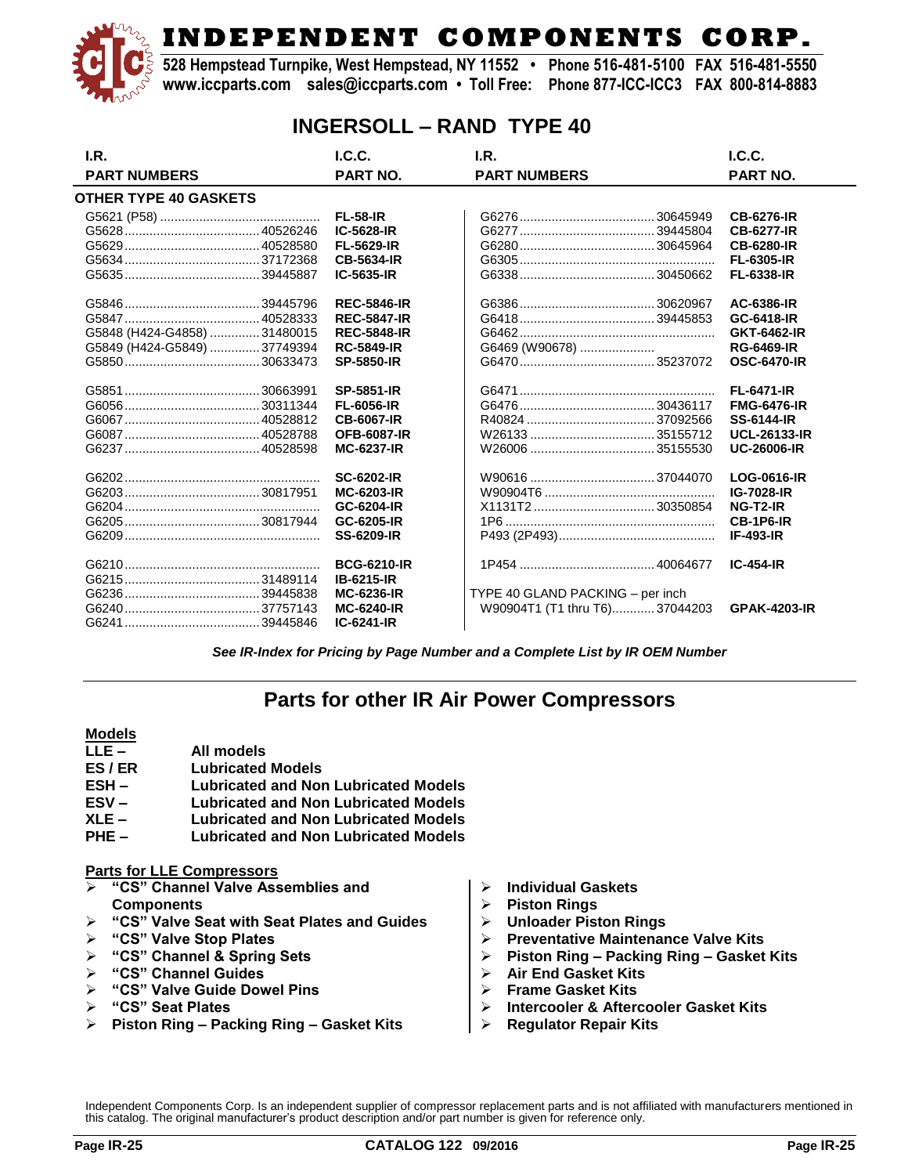**528 Hempstead Turnpike, West Hempstead, NY 11552 • Phone 516-481-5100 FAX 516-481-5550 www.iccparts.com sales@iccparts.com • Toll Free: Phone 877-ICC-ICC3 FAX 800-814-8883**

### **INGERSOLL – RAND TYPE 40**

| I.R.                         | L.C.C.             | LR.                              | L.C.C.              |
|------------------------------|--------------------|----------------------------------|---------------------|
| <b>PART NUMBERS</b>          | <b>PART NO.</b>    | <b>PART NUMBERS</b>              | <b>PART NO.</b>     |
| OTHER TYPE 40 GASKETS        |                    |                                  |                     |
|                              | <b>FL-58-IR</b>    |                                  | <b>CB-6276-IR</b>   |
|                              | IC-5628-IR         |                                  | <b>CB-6277-IR</b>   |
|                              | FL-5629-IR         |                                  | <b>CB-6280-IR</b>   |
|                              | <b>CB-5634-IR</b>  |                                  | <b>FL-6305-IR</b>   |
|                              | IC-5635-IR         |                                  | FL-6338-IR          |
|                              | <b>REC-5846-IR</b> |                                  | AC-6386-IR          |
|                              | <b>REC-5847-IR</b> |                                  | GC-6418-IR          |
| G5848 (H424-G4858)  31480015 | <b>REC-5848-IR</b> |                                  | GKT-6462-IR         |
| G5849 (H424-G5849) 37749394  | <b>RC-5849-IR</b>  | G6469 (W90678)                   | <b>RG-6469-IR</b>   |
|                              | <b>SP-5850-IR</b>  |                                  | <b>OSC-6470-IR</b>  |
|                              | <b>SP-5851-IR</b>  |                                  | <b>FL-6471-IR</b>   |
|                              | <b>FL-6056-IR</b>  |                                  | <b>FMG-6476-IR</b>  |
|                              | <b>CB-6067-IR</b>  |                                  | <b>SS-6144-IR</b>   |
|                              | <b>OFB-6087-IR</b> |                                  | <b>UCL-26133-IR</b> |
|                              | <b>MC-6237-IR</b>  |                                  | <b>UC-26006-IR</b>  |
|                              | <b>SC-6202-IR</b>  |                                  | LOG-0616-IR         |
|                              | <b>MC-6203-IR</b>  |                                  | IG-7028-IR          |
|                              | GC-6204-IR         |                                  | NG-T2-IR            |
|                              | GC-6205-IR         |                                  | CB-1P6-IR           |
|                              | <b>SS-6209-IR</b>  |                                  | <b>IF-493-IR</b>    |
|                              | <b>BCG-6210-IR</b> |                                  | $IC-454-IR$         |
|                              | <b>IB-6215-IR</b>  |                                  |                     |
|                              | <b>MC-6236-IR</b>  | TYPE 40 GLAND PACKING - per inch |                     |
|                              | <b>MC-6240-IR</b>  | W90904T1 (T1 thru T6)37044203    | <b>GPAK-4203-IR</b> |
|                              | IC-6241-IR         |                                  |                     |

*See IR-Index for Pricing by Page Number and a Complete List by IR OEM Number*

## **Parts for other IR Air Power Compressors**

#### **Models**

- **LLE – All models**
- **ES / ER Lubricated Models**
- **ESH – Lubricated and Non Lubricated Models**
- **ESV – Lubricated and Non Lubricated Models**
- **XLE – Lubricated and Non Lubricated Models**
- **PHE – Lubricated and Non Lubricated Models**

#### **Parts for LLE Compressors**

- **"CS" Channel Valve Assemblies and Components**
- **"CS" Valve Seat with Seat Plates and Guides**
- **"CS" Valve Stop Plates**
- **"CS" Channel & Spring Sets**
- **"CS" Channel Guides**
- **"CS" Valve Guide Dowel Pins**
- **"CS" Seat Plates**
- **Piston Ring – Packing Ring – Gasket Kits**
- **Individual Gaskets**
- **Piston Rings**
- **Unloader Piston Rings**
- **Preventative Maintenance Valve Kits**
- **Piston Ring – Packing Ring – Gasket Kits**
- **Air End Gasket Kits**
- **Frame Gasket Kits**
- **Intercooler & Aftercooler Gasket Kits**
- **Regulator Repair Kits**